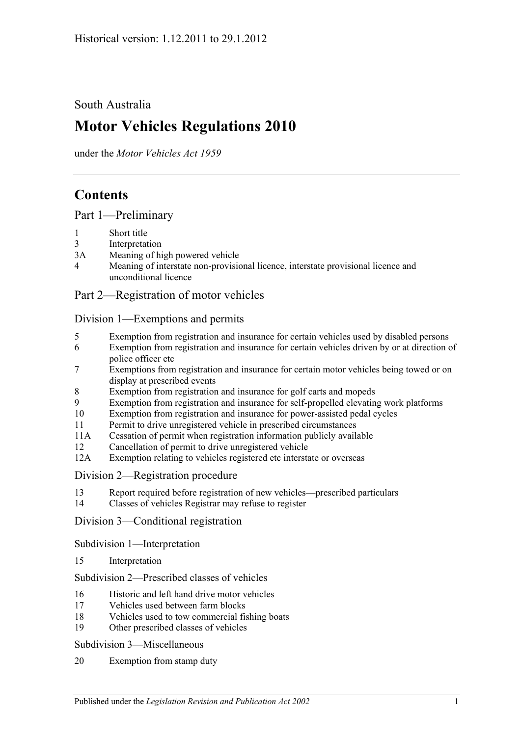South Australia

# **Motor Vehicles Regulations 2010**

under the *Motor Vehicles Act 1959*

# **Contents**

[Part 1—Preliminary](#page-6-0)

- 1 [Short title](#page-6-1)
- 3 [Interpretation](#page-6-2)
- 3A [Meaning of high powered vehicle](#page-8-0)
- 4 [Meaning of interstate non-provisional licence, interstate provisional licence and](#page-9-0)  [unconditional licence](#page-9-0)

# [Part 2—Registration of motor vehicles](#page-10-0)

### [Division 1—Exemptions and permits](#page-10-1)

- 5 [Exemption from registration and insurance for certain vehicles used by disabled persons](#page-10-2)
- 6 [Exemption from registration and insurance for certain vehicles driven by or at direction of](#page-10-3)  [police officer etc](#page-10-3)
- 7 [Exemptions from registration and insurance for certain motor vehicles being towed or on](#page-10-4)  [display at prescribed events](#page-10-4)
- 8 [Exemption from registration and insurance for golf carts and mopeds](#page-11-0)
- 9 [Exemption from registration and insurance for self-propelled elevating work platforms](#page-11-1)
- 10 [Exemption from registration and insurance for power-assisted pedal cycles](#page-12-0)
- 11 [Permit to drive unregistered vehicle in prescribed circumstances](#page-12-1)
- 11A [Cessation of permit when registration information publicly available](#page-12-2)
- 12 [Cancellation of permit to drive unregistered vehicle](#page-12-3)
- 12A [Exemption relating to vehicles registered etc interstate or overseas](#page-12-4)
- [Division 2—Registration procedure](#page-13-0)
- 13 [Report required before registration of new vehicles—prescribed particulars](#page-13-1)
- 14 [Classes of vehicles Registrar may refuse to register](#page-13-2)

[Division 3—Conditional registration](#page-13-3)

[Subdivision 1—Interpretation](#page-13-4)

15 [Interpretation](#page-13-5)

[Subdivision 2—Prescribed classes of vehicles](#page-14-0)

- 16 [Historic and left hand drive motor vehicles](#page-14-1)
- 17 [Vehicles used between farm blocks](#page-15-0)
- 18 [Vehicles used to tow commercial fishing boats](#page-15-1)
- 19 [Other prescribed classes of vehicles](#page-15-2)

[Subdivision 3—Miscellaneous](#page-16-0)

20 [Exemption from stamp duty](#page-16-1)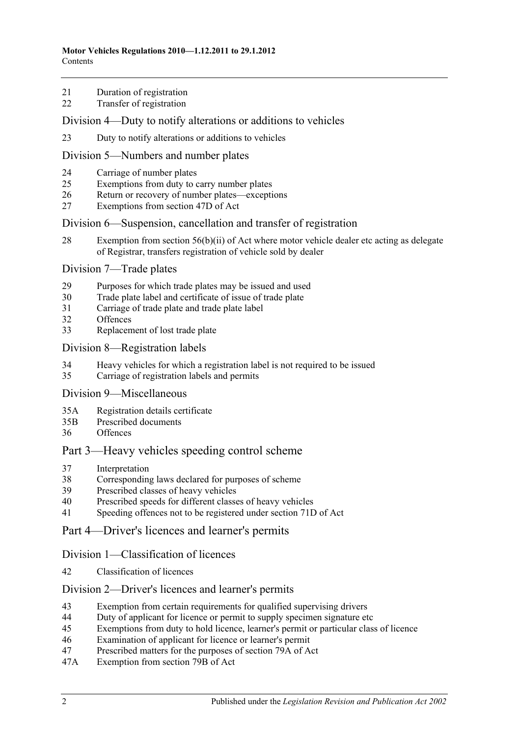- [Duration of registration](#page-16-2)
- [Transfer of registration](#page-16-3)

#### [Division 4—Duty to notify alterations or additions to vehicles](#page-16-4)

[Duty to notify alterations or additions to vehicles](#page-16-5)

#### [Division 5—Numbers and number plates](#page-18-0)

- [Carriage of number plates](#page-18-1)
- [Exemptions from duty to carry number plates](#page-18-2)
- [Return or recovery of number plates—exceptions](#page-20-0)
- [Exemptions from section 47D of Act](#page-20-1)

#### [Division 6—Suspension, cancellation and transfer of registration](#page-21-0)

 [Exemption from section 56\(b\)\(ii\) of Act where motor vehicle dealer etc acting](#page-21-1) as delegate [of Registrar, transfers registration of vehicle sold by dealer](#page-21-1)

#### [Division 7—Trade plates](#page-21-2)

- [Purposes for which trade plates may be issued and used](#page-21-3)
- [Trade plate label and certificate of issue of trade plate](#page-24-0)
- [Carriage of trade plate and trade plate label](#page-24-1)
- [Offences](#page-25-0)
- [Replacement of lost trade plate](#page-25-1)

#### [Division 8—Registration labels](#page-25-2)

- [Heavy vehicles for which a registration label is not required to be issued](#page-25-3)
- [Carriage of registration labels and permits](#page-26-0)

### [Division 9—Miscellaneous](#page-27-0)

- 35A [Registration details certificate](#page-27-1)
- 35B [Prescribed documents](#page-28-0)
- [Offences](#page-28-1)

# [Part 3—Heavy vehicles speeding control scheme](#page-30-0)

- [Interpretation](#page-30-1)
- [Corresponding laws declared for purposes of scheme](#page-30-2)
- [Prescribed classes of heavy vehicles](#page-30-3)
- [Prescribed speeds for different classes of heavy vehicles](#page-30-4)
- [Speeding offences not to be registered under section](#page-30-5) 71D of Act

# [Part 4—Driver's licences and learner's permits](#page-32-0)

#### [Division 1—Classification of licences](#page-32-1)

[Classification of licences](#page-32-2)

#### [Division 2—Driver's licences and learner's permits](#page-32-3)

- [Exemption from certain requirements for qualified supervising drivers](#page-32-4)
- [Duty of applicant for licence or permit to supply specimen signature etc](#page-32-5)
- [Exemptions from duty to hold licence, learner's permit or particular class of licence](#page-33-0)
- [Examination of applicant for licence or learner's permit](#page-34-0)
- [Prescribed matters for the purposes of section 79A of Act](#page-35-0)
- 47A [Exemption from section 79B of Act](#page-35-1)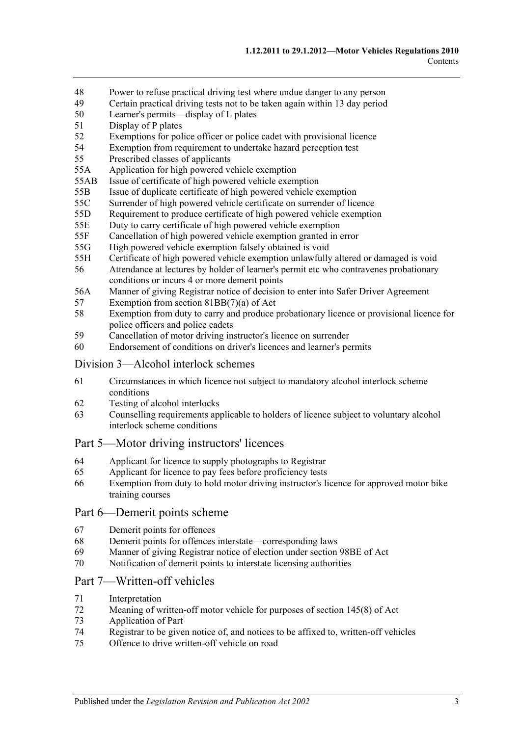- 48 [Power to refuse practical driving test where undue danger to any person](#page-36-0)
- 49 [Certain practical driving tests not to be taken again within 13](#page-36-1) day period
- 50 [Learner's permits—display of L plates](#page-36-2)
- 51 [Display of P plates](#page-37-0)
- 52 [Exemptions for police officer or police cadet with provisional licence](#page-37-1)
- 54 [Exemption from requirement to undertake hazard perception test](#page-37-2)
- 55 [Prescribed classes of applicants](#page-38-0)
- 55A [Application for high powered vehicle exemption](#page-38-1)
- 55AB [Issue of certificate of high powered vehicle exemption](#page-38-2)
- 55B [Issue of duplicate certificate of high powered vehicle exemption](#page-38-3)
- 55C [Surrender of high powered vehicle certificate on surrender of licence](#page-38-4)
- 55D [Requirement to produce certificate of high powered vehicle exemption](#page-39-0)
- 55E [Duty to carry certificate of high powered vehicle exemption](#page-39-1)
- 55F [Cancellation of high powered vehicle exemption granted in error](#page-39-2)
- 55G [High powered vehicle exemption falsely obtained is void](#page-39-3)
- 55H [Certificate of high powered vehicle exemption unlawfully altered or damaged is void](#page-40-0)
- 56 [Attendance at lectures by holder of learner's permit etc who contravenes probationary](#page-40-1)  [conditions or incurs 4 or more demerit points](#page-40-1)
- 56A [Manner of giving Registrar notice of decision to enter into Safer Driver Agreement](#page-40-2)
- 57 [Exemption from section 81BB\(7\)\(a\) of Act](#page-40-3)
- 58 [Exemption from duty to carry and produce probationary licence or provisional licence for](#page-41-0)  [police officers and police cadets](#page-41-0)
- 59 [Cancellation of motor driving instructor's licence on surrender](#page-41-1)
- 60 [Endorsement of conditions on driver's licences and learner's permits](#page-41-2)

#### [Division 3—Alcohol interlock schemes](#page-41-3)

- 61 [Circumstances in which licence not subject to mandatory alcohol interlock scheme](#page-41-4)  [conditions](#page-41-4)
- 62 [Testing of alcohol interlocks](#page-41-5)
- 63 [Counselling requirements applicable to holders of licence subject to voluntary alcohol](#page-42-0)  [interlock scheme conditions](#page-42-0)

#### [Part 5—Motor driving instructors' licences](#page-44-0)

- 64 [Applicant for licence to supply photographs to Registrar](#page-44-1)
- 65 [Applicant for licence to pay fees before proficiency tests](#page-44-2)
- 66 [Exemption from duty to hold motor driving instructor's licence for approved motor](#page-44-3) bike [training courses](#page-44-3)

#### [Part 6—Demerit points scheme](#page-46-0)

- 67 [Demerit points for offences](#page-46-1)
- 68 [Demerit points for offences interstate—corresponding laws](#page-46-2)
- 69 [Manner of giving Registrar notice of election under section](#page-46-3) 98BE of Act
- 70 [Notification of demerit points to interstate licensing authorities](#page-47-0)

#### [Part 7—Written-off vehicles](#page-48-0)

- 71 [Interpretation](#page-48-1)
- 72 [Meaning of written-off motor vehicle for purposes of section](#page-50-0) 145(8) of Act
- 73 [Application of Part](#page-50-1)
- 74 [Registrar to be given notice of, and notices to be affixed to, written-off vehicles](#page-50-2)
- 75 [Offence to drive written-off vehicle on road](#page-52-0)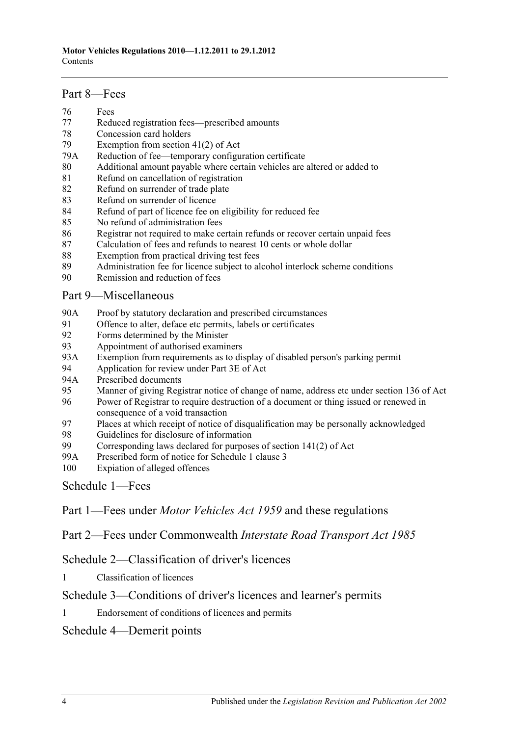#### [Part 8—Fees](#page-54-0)

- 76 [Fees](#page-54-1)
- 77 [Reduced registration fees—prescribed amounts](#page-54-2)
- 78 [Concession card holders](#page-55-0)
- 79 [Exemption from section 41\(2\) of Act](#page-55-1)
- 79A [Reduction of fee—temporary configuration certificate](#page-55-2)
- 80 [Additional amount payable where certain vehicles are altered or added to](#page-56-0)
- 81 [Refund on cancellation of registration](#page-56-1)
- 82 [Refund on surrender of trade plate](#page-57-0)
- 83 [Refund on surrender of licence](#page-57-1)
- 84 [Refund of part of licence fee on eligibility for reduced fee](#page-57-2)
- 85 [No refund of administration fees](#page-57-3)
- 86 [Registrar not required to make certain refunds or recover certain unpaid fees](#page-57-4)
- 87 [Calculation of fees and refunds to nearest 10 cents or whole dollar](#page-57-5)
- 88 [Exemption from practical driving test fees](#page-58-0)
- 89 [Administration fee for licence subject to alcohol interlock scheme conditions](#page-58-1)
- 90 [Remission and reduction of fees](#page-58-2)

### [Part 9—Miscellaneous](#page-60-0)

- 90A [Proof by statutory declaration and prescribed circumstances](#page-60-1)
- 91 [Offence to alter, deface etc permits, labels or certificates](#page-60-2)<br>92 Forms determined by the Minister
- [Forms determined by the Minister](#page-61-0)
- 93 [Appointment of authorised examiners](#page-61-1)
- 93A [Exemption from requirements as to display of disabled person's parking permit](#page-61-2)
- 94 [Application for review under Part 3E of Act](#page-62-0)<br>94A Prescribed documents
- [Prescribed documents](#page-62-1)
- 95 [Manner of giving Registrar notice of change of name, address etc under section](#page-62-2) 136 of Act
- 96 [Power of Registrar to require destruction of a document or thing issued or renewed in](#page-62-3)  [consequence of a void transaction](#page-62-3)
- 97 [Places at which receipt of notice of disqualification may be personally acknowledged](#page-62-4)
- 98 [Guidelines for disclosure of information](#page-63-0)<br>99 Corresponding laws declared for purpose
- Corresponding laws declared for purposes of section  $141(2)$  of Act
- 99A [Prescribed form of notice for Schedule 1 clause 3](#page-66-0)
- 100 [Expiation of alleged offences](#page-66-1)

[Schedule 1—Fees](#page-68-0)

Part 1—Fees under *Motor Vehicles Act 1959* and these regulations

Part 2—Fees under Commonwealth *Interstate Road Transport Act 1985*

[Schedule 2—Classification of driver's licences](#page-78-0)

1 [Classification of licences](#page-78-1)

# [Schedule 3—Conditions of driver's licences and learner's permits](#page-82-0)

1 [Endorsement of conditions of licences and permits](#page-82-1)

# [Schedule 4—Demerit points](#page-84-0)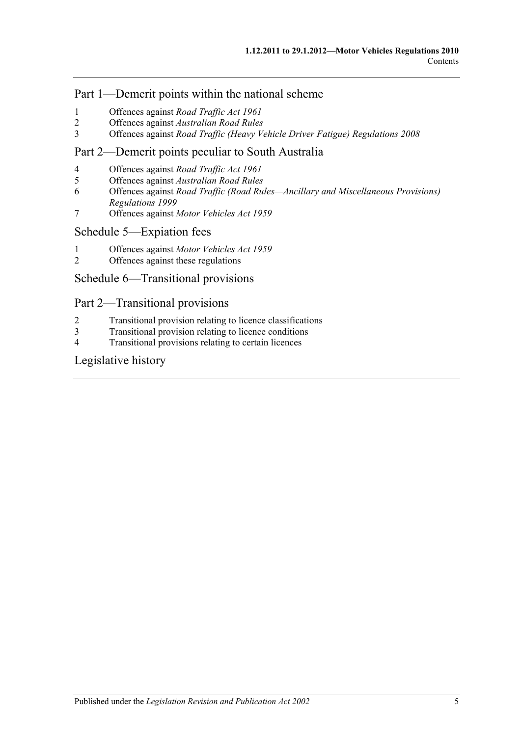# Part 1—Demerit points within the national scheme

- 1 [Offences against](#page-84-1) *Road Traffic Act 1961*
- 2 Offences against *[Australian Road Rules](#page-85-0)*
- 3 Offences against *[Road Traffic \(Heavy Vehicle Driver Fatigue\) Regulations](#page-89-0) 2008*

# Part 2—Demerit points peculiar to South Australia

- 4 [Offences against](#page-90-0) *Road Traffic Act 1961*
- 5 Offences against *[Australian Road Rules](#page-91-0)*
- 6 Offences against *[Road Traffic \(Road Rules—Ancillary and Miscellaneous Provisions\)](#page-94-0)  [Regulations](#page-94-0) 1999*
- 7 Offences against *[Motor Vehicles Act](#page-95-0) 1959*

### [Schedule 5—Expiation fees](#page-96-0)

- 1 Offences against *[Motor Vehicles Act](#page-96-1) 1959*
- 2 [Offences against these regulations](#page-99-0)

# [Schedule 6—Transitional provisions](#page-100-0)

# Part 2—Transitional provisions

- 2 [Transitional provision relating to licence classifications](#page-100-1)
- 3 [Transitional provision relating to licence conditions](#page-100-2)
- 4 [Transitional provisions relating to certain licences](#page-101-0)

# [Legislative history](#page-102-0)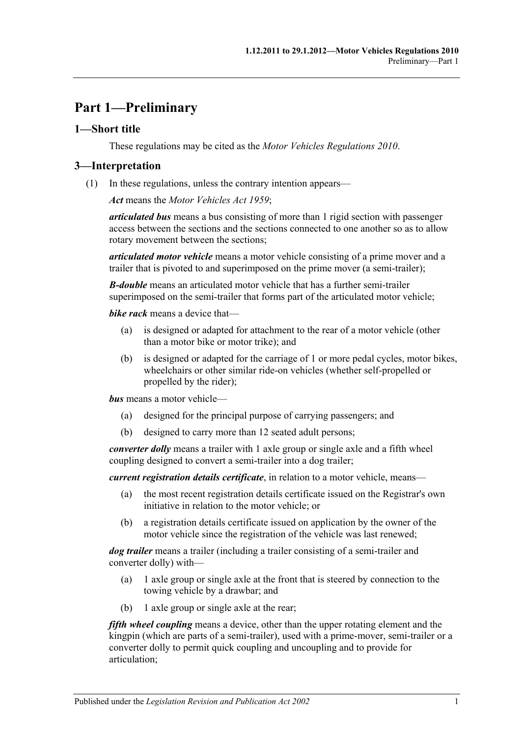# <span id="page-6-0"></span>**Part 1—Preliminary**

# <span id="page-6-1"></span>**1—Short title**

These regulations may be cited as the *Motor Vehicles Regulations 2010*.

# <span id="page-6-2"></span>**3—Interpretation**

(1) In these regulations, unless the contrary intention appears—

*Act* means the *[Motor Vehicles Act](http://www.legislation.sa.gov.au/index.aspx?action=legref&type=act&legtitle=Motor%20Vehicles%20Act%201959) 1959*;

*articulated bus* means a bus consisting of more than 1 rigid section with passenger access between the sections and the sections connected to one another so as to allow rotary movement between the sections;

*articulated motor vehicle* means a motor vehicle consisting of a prime mover and a trailer that is pivoted to and superimposed on the prime mover (a semi-trailer);

*B-double* means an articulated motor vehicle that has a further semi-trailer superimposed on the semi-trailer that forms part of the articulated motor vehicle;

*bike rack* means a device that—

- (a) is designed or adapted for attachment to the rear of a motor vehicle (other than a motor bike or motor trike); and
- (b) is designed or adapted for the carriage of 1 or more pedal cycles, motor bikes, wheelchairs or other similar ride-on vehicles (whether self-propelled or propelled by the rider);

*bus* means a motor vehicle—

- (a) designed for the principal purpose of carrying passengers; and
- (b) designed to carry more than 12 seated adult persons;

*converter dolly* means a trailer with 1 axle group or single axle and a fifth wheel coupling designed to convert a semi-trailer into a dog trailer;

*current registration details certificate*, in relation to a motor vehicle, means—

- (a) the most recent registration details certificate issued on the Registrar's own initiative in relation to the motor vehicle; or
- (b) a registration details certificate issued on application by the owner of the motor vehicle since the registration of the vehicle was last renewed;

*dog trailer* means a trailer (including a trailer consisting of a semi-trailer and converter dolly) with—

- (a) 1 axle group or single axle at the front that is steered by connection to the towing vehicle by a drawbar; and
- (b) 1 axle group or single axle at the rear;

*fifth wheel coupling* means a device, other than the upper rotating element and the kingpin (which are parts of a semi-trailer), used with a prime-mover, semi-trailer or a converter dolly to permit quick coupling and uncoupling and to provide for articulation;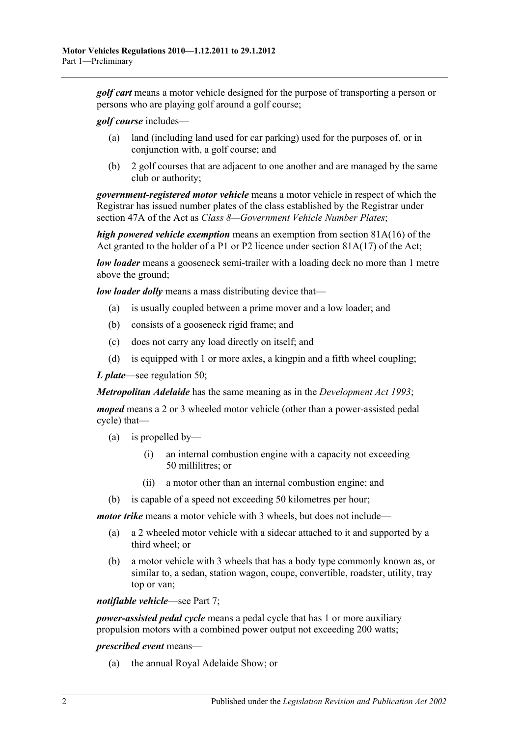*golf cart* means a motor vehicle designed for the purpose of transporting a person or persons who are playing golf around a golf course;

*golf course* includes—

- (a) land (including land used for car parking) used for the purposes of, or in conjunction with, a golf course; and
- (b) 2 golf courses that are adjacent to one another and are managed by the same club or authority;

*government-registered motor vehicle* means a motor vehicle in respect of which the Registrar has issued number plates of the class established by the Registrar under section 47A of the Act as *Class 8—Government Vehicle Number Plates*;

*high powered vehicle exemption* means an exemption from section 81A(16) of the Act granted to the holder of a P1 or P2 licence under section  $81A(17)$  of the Act;

*low loader* means a gooseneck semi-trailer with a loading deck no more than 1 metre above the ground;

*low loader dolly* means a mass distributing device that—

- (a) is usually coupled between a prime mover and a low loader; and
- (b) consists of a gooseneck rigid frame; and
- (c) does not carry any load directly on itself; and
- (d) is equipped with 1 or more axles, a kingpin and a fifth wheel coupling;

*L plate*—see [regulation](#page-36-2) 50;

*Metropolitan Adelaide* has the same meaning as in the *[Development Act](http://www.legislation.sa.gov.au/index.aspx?action=legref&type=act&legtitle=Development%20Act%201993) 1993*;

*moped* means a 2 or 3 wheeled motor vehicle (other than a power-assisted pedal cycle) that—

- (a) is propelled by—
	- (i) an internal combustion engine with a capacity not exceeding 50 millilitres; or
	- (ii) a motor other than an internal combustion engine; and
- (b) is capable of a speed not exceeding 50 kilometres per hour;

*motor trike* means a motor vehicle with 3 wheels, but does not include—

- (a) a 2 wheeled motor vehicle with a sidecar attached to it and supported by a third wheel; or
- (b) a motor vehicle with 3 wheels that has a body type commonly known as, or similar to, a sedan, station wagon, coupe, convertible, roadster, utility, tray top or van;

*notifiable vehicle*—see [Part 7;](#page-48-0)

*power-assisted pedal cycle* means a pedal cycle that has 1 or more auxiliary propulsion motors with a combined power output not exceeding 200 watts;

#### *prescribed event* means—

(a) the annual Royal Adelaide Show; or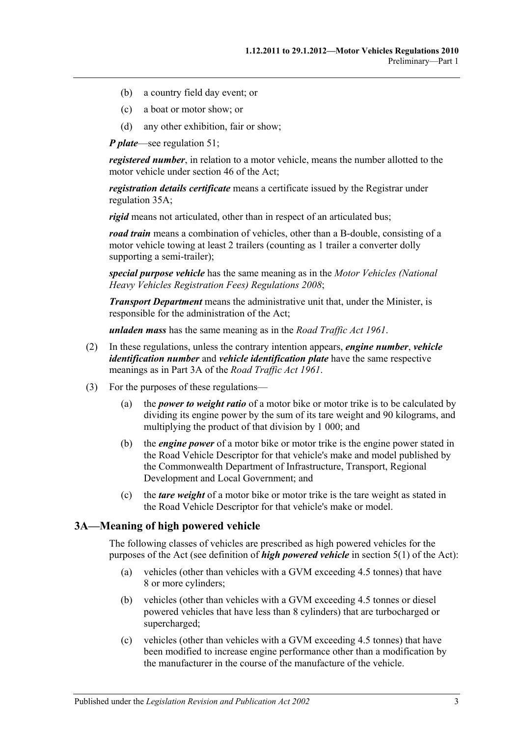- (b) a country field day event; or
- (c) a boat or motor show; or
- (d) any other exhibition, fair or show;

*P plate*—see [regulation](#page-37-0) 51;

*registered number*, in relation to a motor vehicle, means the number allotted to the motor vehicle under section 46 of the Act;

*registration details certificate* means a certificate issued by the Registrar under [regulation](#page-27-1) 35A;

*rigid* means not articulated, other than in respect of an articulated bus;

*road train* means a combination of vehicles, other than a B-double, consisting of a motor vehicle towing at least 2 trailers (counting as 1 trailer a converter dolly supporting a semi-trailer);

*special purpose vehicle* has the same meaning as in the *[Motor Vehicles \(National](http://www.legislation.sa.gov.au/index.aspx?action=legref&type=subordleg&legtitle=Motor%20Vehicles%20(National%20Heavy%20Vehicles%20Registration%20Fees)%20Regulations%202008)  [Heavy Vehicles Registration Fees\) Regulations](http://www.legislation.sa.gov.au/index.aspx?action=legref&type=subordleg&legtitle=Motor%20Vehicles%20(National%20Heavy%20Vehicles%20Registration%20Fees)%20Regulations%202008) 2008*;

*Transport Department* means the administrative unit that, under the Minister, is responsible for the administration of the Act;

*unladen mass* has the same meaning as in the *[Road Traffic Act](http://www.legislation.sa.gov.au/index.aspx?action=legref&type=act&legtitle=Road%20Traffic%20Act%201961) 1961*.

- (2) In these regulations, unless the contrary intention appears, *engine number*, *vehicle identification number* and *vehicle identification plate* have the same respective meanings as in Part 3A of the *[Road Traffic Act](http://www.legislation.sa.gov.au/index.aspx?action=legref&type=act&legtitle=Road%20Traffic%20Act%201961) 1961*.
- (3) For the purposes of these regulations—
	- (a) the *power to weight ratio* of a motor bike or motor trike is to be calculated by dividing its engine power by the sum of its tare weight and 90 kilograms, and multiplying the product of that division by 1 000; and
	- (b) the *engine power* of a motor bike or motor trike is the engine power stated in the Road Vehicle Descriptor for that vehicle's make and model published by the Commonwealth Department of Infrastructure, Transport, Regional Development and Local Government; and
	- (c) the *tare weight* of a motor bike or motor trike is the tare weight as stated in the Road Vehicle Descriptor for that vehicle's make or model.

# <span id="page-8-0"></span>**3A—Meaning of high powered vehicle**

The following classes of vehicles are prescribed as high powered vehicles for the purposes of the Act (see definition of *high powered vehicle* in section 5(1) of the Act):

- (a) vehicles (other than vehicles with a GVM exceeding 4.5 tonnes) that have 8 or more cylinders;
- (b) vehicles (other than vehicles with a GVM exceeding 4.5 tonnes or diesel powered vehicles that have less than 8 cylinders) that are turbocharged or supercharged;
- (c) vehicles (other than vehicles with a GVM exceeding 4.5 tonnes) that have been modified to increase engine performance other than a modification by the manufacturer in the course of the manufacture of the vehicle.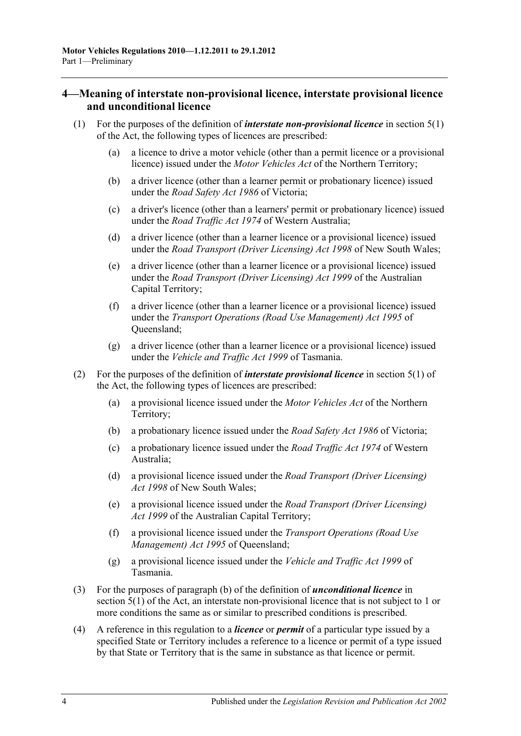# <span id="page-9-0"></span>**4—Meaning of interstate non-provisional licence, interstate provisional licence and unconditional licence**

- (1) For the purposes of the definition of *interstate non-provisional licence* in section 5(1) of the Act, the following types of licences are prescribed:
	- (a) a licence to drive a motor vehicle (other than a permit licence or a provisional licence) issued under the *Motor Vehicles Act* of the Northern Territory;
	- (b) a driver licence (other than a learner permit or probationary licence) issued under the *Road Safety Act 1986* of Victoria;
	- (c) a driver's licence (other than a learners' permit or probationary licence) issued under the *Road Traffic Act 1974* of Western Australia;
	- (d) a driver licence (other than a learner licence or a provisional licence) issued under the *Road Transport (Driver Licensing) Act 1998* of New South Wales;
	- (e) a driver licence (other than a learner licence or a provisional licence) issued under the *Road Transport (Driver Licensing) Act 1999* of the Australian Capital Territory;
	- (f) a driver licence (other than a learner licence or a provisional licence) issued under the *Transport Operations (Road Use Management) Act 1995* of Queensland;
	- (g) a driver licence (other than a learner licence or a provisional licence) issued under the *Vehicle and Traffic Act 1999* of Tasmania.
- (2) For the purposes of the definition of *interstate provisional licence* in section 5(1) of the Act, the following types of licences are prescribed:
	- (a) a provisional licence issued under the *Motor Vehicles Act* of the Northern Territory;
	- (b) a probationary licence issued under the *Road Safety Act 1986* of Victoria;
	- (c) a probationary licence issued under the *Road Traffic Act 1974* of Western Australia;
	- (d) a provisional licence issued under the *Road Transport (Driver Licensing) Act 1998* of New South Wales;
	- (e) a provisional licence issued under the *Road Transport (Driver Licensing) Act 1999* of the Australian Capital Territory;
	- (f) a provisional licence issued under the *Transport Operations (Road Use Management) Act 1995* of Queensland;
	- (g) a provisional licence issued under the *Vehicle and Traffic Act 1999* of Tasmania.
- (3) For the purposes of paragraph (b) of the definition of *unconditional licence* in section 5(1) of the Act, an interstate non-provisional licence that is not subject to 1 or more conditions the same as or similar to prescribed conditions is prescribed.
- (4) A reference in this regulation to a *licence* or *permit* of a particular type issued by a specified State or Territory includes a reference to a licence or permit of a type issued by that State or Territory that is the same in substance as that licence or permit.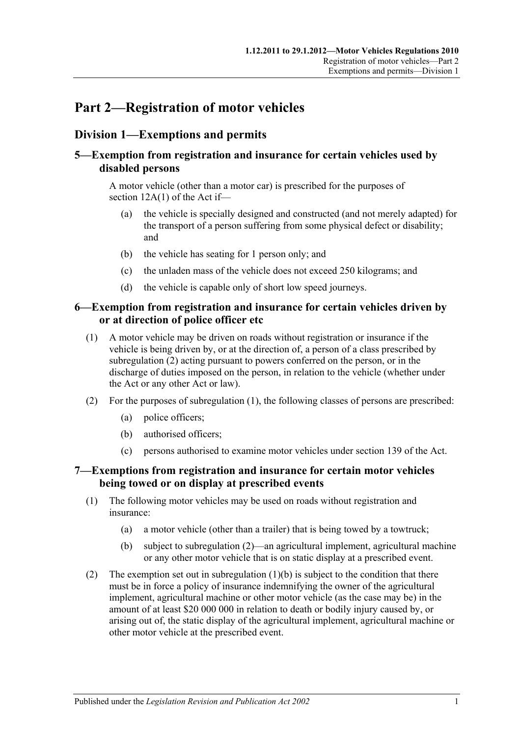# <span id="page-10-0"></span>**Part 2—Registration of motor vehicles**

# <span id="page-10-1"></span>**Division 1—Exemptions and permits**

# <span id="page-10-2"></span>**5—Exemption from registration and insurance for certain vehicles used by disabled persons**

A motor vehicle (other than a motor car) is prescribed for the purposes of section 12A(1) of the Act if—

- (a) the vehicle is specially designed and constructed (and not merely adapted) for the transport of a person suffering from some physical defect or disability; and
- (b) the vehicle has seating for 1 person only; and
- (c) the unladen mass of the vehicle does not exceed 250 kilograms; and
- (d) the vehicle is capable only of short low speed journeys.

# <span id="page-10-3"></span>**6—Exemption from registration and insurance for certain vehicles driven by or at direction of police officer etc**

- <span id="page-10-6"></span>(1) A motor vehicle may be driven on roads without registration or insurance if the vehicle is being driven by, or at the direction of, a person of a class prescribed by [subregulation](#page-10-5) (2) acting pursuant to powers conferred on the person, or in the discharge of duties imposed on the person, in relation to the vehicle (whether under the Act or any other Act or law).
- <span id="page-10-5"></span>(2) For the purposes of [subregulation](#page-10-6) (1), the following classes of persons are prescribed:
	- (a) police officers;
	- (b) authorised officers;
	- (c) persons authorised to examine motor vehicles under section 139 of the Act.

# <span id="page-10-4"></span>**7—Exemptions from registration and insurance for certain motor vehicles being towed or on display at prescribed events**

- (1) The following motor vehicles may be used on roads without registration and insurance:
	- (a) a motor vehicle (other than a trailer) that is being towed by a towtruck;
	- (b) subject to [subregulation](#page-10-7) (2)—an agricultural implement, agricultural machine or any other motor vehicle that is on static display at a prescribed event.
- <span id="page-10-8"></span><span id="page-10-7"></span>(2) The exemption set out in [subregulation](#page-10-8)  $(1)(b)$  is subject to the condition that there must be in force a policy of insurance indemnifying the owner of the agricultural implement, agricultural machine or other motor vehicle (as the case may be) in the amount of at least \$20 000 000 in relation to death or bodily injury caused by, or arising out of, the static display of the agricultural implement, agricultural machine or other motor vehicle at the prescribed event.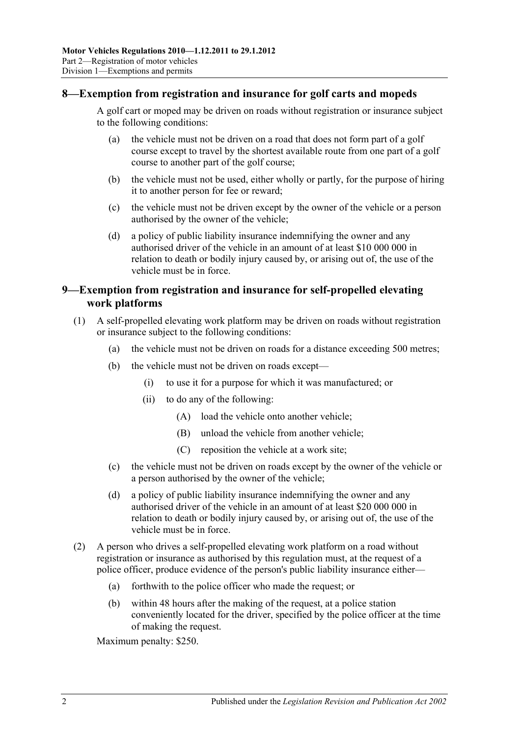# <span id="page-11-0"></span>**8—Exemption from registration and insurance for golf carts and mopeds**

A golf cart or moped may be driven on roads without registration or insurance subject to the following conditions:

- (a) the vehicle must not be driven on a road that does not form part of a golf course except to travel by the shortest available route from one part of a golf course to another part of the golf course;
- (b) the vehicle must not be used, either wholly or partly, for the purpose of hiring it to another person for fee or reward;
- (c) the vehicle must not be driven except by the owner of the vehicle or a person authorised by the owner of the vehicle;
- (d) a policy of public liability insurance indemnifying the owner and any authorised driver of the vehicle in an amount of at least \$10 000 000 in relation to death or bodily injury caused by, or arising out of, the use of the vehicle must be in force.

# <span id="page-11-1"></span>**9—Exemption from registration and insurance for self-propelled elevating work platforms**

- (1) A self-propelled elevating work platform may be driven on roads without registration or insurance subject to the following conditions:
	- (a) the vehicle must not be driven on roads for a distance exceeding 500 metres;
	- (b) the vehicle must not be driven on roads except—
		- (i) to use it for a purpose for which it was manufactured; or
		- (ii) to do any of the following:
			- (A) load the vehicle onto another vehicle;
			- (B) unload the vehicle from another vehicle;
			- (C) reposition the vehicle at a work site;
	- (c) the vehicle must not be driven on roads except by the owner of the vehicle or a person authorised by the owner of the vehicle;
	- (d) a policy of public liability insurance indemnifying the owner and any authorised driver of the vehicle in an amount of at least \$20 000 000 in relation to death or bodily injury caused by, or arising out of, the use of the vehicle must be in force.
- (2) A person who drives a self-propelled elevating work platform on a road without registration or insurance as authorised by this regulation must, at the request of a police officer, produce evidence of the person's public liability insurance either—
	- (a) forthwith to the police officer who made the request; or
	- (b) within 48 hours after the making of the request, at a police station conveniently located for the driver, specified by the police officer at the time of making the request.

Maximum penalty: \$250.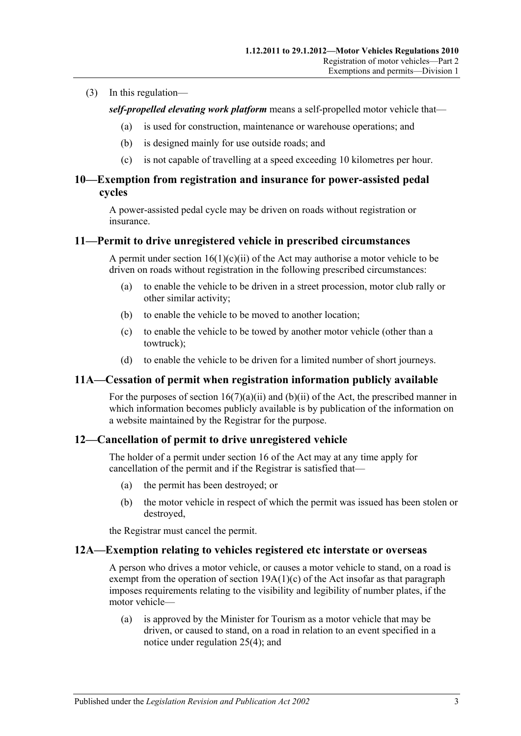#### (3) In this regulation—

*self-propelled elevating work platform* means a self-propelled motor vehicle that—

- (a) is used for construction, maintenance or warehouse operations; and
- (b) is designed mainly for use outside roads; and
- (c) is not capable of travelling at a speed exceeding 10 kilometres per hour.

# <span id="page-12-0"></span>**10—Exemption from registration and insurance for power-assisted pedal cycles**

A power-assisted pedal cycle may be driven on roads without registration or insurance.

#### <span id="page-12-1"></span>**11—Permit to drive unregistered vehicle in prescribed circumstances**

A permit under section  $16(1)(c)(ii)$  of the Act may authorise a motor vehicle to be driven on roads without registration in the following prescribed circumstances:

- (a) to enable the vehicle to be driven in a street procession, motor club rally or other similar activity;
- (b) to enable the vehicle to be moved to another location;
- (c) to enable the vehicle to be towed by another motor vehicle (other than a towtruck);
- (d) to enable the vehicle to be driven for a limited number of short journeys.

#### <span id="page-12-2"></span>**11A—Cessation of permit when registration information publicly available**

For the purposes of section  $16(7)(a)(ii)$  and  $(b)(ii)$  of the Act, the prescribed manner in which information becomes publicly available is by publication of the information on a website maintained by the Registrar for the purpose.

# <span id="page-12-3"></span>**12—Cancellation of permit to drive unregistered vehicle**

The holder of a permit under section 16 of the Act may at any time apply for cancellation of the permit and if the Registrar is satisfied that—

- (a) the permit has been destroyed; or
- (b) the motor vehicle in respect of which the permit was issued has been stolen or destroyed,

the Registrar must cancel the permit.

#### <span id="page-12-4"></span>**12A—Exemption relating to vehicles registered etc interstate or overseas**

A person who drives a motor vehicle, or causes a motor vehicle to stand, on a road is exempt from the operation of section  $19A(1)(c)$  of the Act insofar as that paragraph imposes requirements relating to the visibility and legibility of number plates, if the motor vehicle—

(a) is approved by the Minister for Tourism as a motor vehicle that may be driven, or caused to stand, on a road in relation to an event specified in a notice under [regulation](#page-19-0) 25(4); and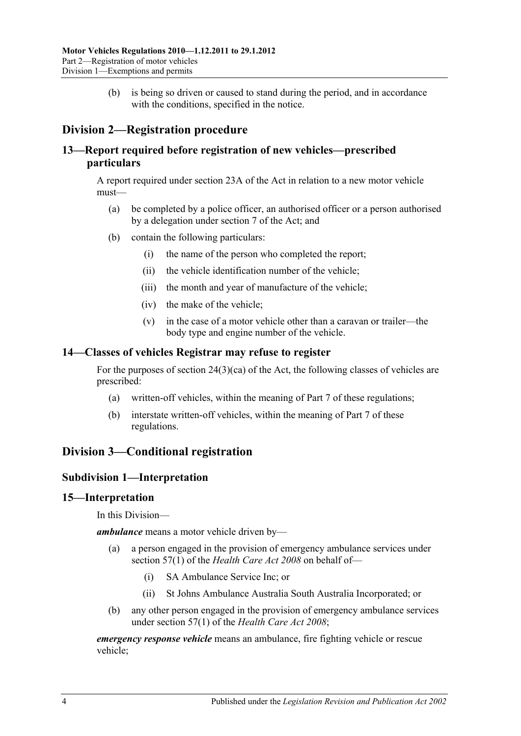(b) is being so driven or caused to stand during the period, and in accordance with the conditions, specified in the notice.

# <span id="page-13-0"></span>**Division 2—Registration procedure**

# <span id="page-13-1"></span>**13—Report required before registration of new vehicles—prescribed particulars**

A report required under section 23A of the Act in relation to a new motor vehicle must—

- (a) be completed by a police officer, an authorised officer or a person authorised by a delegation under section 7 of the Act; and
- (b) contain the following particulars:
	- (i) the name of the person who completed the report;
	- (ii) the vehicle identification number of the vehicle;
	- (iii) the month and year of manufacture of the vehicle;
	- (iv) the make of the vehicle;
	- (v) in the case of a motor vehicle other than a caravan or trailer—the body type and engine number of the vehicle.

# <span id="page-13-2"></span>**14—Classes of vehicles Registrar may refuse to register**

For the purposes of section 24(3)(ca) of the Act, the following classes of vehicles are prescribed:

- (a) written-off vehicles, within the meaning of [Part 7](#page-48-0) of these regulations;
- (b) interstate written-off vehicles, within the meaning of [Part 7](#page-48-0) of these regulations.

# <span id="page-13-4"></span><span id="page-13-3"></span>**Division 3—Conditional registration**

# **Subdivision 1—Interpretation**

#### <span id="page-13-5"></span>**15—Interpretation**

In this Division—

*ambulance* means a motor vehicle driven by—

- (a) a person engaged in the provision of emergency ambulance services under section 57(1) of the *[Health Care Act](http://www.legislation.sa.gov.au/index.aspx?action=legref&type=act&legtitle=Health%20Care%20Act%202008) 2008* on behalf of—
	- (i) SA Ambulance Service Inc; or
	- (ii) St Johns Ambulance Australia South Australia Incorporated; or
- (b) any other person engaged in the provision of emergency ambulance services under section 57(1) of the *[Health Care Act](http://www.legislation.sa.gov.au/index.aspx?action=legref&type=act&legtitle=Health%20Care%20Act%202008) 2008*;

*emergency response vehicle* means an ambulance, fire fighting vehicle or rescue vehicle;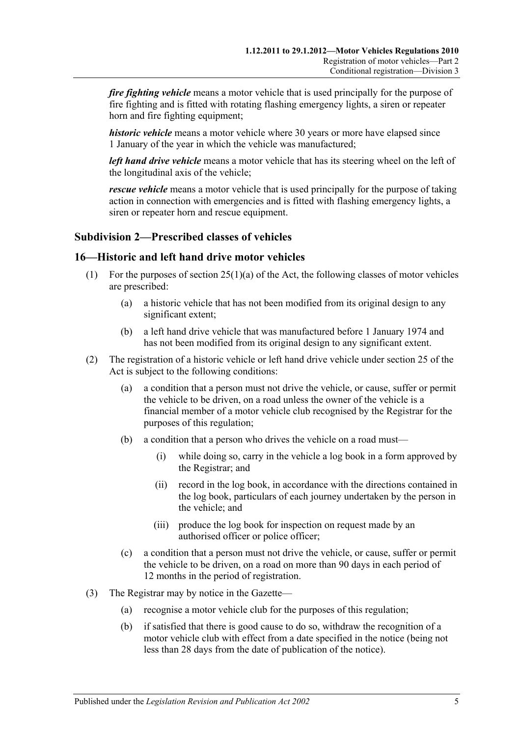*fire fighting vehicle* means a motor vehicle that is used principally for the purpose of fire fighting and is fitted with rotating flashing emergency lights, a siren or repeater horn and fire fighting equipment;

*historic vehicle* means a motor vehicle where 30 years or more have elapsed since 1 January of the year in which the vehicle was manufactured;

*left hand drive vehicle* means a motor vehicle that has its steering wheel on the left of the longitudinal axis of the vehicle;

*rescue vehicle* means a motor vehicle that is used principally for the purpose of taking action in connection with emergencies and is fitted with flashing emergency lights, a siren or repeater horn and rescue equipment.

# <span id="page-14-0"></span>**Subdivision 2—Prescribed classes of vehicles**

#### <span id="page-14-1"></span>**16—Historic and left hand drive motor vehicles**

- (1) For the purposes of section  $25(1)(a)$  of the Act, the following classes of motor vehicles are prescribed:
	- (a) a historic vehicle that has not been modified from its original design to any significant extent;
	- (b) a left hand drive vehicle that was manufactured before 1 January 1974 and has not been modified from its original design to any significant extent.
- (2) The registration of a historic vehicle or left hand drive vehicle under section 25 of the Act is subject to the following conditions:
	- (a) a condition that a person must not drive the vehicle, or cause, suffer or permit the vehicle to be driven, on a road unless the owner of the vehicle is a financial member of a motor vehicle club recognised by the Registrar for the purposes of this regulation;
	- (b) a condition that a person who drives the vehicle on a road must—
		- (i) while doing so, carry in the vehicle a log book in a form approved by the Registrar; and
		- (ii) record in the log book, in accordance with the directions contained in the log book, particulars of each journey undertaken by the person in the vehicle; and
		- (iii) produce the log book for inspection on request made by an authorised officer or police officer;
	- (c) a condition that a person must not drive the vehicle, or cause, suffer or permit the vehicle to be driven, on a road on more than 90 days in each period of 12 months in the period of registration.
- (3) The Registrar may by notice in the Gazette—
	- (a) recognise a motor vehicle club for the purposes of this regulation;
	- (b) if satisfied that there is good cause to do so, withdraw the recognition of a motor vehicle club with effect from a date specified in the notice (being not less than 28 days from the date of publication of the notice).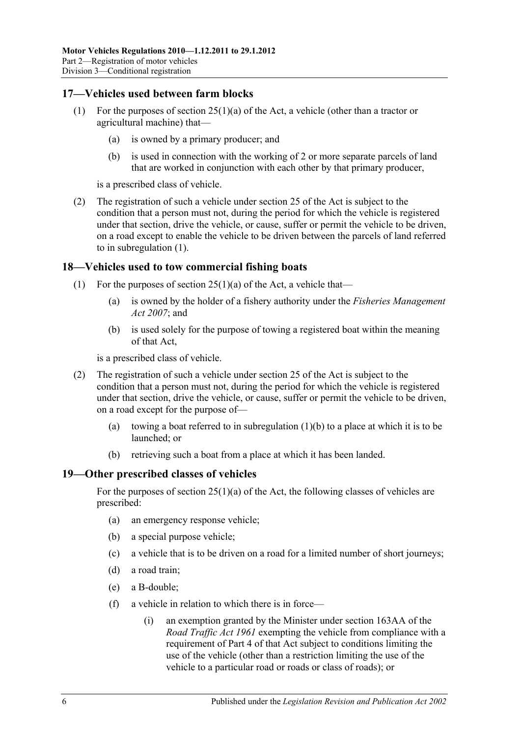# <span id="page-15-3"></span><span id="page-15-0"></span>**17—Vehicles used between farm blocks**

- (1) For the purposes of section 25(1)(a) of the Act, a vehicle (other than a tractor or agricultural machine) that—
	- (a) is owned by a primary producer; and
	- (b) is used in connection with the working of 2 or more separate parcels of land that are worked in conjunction with each other by that primary producer,

is a prescribed class of vehicle.

(2) The registration of such a vehicle under section 25 of the Act is subject to the condition that a person must not, during the period for which the vehicle is registered under that section, drive the vehicle, or cause, suffer or permit the vehicle to be driven, on a road except to enable the vehicle to be driven between the parcels of land referred to in [subregulation](#page-15-3) (1).

### <span id="page-15-1"></span>**18—Vehicles used to tow commercial fishing boats**

- <span id="page-15-4"></span>(1) For the purposes of section  $25(1)(a)$  of the Act, a vehicle that—
	- (a) is owned by the holder of a fishery authority under the *[Fisheries Management](http://www.legislation.sa.gov.au/index.aspx?action=legref&type=act&legtitle=Fisheries%20Management%20Act%202007)  Act [2007](http://www.legislation.sa.gov.au/index.aspx?action=legref&type=act&legtitle=Fisheries%20Management%20Act%202007)*; and
	- (b) is used solely for the purpose of towing a registered boat within the meaning of that Act,

is a prescribed class of vehicle.

- (2) The registration of such a vehicle under section 25 of the Act is subject to the condition that a person must not, during the period for which the vehicle is registered under that section, drive the vehicle, or cause, suffer or permit the vehicle to be driven, on a road except for the purpose of—
	- (a) towing a boat referred to in [subregulation](#page-15-4) (1)(b) to a place at which it is to be launched; or
	- (b) retrieving such a boat from a place at which it has been landed.

#### <span id="page-15-2"></span>**19—Other prescribed classes of vehicles**

For the purposes of section  $25(1)(a)$  of the Act, the following classes of vehicles are prescribed:

- (a) an emergency response vehicle;
- (b) a special purpose vehicle;
- (c) a vehicle that is to be driven on a road for a limited number of short journeys;
- (d) a road train;
- (e) a B-double;
- <span id="page-15-5"></span>(f) a vehicle in relation to which there is in force—
	- (i) an exemption granted by the Minister under section 163AA of the *[Road Traffic Act](http://www.legislation.sa.gov.au/index.aspx?action=legref&type=act&legtitle=Road%20Traffic%20Act%201961) 1961* exempting the vehicle from compliance with a requirement of Part 4 of that Act subject to conditions limiting the use of the vehicle (other than a restriction limiting the use of the vehicle to a particular road or roads or class of roads); or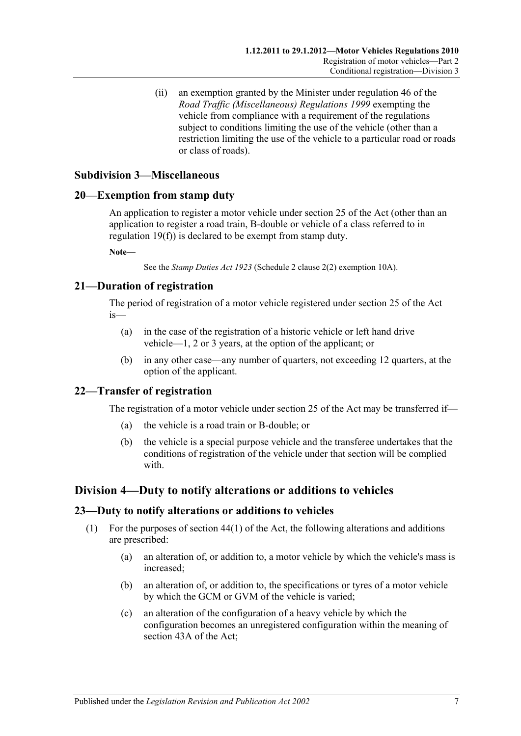(ii) an exemption granted by the Minister under regulation 46 of the *[Road Traffic \(Miscellaneous\) Regulations](http://www.legislation.sa.gov.au/index.aspx?action=legref&type=subordleg&legtitle=Road%20Traffic%20(Miscellaneous)%20Regulations%201999) 1999* exempting the vehicle from compliance with a requirement of the regulations subject to conditions limiting the use of the vehicle (other than a restriction limiting the use of the vehicle to a particular road or roads or class of roads).

# <span id="page-16-0"></span>**Subdivision 3—Miscellaneous**

### <span id="page-16-1"></span>**20—Exemption from stamp duty**

An application to register a motor vehicle under section 25 of the Act (other than an application to register a road train, B-double or vehicle of a class referred to in [regulation](#page-15-5) 19(f)) is declared to be exempt from stamp duty.

**Note—**

See the *[Stamp Duties Act](http://www.legislation.sa.gov.au/index.aspx?action=legref&type=act&legtitle=Stamp%20Duties%20Act%201923) 1923* (Schedule 2 clause 2(2) exemption 10A).

# <span id="page-16-2"></span>**21—Duration of registration**

The period of registration of a motor vehicle registered under section 25 of the Act is—

- (a) in the case of the registration of a historic vehicle or left hand drive vehicle—1, 2 or 3 years, at the option of the applicant; or
- (b) in any other case—any number of quarters, not exceeding 12 quarters, at the option of the applicant.

# <span id="page-16-3"></span>**22—Transfer of registration**

The registration of a motor vehicle under section 25 of the Act may be transferred if—

- (a) the vehicle is a road train or B-double; or
- (b) the vehicle is a special purpose vehicle and the transferee undertakes that the conditions of registration of the vehicle under that section will be complied with.

# <span id="page-16-4"></span>**Division 4—Duty to notify alterations or additions to vehicles**

#### <span id="page-16-5"></span>**23—Duty to notify alterations or additions to vehicles**

- (1) For the purposes of section 44(1) of the Act, the following alterations and additions are prescribed:
	- (a) an alteration of, or addition to, a motor vehicle by which the vehicle's mass is increased;
	- (b) an alteration of, or addition to, the specifications or tyres of a motor vehicle by which the GCM or GVM of the vehicle is varied;
	- (c) an alteration of the configuration of a heavy vehicle by which the configuration becomes an unregistered configuration within the meaning of section 43A of the Act;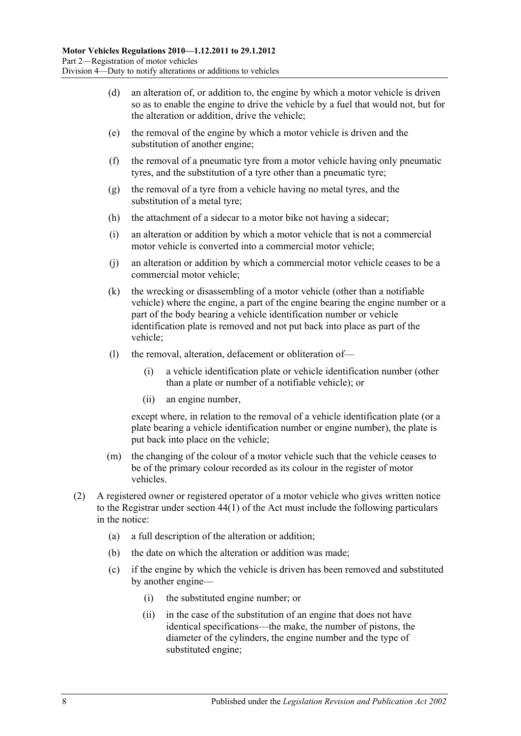- (d) an alteration of, or addition to, the engine by which a motor vehicle is driven so as to enable the engine to drive the vehicle by a fuel that would not, but for the alteration or addition, drive the vehicle;
- (e) the removal of the engine by which a motor vehicle is driven and the substitution of another engine;
- (f) the removal of a pneumatic tyre from a motor vehicle having only pneumatic tyres, and the substitution of a tyre other than a pneumatic tyre;
- (g) the removal of a tyre from a vehicle having no metal tyres, and the substitution of a metal tyre;
- (h) the attachment of a sidecar to a motor bike not having a sidecar;
- (i) an alteration or addition by which a motor vehicle that is not a commercial motor vehicle is converted into a commercial motor vehicle;
- (j) an alteration or addition by which a commercial motor vehicle ceases to be a commercial motor vehicle;
- (k) the wrecking or disassembling of a motor vehicle (other than a notifiable vehicle) where the engine, a part of the engine bearing the engine number or a part of the body bearing a vehicle identification number or vehicle identification plate is removed and not put back into place as part of the vehicle;
- (l) the removal, alteration, defacement or obliteration of—
	- (i) a vehicle identification plate or vehicle identification number (other than a plate or number of a notifiable vehicle); or
	- (ii) an engine number,

except where, in relation to the removal of a vehicle identification plate (or a plate bearing a vehicle identification number or engine number), the plate is put back into place on the vehicle;

- (m) the changing of the colour of a motor vehicle such that the vehicle ceases to be of the primary colour recorded as its colour in the register of motor vehicles.
- (2) A registered owner or registered operator of a motor vehicle who gives written notice to the Registrar under section 44(1) of the Act must include the following particulars in the notice:
	- (a) a full description of the alteration or addition;
	- (b) the date on which the alteration or addition was made;
	- (c) if the engine by which the vehicle is driven has been removed and substituted by another engine—
		- (i) the substituted engine number; or
		- (ii) in the case of the substitution of an engine that does not have identical specifications—the make, the number of pistons, the diameter of the cylinders, the engine number and the type of substituted engine;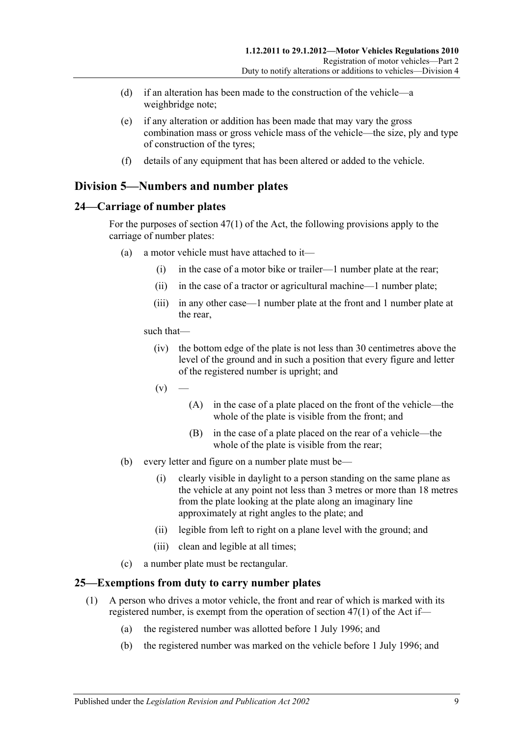- (d) if an alteration has been made to the construction of the vehicle—a weighbridge note;
- (e) if any alteration or addition has been made that may vary the gross combination mass or gross vehicle mass of the vehicle—the size, ply and type of construction of the tyres;
- (f) details of any equipment that has been altered or added to the vehicle.

# <span id="page-18-0"></span>**Division 5—Numbers and number plates**

# <span id="page-18-1"></span>**24—Carriage of number plates**

For the purposes of section 47(1) of the Act, the following provisions apply to the carriage of number plates:

- (a) a motor vehicle must have attached to it—
	- (i) in the case of a motor bike or trailer—1 number plate at the rear;
	- (ii) in the case of a tractor or agricultural machine—1 number plate;
	- (iii) in any other case—1 number plate at the front and 1 number plate at the rear,

such that—

- (iv) the bottom edge of the plate is not less than 30 centimetres above the level of the ground and in such a position that every figure and letter of the registered number is upright; and
- $(v)$
- (A) in the case of a plate placed on the front of the vehicle—the whole of the plate is visible from the front; and
- (B) in the case of a plate placed on the rear of a vehicle—the whole of the plate is visible from the rear;
- (b) every letter and figure on a number plate must be—
	- (i) clearly visible in daylight to a person standing on the same plane as the vehicle at any point not less than 3 metres or more than 18 metres from the plate looking at the plate along an imaginary line approximately at right angles to the plate; and
	- (ii) legible from left to right on a plane level with the ground; and
	- (iii) clean and legible at all times;
- (c) a number plate must be rectangular.

# <span id="page-18-2"></span>**25—Exemptions from duty to carry number plates**

- (1) A person who drives a motor vehicle, the front and rear of which is marked with its registered number, is exempt from the operation of section 47(1) of the Act if—
	- (a) the registered number was allotted before 1 July 1996; and
	- (b) the registered number was marked on the vehicle before 1 July 1996; and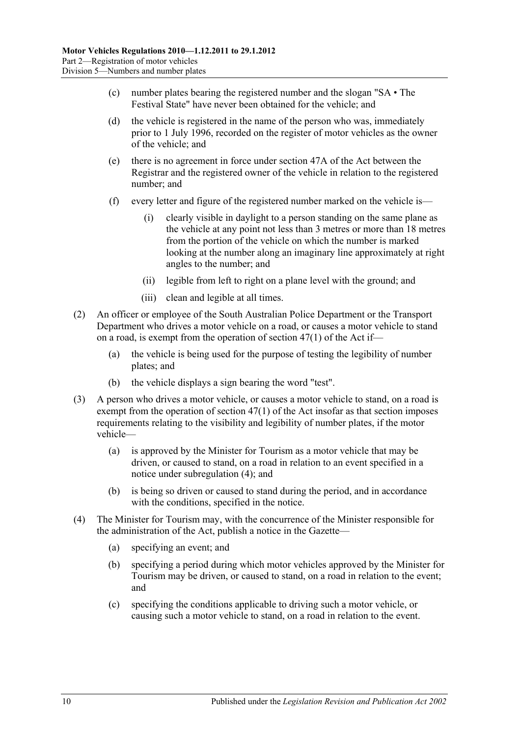- (c) number plates bearing the registered number and the slogan "SA The Festival State" have never been obtained for the vehicle; and
- (d) the vehicle is registered in the name of the person who was, immediately prior to 1 July 1996, recorded on the register of motor vehicles as the owner of the vehicle; and
- (e) there is no agreement in force under section 47A of the Act between the Registrar and the registered owner of the vehicle in relation to the registered number; and
- (f) every letter and figure of the registered number marked on the vehicle is—
	- (i) clearly visible in daylight to a person standing on the same plane as the vehicle at any point not less than 3 metres or more than 18 metres from the portion of the vehicle on which the number is marked looking at the number along an imaginary line approximately at right angles to the number; and
	- (ii) legible from left to right on a plane level with the ground; and
	- (iii) clean and legible at all times.
- (2) An officer or employee of the South Australian Police Department or the Transport Department who drives a motor vehicle on a road, or causes a motor vehicle to stand on a road, is exempt from the operation of section 47(1) of the Act if—
	- (a) the vehicle is being used for the purpose of testing the legibility of number plates; and
	- (b) the vehicle displays a sign bearing the word "test".
- <span id="page-19-1"></span>(3) A person who drives a motor vehicle, or causes a motor vehicle to stand, on a road is exempt from the operation of section 47(1) of the Act insofar as that section imposes requirements relating to the visibility and legibility of number plates, if the motor vehicle—
	- (a) is approved by the Minister for Tourism as a motor vehicle that may be driven, or caused to stand, on a road in relation to an event specified in a notice under [subregulation](#page-19-0) (4); and
	- (b) is being so driven or caused to stand during the period, and in accordance with the conditions, specified in the notice.
- <span id="page-19-0"></span>(4) The Minister for Tourism may, with the concurrence of the Minister responsible for the administration of the Act, publish a notice in the Gazette—
	- (a) specifying an event; and
	- (b) specifying a period during which motor vehicles approved by the Minister for Tourism may be driven, or caused to stand, on a road in relation to the event; and
	- (c) specifying the conditions applicable to driving such a motor vehicle, or causing such a motor vehicle to stand, on a road in relation to the event.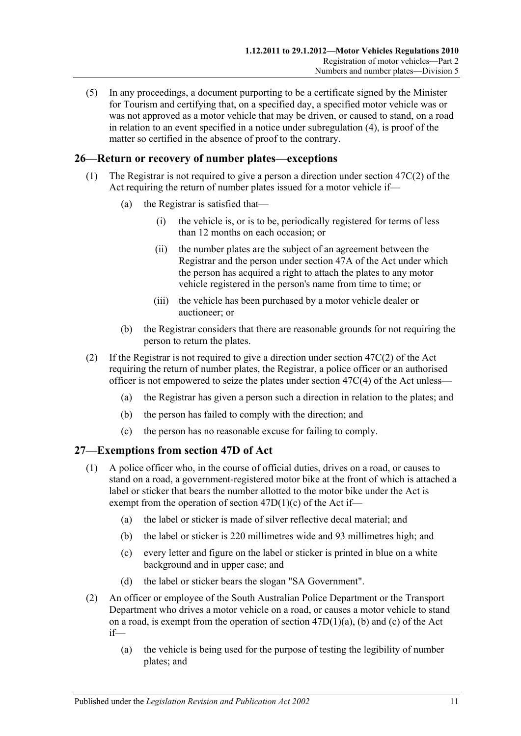(5) In any proceedings, a document purporting to be a certificate signed by the Minister for Tourism and certifying that, on a specified day, a specified motor vehicle was or was not approved as a motor vehicle that may be driven, or caused to stand, on a road in relation to an event specified in a notice under [subregulation](#page-19-0) (4), is proof of the matter so certified in the absence of proof to the contrary.

# <span id="page-20-0"></span>**26—Return or recovery of number plates—exceptions**

- (1) The Registrar is not required to give a person a direction under section 47C(2) of the Act requiring the return of number plates issued for a motor vehicle if—
	- (a) the Registrar is satisfied that—
		- (i) the vehicle is, or is to be, periodically registered for terms of less than 12 months on each occasion; or
		- (ii) the number plates are the subject of an agreement between the Registrar and the person under section 47A of the Act under which the person has acquired a right to attach the plates to any motor vehicle registered in the person's name from time to time; or
		- (iii) the vehicle has been purchased by a motor vehicle dealer or auctioneer; or
	- (b) the Registrar considers that there are reasonable grounds for not requiring the person to return the plates.
- (2) If the Registrar is not required to give a direction under section 47C(2) of the Act requiring the return of number plates, the Registrar, a police officer or an authorised officer is not empowered to seize the plates under section 47C(4) of the Act unless—
	- (a) the Registrar has given a person such a direction in relation to the plates; and
	- (b) the person has failed to comply with the direction; and
	- (c) the person has no reasonable excuse for failing to comply.

# <span id="page-20-1"></span>**27—Exemptions from section 47D of Act**

- (1) A police officer who, in the course of official duties, drives on a road, or causes to stand on a road, a government-registered motor bike at the front of which is attached a label or sticker that bears the number allotted to the motor bike under the Act is exempt from the operation of section 47D(1)(c) of the Act if—
	- (a) the label or sticker is made of silver reflective decal material; and
	- (b) the label or sticker is 220 millimetres wide and 93 millimetres high; and
	- (c) every letter and figure on the label or sticker is printed in blue on a white background and in upper case; and
	- (d) the label or sticker bears the slogan "SA Government".
- (2) An officer or employee of the South Australian Police Department or the Transport Department who drives a motor vehicle on a road, or causes a motor vehicle to stand on a road, is exempt from the operation of section 47D(1)(a), (b) and (c) of the Act if—
	- (a) the vehicle is being used for the purpose of testing the legibility of number plates; and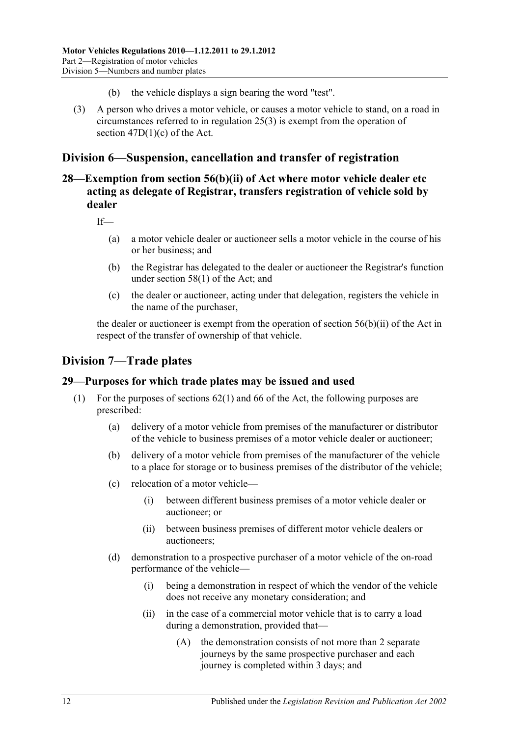- (b) the vehicle displays a sign bearing the word "test".
- (3) A person who drives a motor vehicle, or causes a motor vehicle to stand, on a road in circumstances referred to in [regulation](#page-19-1) 25(3) is exempt from the operation of section 47D(1)(c) of the Act.

# <span id="page-21-0"></span>**Division 6—Suspension, cancellation and transfer of registration**

# <span id="page-21-1"></span>**28—Exemption from section 56(b)(ii) of Act where motor vehicle dealer etc acting as delegate of Registrar, transfers registration of vehicle sold by dealer**

If—

- (a) a motor vehicle dealer or auctioneer sells a motor vehicle in the course of his or her business; and
- (b) the Registrar has delegated to the dealer or auctioneer the Registrar's function under section 58(1) of the Act; and
- (c) the dealer or auctioneer, acting under that delegation, registers the vehicle in the name of the purchaser,

the dealer or auctioneer is exempt from the operation of section 56(b)(ii) of the Act in respect of the transfer of ownership of that vehicle.

# <span id="page-21-2"></span>**Division 7—Trade plates**

# <span id="page-21-3"></span>**29—Purposes for which trade plates may be issued and used**

- (1) For the purposes of sections 62(1) and 66 of the Act, the following purposes are prescribed:
	- (a) delivery of a motor vehicle from premises of the manufacturer or distributor of the vehicle to business premises of a motor vehicle dealer or auctioneer;
	- (b) delivery of a motor vehicle from premises of the manufacturer of the vehicle to a place for storage or to business premises of the distributor of the vehicle;
	- (c) relocation of a motor vehicle—
		- (i) between different business premises of a motor vehicle dealer or auctioneer; or
		- (ii) between business premises of different motor vehicle dealers or auctioneers;
	- (d) demonstration to a prospective purchaser of a motor vehicle of the on-road performance of the vehicle—
		- (i) being a demonstration in respect of which the vendor of the vehicle does not receive any monetary consideration; and
		- (ii) in the case of a commercial motor vehicle that is to carry a load during a demonstration, provided that—
			- (A) the demonstration consists of not more than 2 separate journeys by the same prospective purchaser and each journey is completed within 3 days; and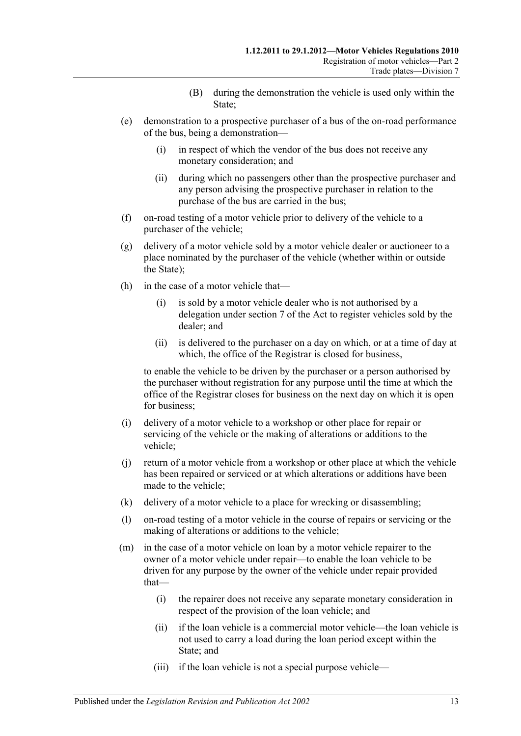- (B) during the demonstration the vehicle is used only within the State;
- (e) demonstration to a prospective purchaser of a bus of the on-road performance of the bus, being a demonstration—
	- (i) in respect of which the vendor of the bus does not receive any monetary consideration; and
	- (ii) during which no passengers other than the prospective purchaser and any person advising the prospective purchaser in relation to the purchase of the bus are carried in the bus;
- (f) on-road testing of a motor vehicle prior to delivery of the vehicle to a purchaser of the vehicle;
- (g) delivery of a motor vehicle sold by a motor vehicle dealer or auctioneer to a place nominated by the purchaser of the vehicle (whether within or outside the State);
- (h) in the case of a motor vehicle that—
	- (i) is sold by a motor vehicle dealer who is not authorised by a delegation under section 7 of the Act to register vehicles sold by the dealer; and
	- (ii) is delivered to the purchaser on a day on which, or at a time of day at which, the office of the Registrar is closed for business,

to enable the vehicle to be driven by the purchaser or a person authorised by the purchaser without registration for any purpose until the time at which the office of the Registrar closes for business on the next day on which it is open for business;

- (i) delivery of a motor vehicle to a workshop or other place for repair or servicing of the vehicle or the making of alterations or additions to the vehicle;
- (j) return of a motor vehicle from a workshop or other place at which the vehicle has been repaired or serviced or at which alterations or additions have been made to the vehicle;
- (k) delivery of a motor vehicle to a place for wrecking or disassembling;
- (l) on-road testing of a motor vehicle in the course of repairs or servicing or the making of alterations or additions to the vehicle;
- (m) in the case of a motor vehicle on loan by a motor vehicle repairer to the owner of a motor vehicle under repair—to enable the loan vehicle to be driven for any purpose by the owner of the vehicle under repair provided that—
	- (i) the repairer does not receive any separate monetary consideration in respect of the provision of the loan vehicle; and
	- (ii) if the loan vehicle is a commercial motor vehicle—the loan vehicle is not used to carry a load during the loan period except within the State; and
	- (iii) if the loan vehicle is not a special purpose vehicle—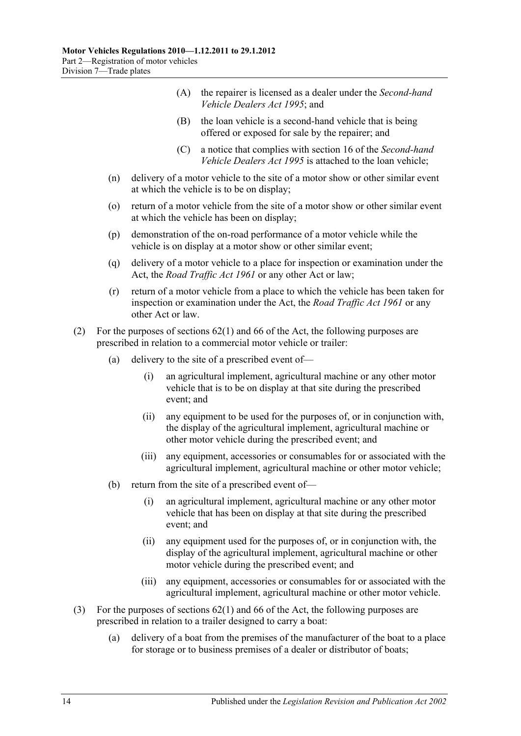- (A) the repairer is licensed as a dealer under the *[Second-hand](http://www.legislation.sa.gov.au/index.aspx?action=legref&type=act&legtitle=Second-hand%20Vehicle%20Dealers%20Act%201995)  [Vehicle Dealers Act](http://www.legislation.sa.gov.au/index.aspx?action=legref&type=act&legtitle=Second-hand%20Vehicle%20Dealers%20Act%201995) 1995*; and
- (B) the loan vehicle is a second-hand vehicle that is being offered or exposed for sale by the repairer; and
- (C) a notice that complies with section 16 of the *[Second-hand](http://www.legislation.sa.gov.au/index.aspx?action=legref&type=act&legtitle=Second-hand%20Vehicle%20Dealers%20Act%201995)  [Vehicle Dealers Act](http://www.legislation.sa.gov.au/index.aspx?action=legref&type=act&legtitle=Second-hand%20Vehicle%20Dealers%20Act%201995) 1995* is attached to the loan vehicle;
- (n) delivery of a motor vehicle to the site of a motor show or other similar event at which the vehicle is to be on display;
- (o) return of a motor vehicle from the site of a motor show or other similar event at which the vehicle has been on display;
- (p) demonstration of the on-road performance of a motor vehicle while the vehicle is on display at a motor show or other similar event;
- (q) delivery of a motor vehicle to a place for inspection or examination under the Act, the *[Road Traffic Act](http://www.legislation.sa.gov.au/index.aspx?action=legref&type=act&legtitle=Road%20Traffic%20Act%201961) 1961* or any other Act or law;
- (r) return of a motor vehicle from a place to which the vehicle has been taken for inspection or examination under the Act, the *[Road Traffic Act](http://www.legislation.sa.gov.au/index.aspx?action=legref&type=act&legtitle=Road%20Traffic%20Act%201961) 1961* or any other Act or law.
- (2) For the purposes of sections 62(1) and 66 of the Act, the following purposes are prescribed in relation to a commercial motor vehicle or trailer:
	- (a) delivery to the site of a prescribed event of—
		- (i) an agricultural implement, agricultural machine or any other motor vehicle that is to be on display at that site during the prescribed event; and
		- (ii) any equipment to be used for the purposes of, or in conjunction with, the display of the agricultural implement, agricultural machine or other motor vehicle during the prescribed event; and
		- (iii) any equipment, accessories or consumables for or associated with the agricultural implement, agricultural machine or other motor vehicle;
	- (b) return from the site of a prescribed event of—
		- (i) an agricultural implement, agricultural machine or any other motor vehicle that has been on display at that site during the prescribed event; and
		- (ii) any equipment used for the purposes of, or in conjunction with, the display of the agricultural implement, agricultural machine or other motor vehicle during the prescribed event; and
		- (iii) any equipment, accessories or consumables for or associated with the agricultural implement, agricultural machine or other motor vehicle.
- (3) For the purposes of sections 62(1) and 66 of the Act, the following purposes are prescribed in relation to a trailer designed to carry a boat:
	- (a) delivery of a boat from the premises of the manufacturer of the boat to a place for storage or to business premises of a dealer or distributor of boats;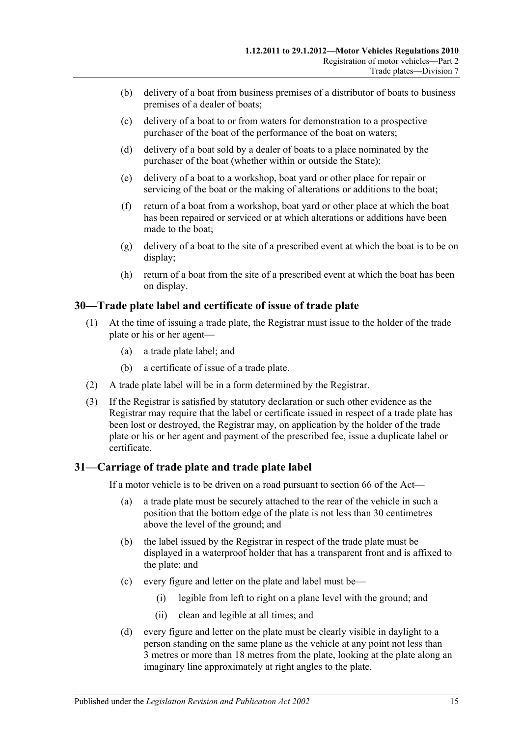- (b) delivery of a boat from business premises of a distributor of boats to business premises of a dealer of boats;
- (c) delivery of a boat to or from waters for demonstration to a prospective purchaser of the boat of the performance of the boat on waters;
- (d) delivery of a boat sold by a dealer of boats to a place nominated by the purchaser of the boat (whether within or outside the State);
- (e) delivery of a boat to a workshop, boat yard or other place for repair or servicing of the boat or the making of alterations or additions to the boat;
- (f) return of a boat from a workshop, boat yard or other place at which the boat has been repaired or serviced or at which alterations or additions have been made to the boat;
- (g) delivery of a boat to the site of a prescribed event at which the boat is to be on display;
- (h) return of a boat from the site of a prescribed event at which the boat has been on display.

# <span id="page-24-0"></span>**30—Trade plate label and certificate of issue of trade plate**

- (1) At the time of issuing a trade plate, the Registrar must issue to the holder of the trade plate or his or her agent—
	- (a) a trade plate label; and
	- (b) a certificate of issue of a trade plate.
- (2) A trade plate label will be in a form determined by the Registrar.
- (3) If the Registrar is satisfied by statutory declaration or such other evidence as the Registrar may require that the label or certificate issued in respect of a trade plate has been lost or destroyed, the Registrar may, on application by the holder of the trade plate or his or her agent and payment of the prescribed fee, issue a duplicate label or certificate.

# <span id="page-24-1"></span>**31—Carriage of trade plate and trade plate label**

If a motor vehicle is to be driven on a road pursuant to section 66 of the Act—

- (a) a trade plate must be securely attached to the rear of the vehicle in such a position that the bottom edge of the plate is not less than 30 centimetres above the level of the ground; and
- (b) the label issued by the Registrar in respect of the trade plate must be displayed in a waterproof holder that has a transparent front and is affixed to the plate; and
- (c) every figure and letter on the plate and label must be—
	- (i) legible from left to right on a plane level with the ground; and
	- (ii) clean and legible at all times; and
- (d) every figure and letter on the plate must be clearly visible in daylight to a person standing on the same plane as the vehicle at any point not less than 3 metres or more than 18 metres from the plate, looking at the plate along an imaginary line approximately at right angles to the plate.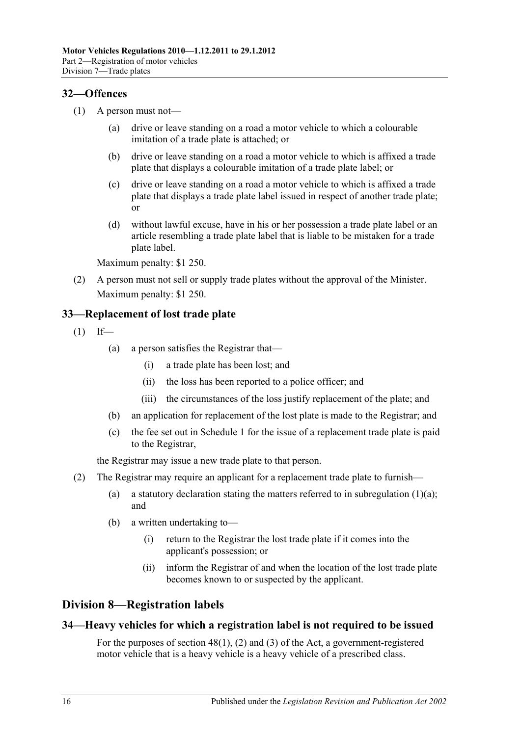# <span id="page-25-0"></span>**32—Offences**

- (1) A person must not—
	- (a) drive or leave standing on a road a motor vehicle to which a colourable imitation of a trade plate is attached; or
	- (b) drive or leave standing on a road a motor vehicle to which is affixed a trade plate that displays a colourable imitation of a trade plate label; or
	- (c) drive or leave standing on a road a motor vehicle to which is affixed a trade plate that displays a trade plate label issued in respect of another trade plate; or
	- (d) without lawful excuse, have in his or her possession a trade plate label or an article resembling a trade plate label that is liable to be mistaken for a trade plate label.

Maximum penalty: \$1 250.

(2) A person must not sell or supply trade plates without the approval of the Minister. Maximum penalty: \$1 250.

# <span id="page-25-1"></span>**33—Replacement of lost trade plate**

<span id="page-25-4"></span> $(1)$  If—

- (a) a person satisfies the Registrar that—
	- (i) a trade plate has been lost; and
	- (ii) the loss has been reported to a police officer; and
	- (iii) the circumstances of the loss justify replacement of the plate; and
- (b) an application for replacement of the lost plate is made to the Registrar; and
- (c) the fee set out in [Schedule 1](#page-68-0) for the issue of a replacement trade plate is paid to the Registrar,

the Registrar may issue a new trade plate to that person.

- (2) The Registrar may require an applicant for a replacement trade plate to furnish
	- (a) a statutory declaration stating the matters referred to in [subregulation](#page-25-4)  $(1)(a)$ ; and
	- (b) a written undertaking to—
		- (i) return to the Registrar the lost trade plate if it comes into the applicant's possession; or
		- (ii) inform the Registrar of and when the location of the lost trade plate becomes known to or suspected by the applicant.

# <span id="page-25-2"></span>**Division 8—Registration labels**

# <span id="page-25-3"></span>**34—Heavy vehicles for which a registration label is not required to be issued**

For the purposes of section 48(1), (2) and (3) of the Act, a government-registered motor vehicle that is a heavy vehicle is a heavy vehicle of a prescribed class.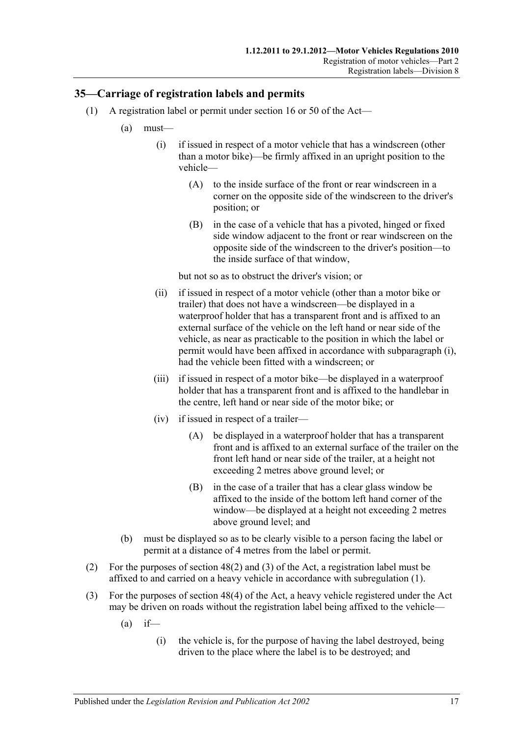# <span id="page-26-2"></span><span id="page-26-0"></span>**35—Carriage of registration labels and permits**

- <span id="page-26-1"></span>(1) A registration label or permit under section 16 or 50 of the Act—
	- (a) must—
		- (i) if issued in respect of a motor vehicle that has a windscreen (other than a motor bike)—be firmly affixed in an upright position to the vehicle—
			- (A) to the inside surface of the front or rear windscreen in a corner on the opposite side of the windscreen to the driver's position; or
			- (B) in the case of a vehicle that has a pivoted, hinged or fixed side window adjacent to the front or rear windscreen on the opposite side of the windscreen to the driver's position—to the inside surface of that window,

but not so as to obstruct the driver's vision; or

- (ii) if issued in respect of a motor vehicle (other than a motor bike or trailer) that does not have a windscreen—be displayed in a waterproof holder that has a transparent front and is affixed to an external surface of the vehicle on the left hand or near side of the vehicle, as near as practicable to the position in which the label or permit would have been affixed in accordance with [subparagraph](#page-26-1) (i), had the vehicle been fitted with a windscreen; or
- (iii) if issued in respect of a motor bike—be displayed in a waterproof holder that has a transparent front and is affixed to the handlebar in the centre, left hand or near side of the motor bike; or
- (iv) if issued in respect of a trailer—
	- (A) be displayed in a waterproof holder that has a transparent front and is affixed to an external surface of the trailer on the front left hand or near side of the trailer, at a height not exceeding 2 metres above ground level; or
	- (B) in the case of a trailer that has a clear glass window be affixed to the inside of the bottom left hand corner of the window—be displayed at a height not exceeding 2 metres above ground level; and
- (b) must be displayed so as to be clearly visible to a person facing the label or permit at a distance of 4 metres from the label or permit.
- (2) For the purposes of section 48(2) and (3) of the Act, a registration label must be affixed to and carried on a heavy vehicle in accordance with [subregulation](#page-26-2) (1).
- (3) For the purposes of section 48(4) of the Act, a heavy vehicle registered under the Act may be driven on roads without the registration label being affixed to the vehicle—
	- $(a)$  if—
		- (i) the vehicle is, for the purpose of having the label destroyed, being driven to the place where the label is to be destroyed; and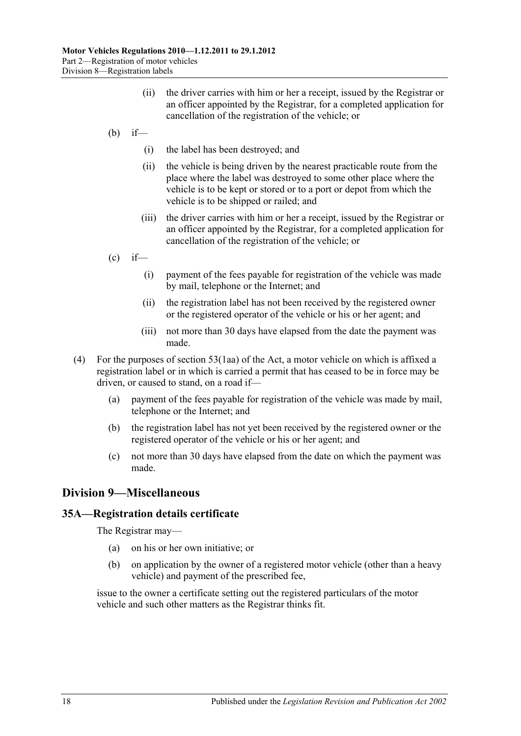- (ii) the driver carries with him or her a receipt, issued by the Registrar or an officer appointed by the Registrar, for a completed application for cancellation of the registration of the vehicle; or
- (b) if—
	- (i) the label has been destroyed; and
	- (ii) the vehicle is being driven by the nearest practicable route from the place where the label was destroyed to some other place where the vehicle is to be kept or stored or to a port or depot from which the vehicle is to be shipped or railed; and
	- (iii) the driver carries with him or her a receipt, issued by the Registrar or an officer appointed by the Registrar, for a completed application for cancellation of the registration of the vehicle; or
- $\int_{c}^{c}$  if—
	- (i) payment of the fees payable for registration of the vehicle was made by mail, telephone or the Internet; and
	- (ii) the registration label has not been received by the registered owner or the registered operator of the vehicle or his or her agent; and
	- (iii) not more than 30 days have elapsed from the date the payment was made.
- (4) For the purposes of section 53(1aa) of the Act, a motor vehicle on which is affixed a registration label or in which is carried a permit that has ceased to be in force may be driven, or caused to stand, on a road if—
	- (a) payment of the fees payable for registration of the vehicle was made by mail, telephone or the Internet; and
	- (b) the registration label has not yet been received by the registered owner or the registered operator of the vehicle or his or her agent; and
	- (c) not more than 30 days have elapsed from the date on which the payment was made.

# <span id="page-27-0"></span>**Division 9—Miscellaneous**

# <span id="page-27-1"></span>**35A—Registration details certificate**

The Registrar may—

- (a) on his or her own initiative; or
- (b) on application by the owner of a registered motor vehicle (other than a heavy vehicle) and payment of the prescribed fee,

issue to the owner a certificate setting out the registered particulars of the motor vehicle and such other matters as the Registrar thinks fit.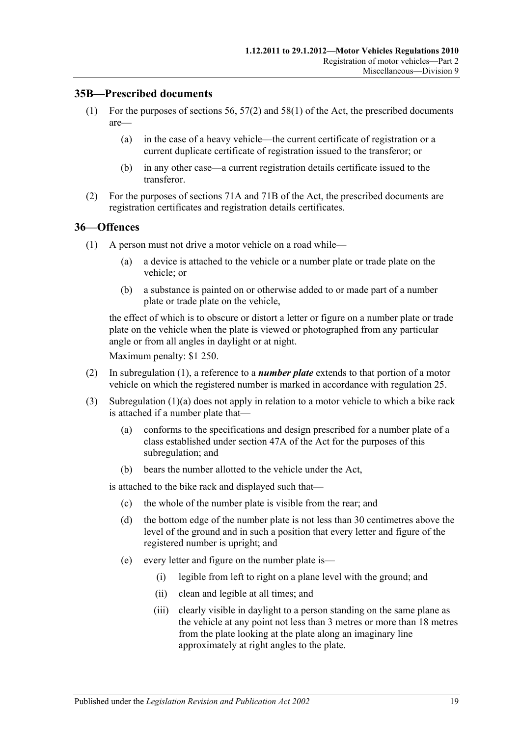### <span id="page-28-0"></span>**35B—Prescribed documents**

- (1) For the purposes of sections 56, 57(2) and 58(1) of the Act, the prescribed documents are—
	- (a) in the case of a heavy vehicle—the current certificate of registration or a current duplicate certificate of registration issued to the transferor; or
	- (b) in any other case—a current registration details certificate issued to the transferor.
- (2) For the purposes of sections 71A and 71B of the Act, the prescribed documents are registration certificates and registration details certificates.

#### <span id="page-28-2"></span><span id="page-28-1"></span>**36—Offences**

- <span id="page-28-3"></span>(1) A person must not drive a motor vehicle on a road while—
	- (a) a device is attached to the vehicle or a number plate or trade plate on the vehicle; or
	- (b) a substance is painted on or otherwise added to or made part of a number plate or trade plate on the vehicle,

the effect of which is to obscure or distort a letter or figure on a number plate or trade plate on the vehicle when the plate is viewed or photographed from any particular angle or from all angles in daylight or at night.

Maximum penalty: \$1 250.

- (2) In [subregulation](#page-28-2) (1), a reference to a *number plate* extends to that portion of a motor vehicle on which the registered number is marked in accordance with [regulation](#page-18-2) 25.
- (3) [Subregulation](#page-28-3) (1)(a) does not apply in relation to a motor vehicle to which a bike rack is attached if a number plate that—
	- (a) conforms to the specifications and design prescribed for a number plate of a class established under section 47A of the Act for the purposes of this subregulation; and
	- (b) bears the number allotted to the vehicle under the Act,

is attached to the bike rack and displayed such that—

- (c) the whole of the number plate is visible from the rear; and
- (d) the bottom edge of the number plate is not less than 30 centimetres above the level of the ground and in such a position that every letter and figure of the registered number is upright; and
- (e) every letter and figure on the number plate is—
	- (i) legible from left to right on a plane level with the ground; and
	- (ii) clean and legible at all times; and
	- (iii) clearly visible in daylight to a person standing on the same plane as the vehicle at any point not less than 3 metres or more than 18 metres from the plate looking at the plate along an imaginary line approximately at right angles to the plate.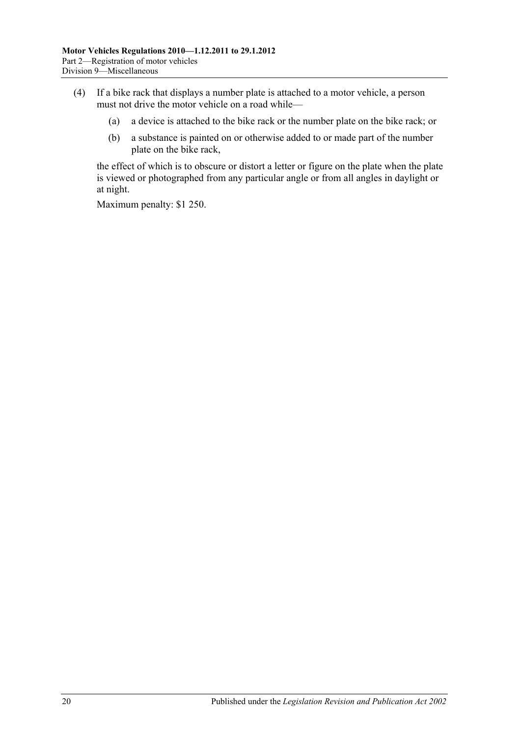- (4) If a bike rack that displays a number plate is attached to a motor vehicle, a person must not drive the motor vehicle on a road while—
	- (a) a device is attached to the bike rack or the number plate on the bike rack; or
	- (b) a substance is painted on or otherwise added to or made part of the number plate on the bike rack,

the effect of which is to obscure or distort a letter or figure on the plate when the plate is viewed or photographed from any particular angle or from all angles in daylight or at night.

Maximum penalty: \$1 250.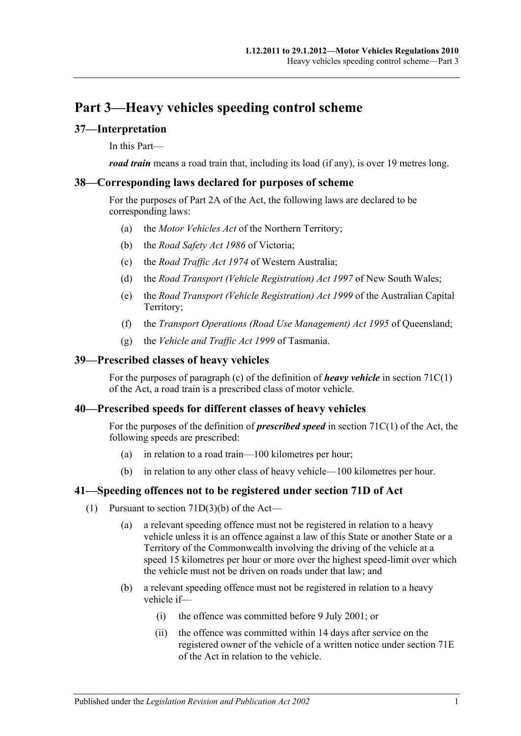# <span id="page-30-0"></span>**Part 3—Heavy vehicles speeding control scheme**

# <span id="page-30-1"></span>**37—Interpretation**

In this Part—

*road train* means a road train that, including its load (if any), is over 19 metres long.

### <span id="page-30-2"></span>**38—Corresponding laws declared for purposes of scheme**

For the purposes of Part 2A of the Act, the following laws are declared to be corresponding laws:

- (a) the *Motor Vehicles Act* of the Northern Territory;
- (b) the *Road Safety Act 1986* of Victoria;
- (c) the *Road Traffic Act 1974* of Western Australia;
- (d) the *Road Transport (Vehicle Registration) Act 1997* of New South Wales;
- (e) the *Road Transport (Vehicle Registration) Act 1999* of the Australian Capital Territory;
- (f) the *Transport Operations (Road Use Management) Act 1995* of Queensland;
- (g) the *Vehicle and Traffic Act 1999* of Tasmania.

# <span id="page-30-3"></span>**39—Prescribed classes of heavy vehicles**

For the purposes of paragraph (c) of the definition of *heavy vehicle* in section 71C(1) of the Act, a road train is a prescribed class of motor vehicle.

# <span id="page-30-4"></span>**40—Prescribed speeds for different classes of heavy vehicles**

For the purposes of the definition of *prescribed speed* in section 71C(1) of the Act, the following speeds are prescribed:

- (a) in relation to a road train—100 kilometres per hour;
- (b) in relation to any other class of heavy vehicle—100 kilometres per hour.

# <span id="page-30-5"></span>**41—Speeding offences not to be registered under section 71D of Act**

- (1) Pursuant to section  $71D(3)(b)$  of the Act—
	- (a) a relevant speeding offence must not be registered in relation to a heavy vehicle unless it is an offence against a law of this State or another State or a Territory of the Commonwealth involving the driving of the vehicle at a speed 15 kilometres per hour or more over the highest speed-limit over which the vehicle must not be driven on roads under that law; and
	- (b) a relevant speeding offence must not be registered in relation to a heavy vehicle if—
		- (i) the offence was committed before 9 July 2001; or
		- (ii) the offence was committed within 14 days after service on the registered owner of the vehicle of a written notice under section 71E of the Act in relation to the vehicle.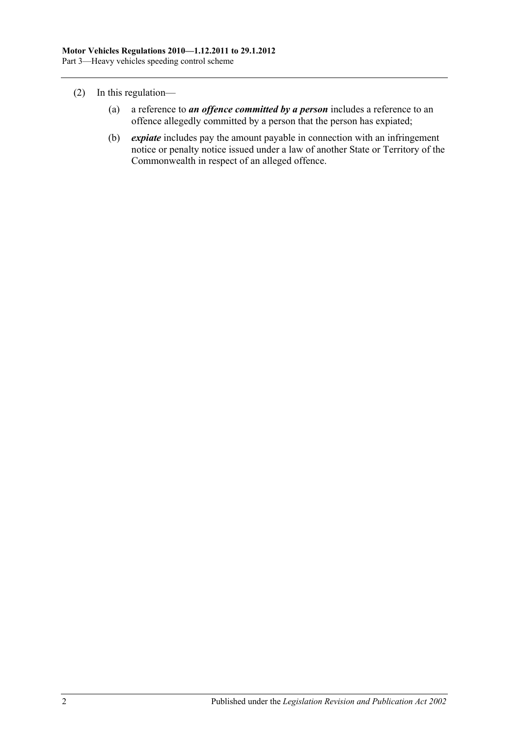- (2) In this regulation—
	- (a) a reference to *an offence committed by a person* includes a reference to an offence allegedly committed by a person that the person has expiated;
	- (b) *expiate* includes pay the amount payable in connection with an infringement notice or penalty notice issued under a law of another State or Territory of the Commonwealth in respect of an alleged offence.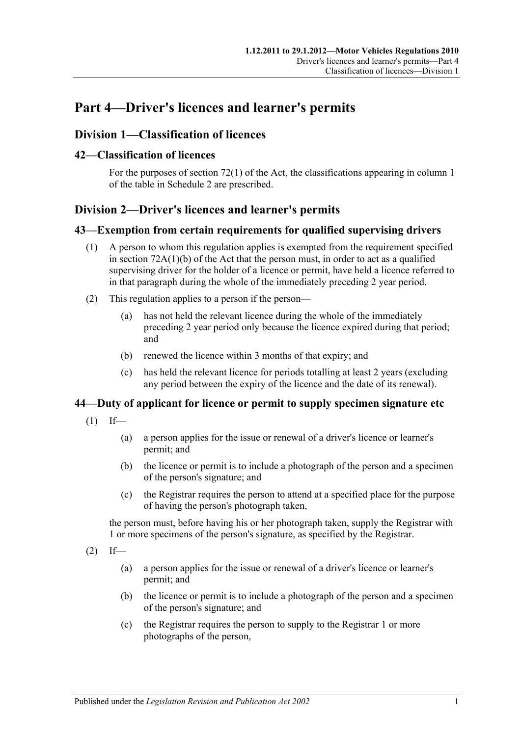# <span id="page-32-0"></span>**Part 4—Driver's licences and learner's permits**

# <span id="page-32-1"></span>**Division 1—Classification of licences**

### <span id="page-32-2"></span>**42—Classification of licences**

For the purposes of section 72(1) of the Act, the classifications appearing in column 1 of the table in [Schedule 2](#page-78-0) are prescribed.

# <span id="page-32-3"></span>**Division 2—Driver's licences and learner's permits**

#### <span id="page-32-4"></span>**43—Exemption from certain requirements for qualified supervising drivers**

- (1) A person to whom this regulation applies is exempted from the requirement specified in section 72A(1)(b) of the Act that the person must, in order to act as a qualified supervising driver for the holder of a licence or permit, have held a licence referred to in that paragraph during the whole of the immediately preceding 2 year period.
- (2) This regulation applies to a person if the person—
	- (a) has not held the relevant licence during the whole of the immediately preceding 2 year period only because the licence expired during that period; and
	- (b) renewed the licence within 3 months of that expiry; and
	- (c) has held the relevant licence for periods totalling at least 2 years (excluding any period between the expiry of the licence and the date of its renewal).

# <span id="page-32-5"></span>**44—Duty of applicant for licence or permit to supply specimen signature etc**

- $(1)$  If—
	- (a) a person applies for the issue or renewal of a driver's licence or learner's permit; and
	- (b) the licence or permit is to include a photograph of the person and a specimen of the person's signature; and
	- (c) the Registrar requires the person to attend at a specified place for the purpose of having the person's photograph taken,

the person must, before having his or her photograph taken, supply the Registrar with 1 or more specimens of the person's signature, as specified by the Registrar.

- $(2)$  If—
	- (a) a person applies for the issue or renewal of a driver's licence or learner's permit; and
	- (b) the licence or permit is to include a photograph of the person and a specimen of the person's signature; and
	- (c) the Registrar requires the person to supply to the Registrar 1 or more photographs of the person,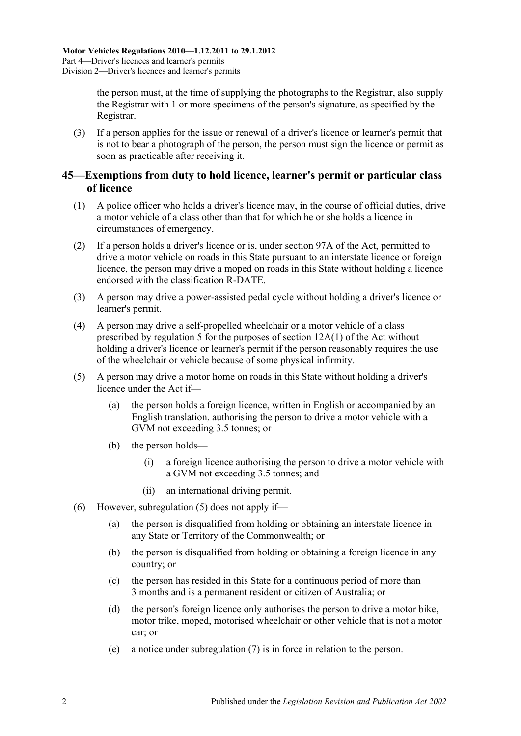the person must, at the time of supplying the photographs to the Registrar, also supply the Registrar with 1 or more specimens of the person's signature, as specified by the Registrar.

(3) If a person applies for the issue or renewal of a driver's licence or learner's permit that is not to bear a photograph of the person, the person must sign the licence or permit as soon as practicable after receiving it.

# <span id="page-33-0"></span>**45—Exemptions from duty to hold licence, learner's permit or particular class of licence**

- (1) A police officer who holds a driver's licence may, in the course of official duties, drive a motor vehicle of a class other than that for which he or she holds a licence in circumstances of emergency.
- (2) If a person holds a driver's licence or is, under section 97A of the Act, permitted to drive a motor vehicle on roads in this State pursuant to an interstate licence or foreign licence, the person may drive a moped on roads in this State without holding a licence endorsed with the classification R-DATE.
- (3) A person may drive a power-assisted pedal cycle without holding a driver's licence or learner's permit.
- (4) A person may drive a self-propelled wheelchair or a motor vehicle of a class prescribed by [regulation](#page-10-2) 5 for the purposes of section 12A(1) of the Act without holding a driver's licence or learner's permit if the person reasonably requires the use of the wheelchair or vehicle because of some physical infirmity.
- <span id="page-33-1"></span>(5) A person may drive a motor home on roads in this State without holding a driver's licence under the Act if—
	- (a) the person holds a foreign licence, written in English or accompanied by an English translation, authorising the person to drive a motor vehicle with a GVM not exceeding 3.5 tonnes; or
	- (b) the person holds—
		- (i) a foreign licence authorising the person to drive a motor vehicle with a GVM not exceeding 3.5 tonnes; and
		- (ii) an international driving permit.
- (6) However, [subregulation](#page-33-1) (5) does not apply if—
	- (a) the person is disqualified from holding or obtaining an interstate licence in any State or Territory of the Commonwealth; or
	- (b) the person is disqualified from holding or obtaining a foreign licence in any country; or
	- (c) the person has resided in this State for a continuous period of more than 3 months and is a permanent resident or citizen of Australia; or
	- (d) the person's foreign licence only authorises the person to drive a motor bike, motor trike, moped, motorised wheelchair or other vehicle that is not a motor car; or
	- (e) a notice under [subregulation](#page-34-1) (7) is in force in relation to the person.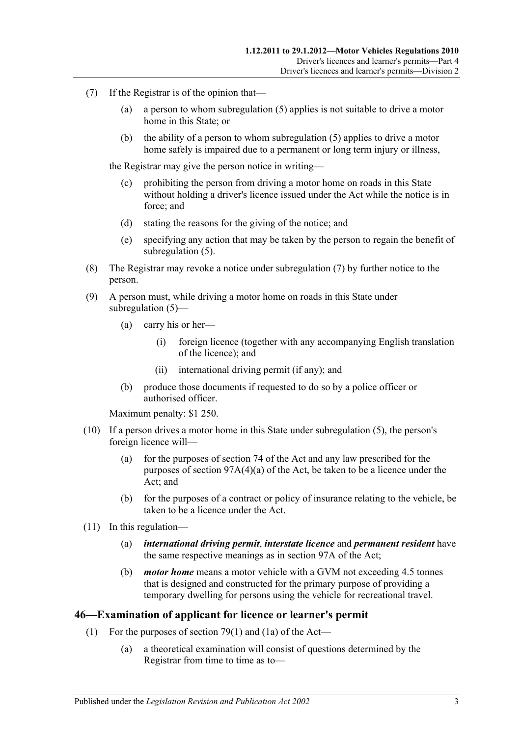- <span id="page-34-1"></span>(7) If the Registrar is of the opinion that—
	- (a) a person to whom [subregulation](#page-33-1) (5) applies is not suitable to drive a motor home in this State; or
	- (b) the ability of a person to whom [subregulation](#page-33-1) (5) applies to drive a motor home safely is impaired due to a permanent or long term injury or illness,

the Registrar may give the person notice in writing—

- (c) prohibiting the person from driving a motor home on roads in this State without holding a driver's licence issued under the Act while the notice is in force; and
- (d) stating the reasons for the giving of the notice; and
- (e) specifying any action that may be taken by the person to regain the benefit of [subregulation](#page-33-1) (5).
- (8) The Registrar may revoke a notice under [subregulation](#page-34-1) (7) by further notice to the person.
- (9) A person must, while driving a motor home on roads in this State under [subregulation](#page-33-1) (5)—
	- (a) carry his or her—
		- (i) foreign licence (together with any accompanying English translation of the licence); and
		- (ii) international driving permit (if any); and
	- (b) produce those documents if requested to do so by a police officer or authorised officer.

Maximum penalty: \$1 250.

- (10) If a person drives a motor home in this State under [subregulation](#page-33-1) (5), the person's foreign licence will—
	- (a) for the purposes of section 74 of the Act and any law prescribed for the purposes of section 97A(4)(a) of the Act, be taken to be a licence under the Act; and
	- (b) for the purposes of a contract or policy of insurance relating to the vehicle, be taken to be a licence under the Act.
- (11) In this regulation—
	- (a) *international driving permit*, *interstate licence* and *permanent resident* have the same respective meanings as in section 97A of the Act;
	- (b) *motor home* means a motor vehicle with a GVM not exceeding 4.5 tonnes that is designed and constructed for the primary purpose of providing a temporary dwelling for persons using the vehicle for recreational travel.

#### <span id="page-34-0"></span>**46—Examination of applicant for licence or learner's permit**

- (1) For the purposes of section 79(1) and (1a) of the Act—
	- (a) a theoretical examination will consist of questions determined by the Registrar from time to time as to—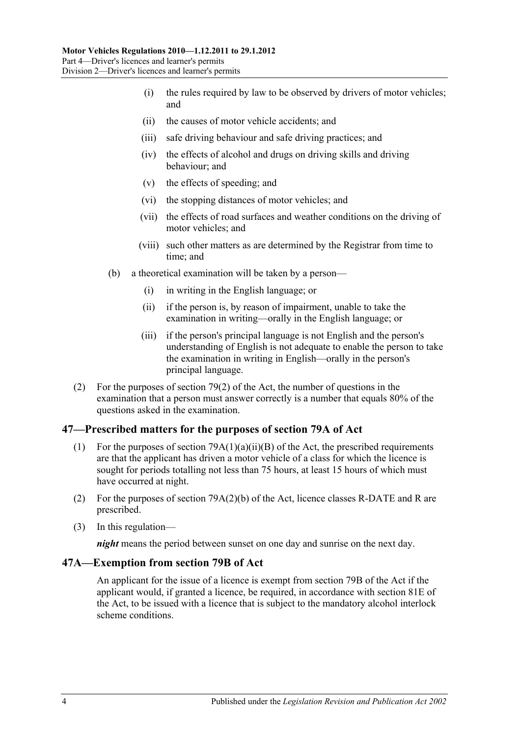- (i) the rules required by law to be observed by drivers of motor vehicles; and
- (ii) the causes of motor vehicle accidents; and
- (iii) safe driving behaviour and safe driving practices; and
- (iv) the effects of alcohol and drugs on driving skills and driving behaviour; and
- (v) the effects of speeding; and
- (vi) the stopping distances of motor vehicles; and
- (vii) the effects of road surfaces and weather conditions on the driving of motor vehicles; and
- (viii) such other matters as are determined by the Registrar from time to time; and
- (b) a theoretical examination will be taken by a person—
	- (i) in writing in the English language; or
	- (ii) if the person is, by reason of impairment, unable to take the examination in writing—orally in the English language; or
	- (iii) if the person's principal language is not English and the person's understanding of English is not adequate to enable the person to take the examination in writing in English—orally in the person's principal language.
- (2) For the purposes of section 79(2) of the Act, the number of questions in the examination that a person must answer correctly is a number that equals 80% of the questions asked in the examination.

# <span id="page-35-0"></span>**47—Prescribed matters for the purposes of section 79A of Act**

- (1) For the purposes of section  $79A(1)(a)(ii)(B)$  of the Act, the prescribed requirements are that the applicant has driven a motor vehicle of a class for which the licence is sought for periods totalling not less than 75 hours, at least 15 hours of which must have occurred at night.
- (2) For the purposes of section 79A(2)(b) of the Act, licence classes R-DATE and R are prescribed.
- (3) In this regulation—

*night* means the period between sunset on one day and sunrise on the next day.

# <span id="page-35-1"></span>**47A—Exemption from section 79B of Act**

An applicant for the issue of a licence is exempt from section 79B of the Act if the applicant would, if granted a licence, be required, in accordance with section 81E of the Act, to be issued with a licence that is subject to the mandatory alcohol interlock scheme conditions.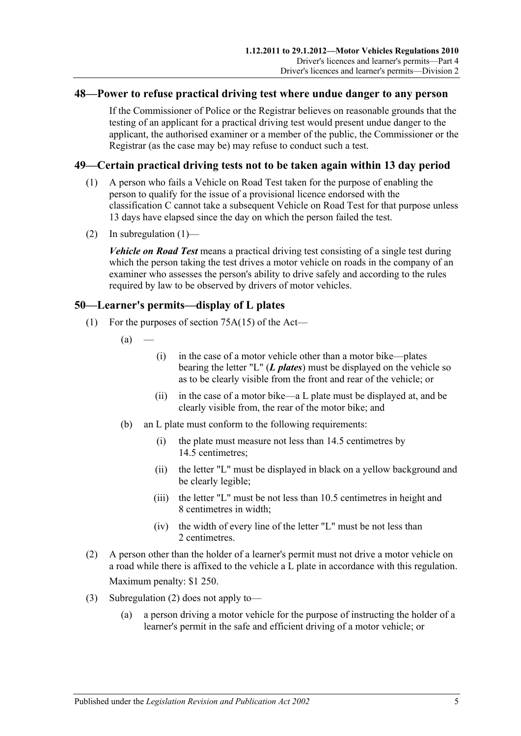#### **48—Power to refuse practical driving test where undue danger to any person**

If the Commissioner of Police or the Registrar believes on reasonable grounds that the testing of an applicant for a practical driving test would present undue danger to the applicant, the authorised examiner or a member of the public, the Commissioner or the Registrar (as the case may be) may refuse to conduct such a test.

#### <span id="page-36-0"></span>**49—Certain practical driving tests not to be taken again within 13 day period**

- (1) A person who fails a Vehicle on Road Test taken for the purpose of enabling the person to qualify for the issue of a provisional licence endorsed with the classification C cannot take a subsequent Vehicle on Road Test for that purpose unless 13 days have elapsed since the day on which the person failed the test.
- (2) In [subregulation](#page-36-0)  $(1)$ —

*Vehicle on Road Test* means a practical driving test consisting of a single test during which the person taking the test drives a motor vehicle on roads in the company of an examiner who assesses the person's ability to drive safely and according to the rules required by law to be observed by drivers of motor vehicles.

#### **50—Learner's permits—display of L plates**

- (1) For the purposes of section 75A(15) of the Act—
	- $(a)$
- (i) in the case of a motor vehicle other than a motor bike—plates bearing the letter "L" (*L plates*) must be displayed on the vehicle so as to be clearly visible from the front and rear of the vehicle; or
- (ii) in the case of a motor bike—a L plate must be displayed at, and be clearly visible from, the rear of the motor bike; and
- (b) an L plate must conform to the following requirements:
	- (i) the plate must measure not less than 14.5 centimetres by 14.5 centimetres;
	- (ii) the letter "L" must be displayed in black on a yellow background and be clearly legible;
	- (iii) the letter "L" must be not less than 10.5 centimetres in height and 8 centimetres in width;
	- (iv) the width of every line of the letter "L" must be not less than 2 centimetres.
- <span id="page-36-1"></span>(2) A person other than the holder of a learner's permit must not drive a motor vehicle on a road while there is affixed to the vehicle a L plate in accordance with this regulation. Maximum penalty: \$1 250.
- (3) [Subregulation](#page-36-1) (2) does not apply to—
	- (a) a person driving a motor vehicle for the purpose of instructing the holder of a learner's permit in the safe and efficient driving of a motor vehicle; or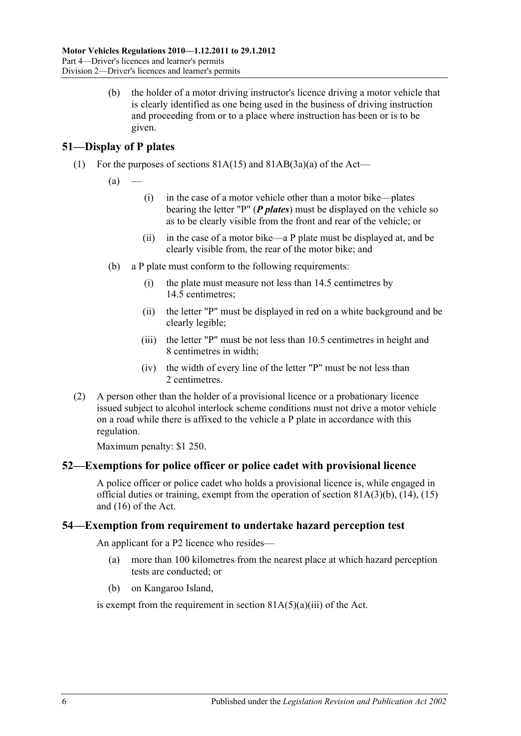(b) the holder of a motor driving instructor's licence driving a motor vehicle that is clearly identified as one being used in the business of driving instruction and proceeding from or to a place where instruction has been or is to be given.

## **51—Display of P plates**

- (1) For the purposes of sections  $81A(15)$  and  $81AB(3a)(a)$  of the Act—
	- $(a)$
- (i) in the case of a motor vehicle other than a motor bike—plates bearing the letter "P" (*P plates*) must be displayed on the vehicle so as to be clearly visible from the front and rear of the vehicle; or
- (ii) in the case of a motor bike—a P plate must be displayed at, and be clearly visible from, the rear of the motor bike; and
- (b) a P plate must conform to the following requirements:
	- (i) the plate must measure not less than 14.5 centimetres by 14.5 centimetres;
	- (ii) the letter "P" must be displayed in red on a white background and be clearly legible;
	- (iii) the letter "P" must be not less than 10.5 centimetres in height and 8 centimetres in width;
	- (iv) the width of every line of the letter "P" must be not less than 2 centimetres.
- (2) A person other than the holder of a provisional licence or a probationary licence issued subject to alcohol interlock scheme conditions must not drive a motor vehicle on a road while there is affixed to the vehicle a P plate in accordance with this regulation.

Maximum penalty: \$1 250.

## **52—Exemptions for police officer or police cadet with provisional licence**

A police officer or police cadet who holds a provisional licence is, while engaged in official duties or training, exempt from the operation of section 81A(3)(b), (14), (15) and (16) of the Act.

## **54—Exemption from requirement to undertake hazard perception test**

An applicant for a P2 licence who resides—

- (a) more than 100 kilometres from the nearest place at which hazard perception tests are conducted; or
- (b) on Kangaroo Island,

is exempt from the requirement in section  $81A(5)(a)(iii)$  of the Act.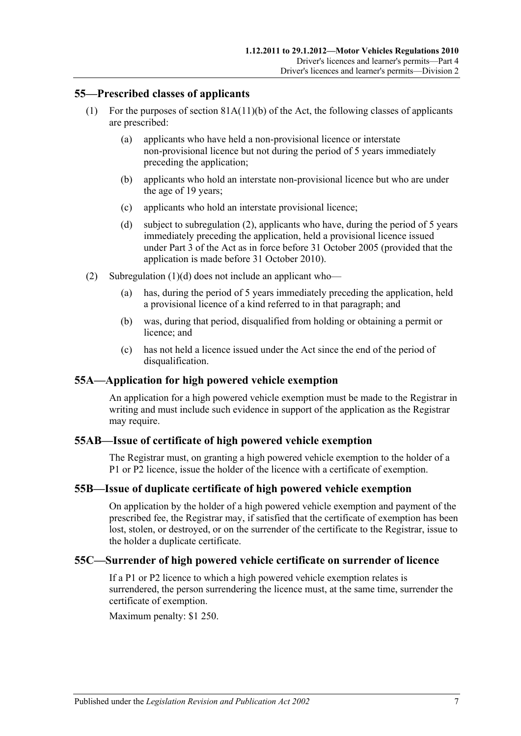#### **55—Prescribed classes of applicants**

- (1) For the purposes of section 81A(11)(b) of the Act, the following classes of applicants are prescribed:
	- (a) applicants who have held a non-provisional licence or interstate non-provisional licence but not during the period of 5 years immediately preceding the application;
	- (b) applicants who hold an interstate non-provisional licence but who are under the age of 19 years;
	- (c) applicants who hold an interstate provisional licence;
	- (d) subject to [subregulation](#page-38-0) (2), applicants who have, during the period of 5 years immediately preceding the application, held a provisional licence issued under Part 3 of the Act as in force before 31 October 2005 (provided that the application is made before 31 October 2010).
- <span id="page-38-1"></span><span id="page-38-0"></span>(2) [Subregulation](#page-38-1) (1)(d) does not include an applicant who—
	- (a) has, during the period of 5 years immediately preceding the application, held a provisional licence of a kind referred to in that paragraph; and
	- (b) was, during that period, disqualified from holding or obtaining a permit or licence; and
	- (c) has not held a licence issued under the Act since the end of the period of disqualification.

## **55A—Application for high powered vehicle exemption**

An application for a high powered vehicle exemption must be made to the Registrar in writing and must include such evidence in support of the application as the Registrar may require.

## **55AB—Issue of certificate of high powered vehicle exemption**

The Registrar must, on granting a high powered vehicle exemption to the holder of a P1 or P2 licence, issue the holder of the licence with a certificate of exemption.

## **55B—Issue of duplicate certificate of high powered vehicle exemption**

On application by the holder of a high powered vehicle exemption and payment of the prescribed fee, the Registrar may, if satisfied that the certificate of exemption has been lost, stolen, or destroyed, or on the surrender of the certificate to the Registrar, issue to the holder a duplicate certificate.

## **55C—Surrender of high powered vehicle certificate on surrender of licence**

If a P1 or P2 licence to which a high powered vehicle exemption relates is surrendered, the person surrendering the licence must, at the same time, surrender the certificate of exemption.

Maximum penalty: \$1 250.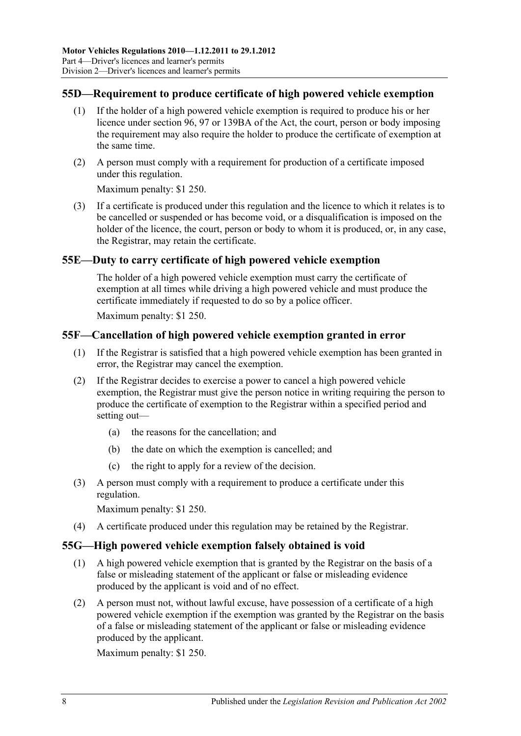## **55D—Requirement to produce certificate of high powered vehicle exemption**

- (1) If the holder of a high powered vehicle exemption is required to produce his or her licence under section 96, 97 or 139BA of the Act, the court, person or body imposing the requirement may also require the holder to produce the certificate of exemption at the same time.
- (2) A person must comply with a requirement for production of a certificate imposed under this regulation.

Maximum penalty: \$1 250.

(3) If a certificate is produced under this regulation and the licence to which it relates is to be cancelled or suspended or has become void, or a disqualification is imposed on the holder of the licence, the court, person or body to whom it is produced, or, in any case, the Registrar, may retain the certificate.

## **55E—Duty to carry certificate of high powered vehicle exemption**

The holder of a high powered vehicle exemption must carry the certificate of exemption at all times while driving a high powered vehicle and must produce the certificate immediately if requested to do so by a police officer.

Maximum penalty: \$1 250.

## **55F—Cancellation of high powered vehicle exemption granted in error**

- (1) If the Registrar is satisfied that a high powered vehicle exemption has been granted in error, the Registrar may cancel the exemption.
- (2) If the Registrar decides to exercise a power to cancel a high powered vehicle exemption, the Registrar must give the person notice in writing requiring the person to produce the certificate of exemption to the Registrar within a specified period and setting out—
	- (a) the reasons for the cancellation; and
	- (b) the date on which the exemption is cancelled; and
	- (c) the right to apply for a review of the decision.
- (3) A person must comply with a requirement to produce a certificate under this regulation.

Maximum penalty: \$1 250.

(4) A certificate produced under this regulation may be retained by the Registrar.

## **55G—High powered vehicle exemption falsely obtained is void**

- (1) A high powered vehicle exemption that is granted by the Registrar on the basis of a false or misleading statement of the applicant or false or misleading evidence produced by the applicant is void and of no effect.
- (2) A person must not, without lawful excuse, have possession of a certificate of a high powered vehicle exemption if the exemption was granted by the Registrar on the basis of a false or misleading statement of the applicant or false or misleading evidence produced by the applicant.

Maximum penalty: \$1 250.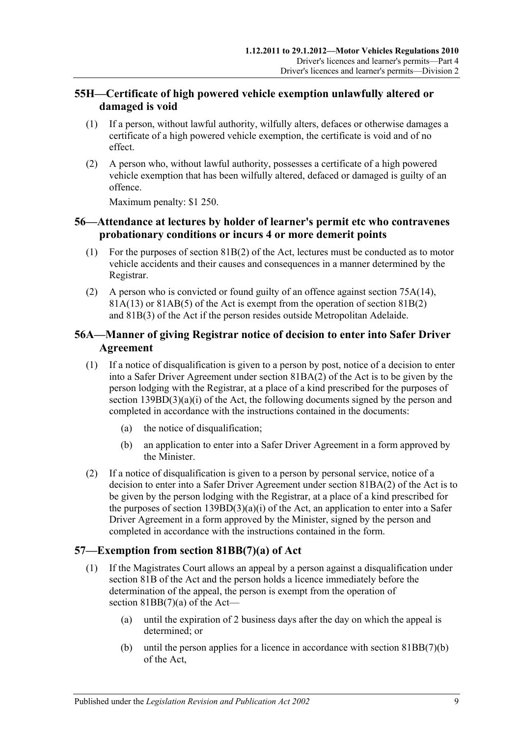## **55H—Certificate of high powered vehicle exemption unlawfully altered or damaged is void**

- (1) If a person, without lawful authority, wilfully alters, defaces or otherwise damages a certificate of a high powered vehicle exemption, the certificate is void and of no effect.
- (2) A person who, without lawful authority, possesses a certificate of a high powered vehicle exemption that has been wilfully altered, defaced or damaged is guilty of an offence.

Maximum penalty: \$1 250.

## **56—Attendance at lectures by holder of learner's permit etc who contravenes probationary conditions or incurs 4 or more demerit points**

- (1) For the purposes of section  $81B(2)$  of the Act, lectures must be conducted as to motor vehicle accidents and their causes and consequences in a manner determined by the Registrar.
- (2) A person who is convicted or found guilty of an offence against section 75A(14),  $81A(13)$  or  $81AB(5)$  of the Act is exempt from the operation of section  $81B(2)$ and 81B(3) of the Act if the person resides outside Metropolitan Adelaide.

## **56A—Manner of giving Registrar notice of decision to enter into Safer Driver Agreement**

- (1) If a notice of disqualification is given to a person by post, notice of a decision to enter into a Safer Driver Agreement under section 81BA(2) of the Act is to be given by the person lodging with the Registrar, at a place of a kind prescribed for the purposes of section  $139BD(3)(a)(i)$  of the Act, the following documents signed by the person and completed in accordance with the instructions contained in the documents:
	- (a) the notice of disqualification;
	- (b) an application to enter into a Safer Driver Agreement in a form approved by the Minister.
- (2) If a notice of disqualification is given to a person by personal service, notice of a decision to enter into a Safer Driver Agreement under section 81BA(2) of the Act is to be given by the person lodging with the Registrar, at a place of a kind prescribed for the purposes of section  $139BD(3)(a)(i)$  of the Act, an application to enter into a Safer Driver Agreement in a form approved by the Minister, signed by the person and completed in accordance with the instructions contained in the form.

## **57—Exemption from section 81BB(7)(a) of Act**

- (1) If the Magistrates Court allows an appeal by a person against a disqualification under section 81B of the Act and the person holds a licence immediately before the determination of the appeal, the person is exempt from the operation of section 81BB(7)(a) of the Act—
	- (a) until the expiration of 2 business days after the day on which the appeal is determined; or
	- (b) until the person applies for a licence in accordance with section 81BB(7)(b) of the Act,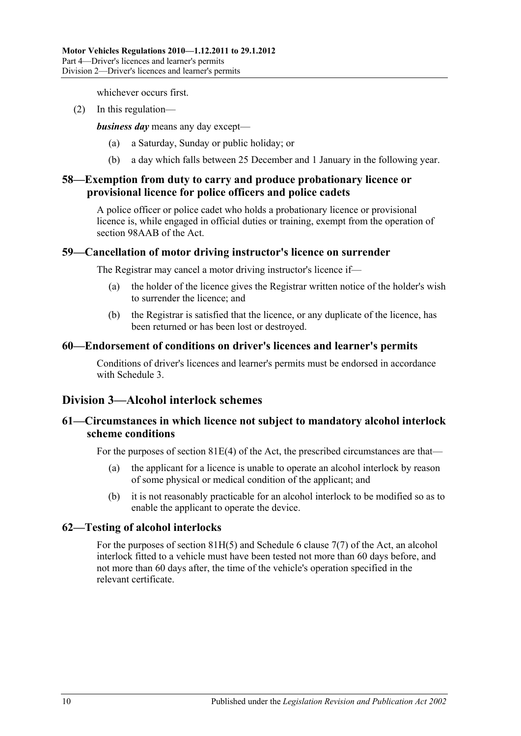whichever occurs first.

(2) In this regulation—

*business day* means any day except—

- (a) a Saturday, Sunday or public holiday; or
- (b) a day which falls between 25 December and 1 January in the following year.

## **58—Exemption from duty to carry and produce probationary licence or provisional licence for police officers and police cadets**

A police officer or police cadet who holds a probationary licence or provisional licence is, while engaged in official duties or training, exempt from the operation of section 98AAB of the Act.

## **59—Cancellation of motor driving instructor's licence on surrender**

The Registrar may cancel a motor driving instructor's licence if—

- (a) the holder of the licence gives the Registrar written notice of the holder's wish to surrender the licence; and
- (b) the Registrar is satisfied that the licence, or any duplicate of the licence, has been returned or has been lost or destroyed.

## **60—Endorsement of conditions on driver's licences and learner's permits**

Conditions of driver's licences and learner's permits must be endorsed in accordance with [Schedule 3.](#page-82-0)

## **Division 3—Alcohol interlock schemes**

## **61—Circumstances in which licence not subject to mandatory alcohol interlock scheme conditions**

For the purposes of section 81E(4) of the Act, the prescribed circumstances are that—

- (a) the applicant for a licence is unable to operate an alcohol interlock by reason of some physical or medical condition of the applicant; and
- (b) it is not reasonably practicable for an alcohol interlock to be modified so as to enable the applicant to operate the device.

## **62—Testing of alcohol interlocks**

For the purposes of section 81H(5) and Schedule 6 clause 7(7) of the Act, an alcohol interlock fitted to a vehicle must have been tested not more than 60 days before, and not more than 60 days after, the time of the vehicle's operation specified in the relevant certificate.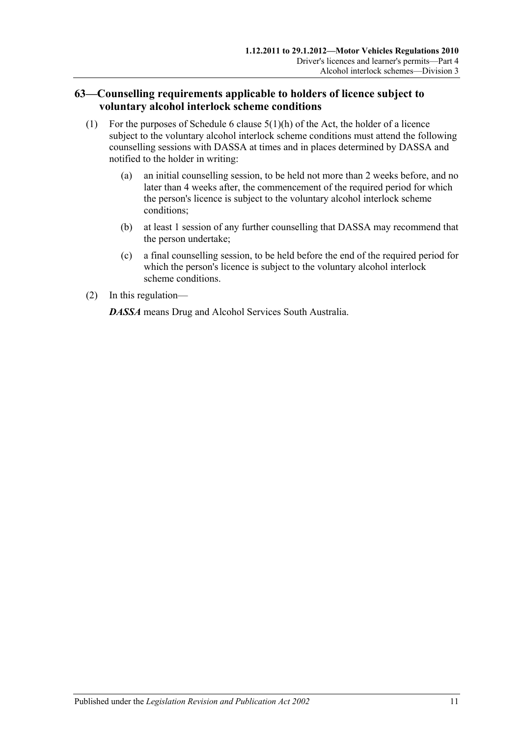## **63—Counselling requirements applicable to holders of licence subject to voluntary alcohol interlock scheme conditions**

- (1) For the purposes of Schedule 6 clause  $5(1)(h)$  of the Act, the holder of a licence subject to the voluntary alcohol interlock scheme conditions must attend the following counselling sessions with DASSA at times and in places determined by DASSA and notified to the holder in writing:
	- (a) an initial counselling session, to be held not more than 2 weeks before, and no later than 4 weeks after, the commencement of the required period for which the person's licence is subject to the voluntary alcohol interlock scheme conditions;
	- (b) at least 1 session of any further counselling that DASSA may recommend that the person undertake;
	- (c) a final counselling session, to be held before the end of the required period for which the person's licence is subject to the voluntary alcohol interlock scheme conditions.
- (2) In this regulation—

*DASSA* means Drug and Alcohol Services South Australia.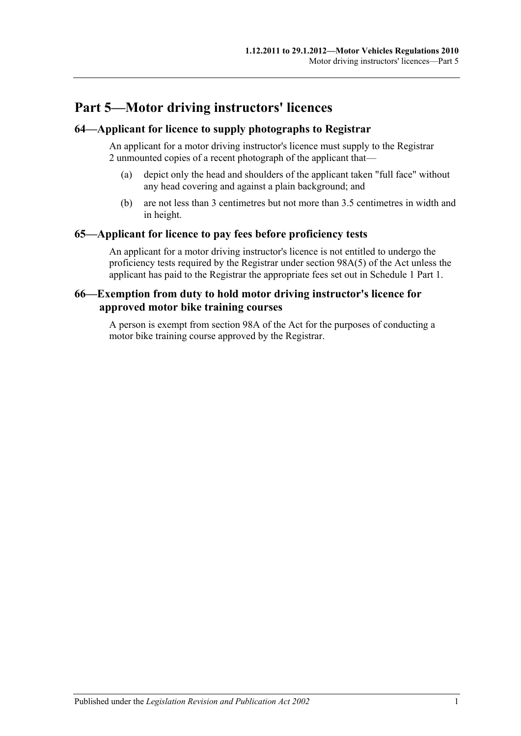# **Part 5—Motor driving instructors' licences**

## **64—Applicant for licence to supply photographs to Registrar**

An applicant for a motor driving instructor's licence must supply to the Registrar 2 unmounted copies of a recent photograph of the applicant that—

- (a) depict only the head and shoulders of the applicant taken "full face" without any head covering and against a plain background; and
- (b) are not less than 3 centimetres but not more than 3.5 centimetres in width and in height.

#### **65—Applicant for licence to pay fees before proficiency tests**

An applicant for a motor driving instructor's licence is not entitled to undergo the proficiency tests required by the Registrar under section 98A(5) of the Act unless the applicant has paid to the Registrar the appropriate fees set out in Schedule 1 Part 1.

## **66—Exemption from duty to hold motor driving instructor's licence for approved motor bike training courses**

A person is exempt from section 98A of the Act for the purposes of conducting a motor bike training course approved by the Registrar.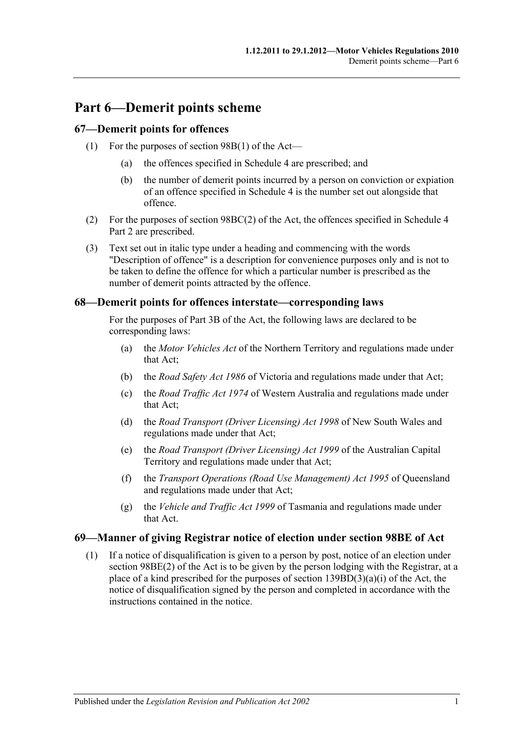# **Part 6—Demerit points scheme**

## **67—Demerit points for offences**

- (1) For the purposes of section 98B(1) of the Act—
	- (a) the offences specified in [Schedule 4](#page-84-0) are prescribed; and
	- (b) the number of demerit points incurred by a person on conviction or expiation of an offence specified in [Schedule 4](#page-84-0) is the number set out alongside that offence.
- (2) For the purposes of section 98BC(2) of the Act, the offences specified in Schedule 4 Part 2 are prescribed.
- (3) Text set out in italic type under a heading and commencing with the words "Description of offence" is a description for convenience purposes only and is not to be taken to define the offence for which a particular number is prescribed as the number of demerit points attracted by the offence.

#### **68—Demerit points for offences interstate—corresponding laws**

For the purposes of Part 3B of the Act, the following laws are declared to be corresponding laws:

- (a) the *Motor Vehicles Act* of the Northern Territory and regulations made under that Act;
- (b) the *Road Safety Act 1986* of Victoria and regulations made under that Act;
- (c) the *Road Traffic Act 1974* of Western Australia and regulations made under that Act;
- (d) the *Road Transport (Driver Licensing) Act 1998* of New South Wales and regulations made under that Act;
- (e) the *Road Transport (Driver Licensing) Act 1999* of the Australian Capital Territory and regulations made under that Act;
- (f) the *Transport Operations (Road Use Management) Act 1995* of Queensland and regulations made under that Act;
- (g) the *Vehicle and Traffic Act 1999* of Tasmania and regulations made under that Act.

## **69—Manner of giving Registrar notice of election under section 98BE of Act**

(1) If a notice of disqualification is given to a person by post, notice of an election under section 98BE(2) of the Act is to be given by the person lodging with the Registrar, at a place of a kind prescribed for the purposes of section  $139BD(3)(a)(i)$  of the Act, the notice of disqualification signed by the person and completed in accordance with the instructions contained in the notice.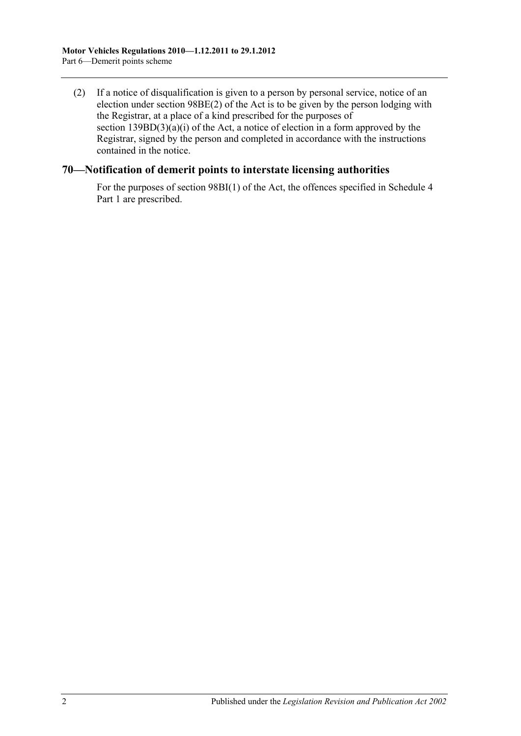(2) If a notice of disqualification is given to a person by personal service, notice of an election under section 98BE(2) of the Act is to be given by the person lodging with the Registrar, at a place of a kind prescribed for the purposes of section  $139BD(3)(a)(i)$  of the Act, a notice of election in a form approved by the Registrar, signed by the person and completed in accordance with the instructions contained in the notice.

#### **70—Notification of demerit points to interstate licensing authorities**

For the purposes of section 98BI(1) of the Act, the offences specified in Schedule 4 Part 1 are prescribed.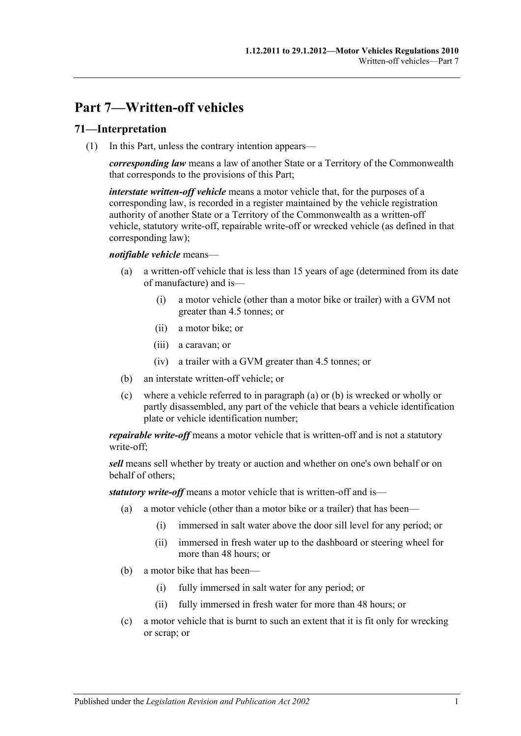# **Part 7—Written-off vehicles**

## **71—Interpretation**

(1) In this Part, unless the contrary intention appears—

*corresponding law* means a law of another State or a Territory of the Commonwealth that corresponds to the provisions of this Part;

*interstate written-off vehicle* means a motor vehicle that, for the purposes of a corresponding law, is recorded in a register maintained by the vehicle registration authority of another State or a Territory of the Commonwealth as a written-off vehicle, statutory write-off, repairable write-off or wrecked vehicle (as defined in that corresponding law);

#### <span id="page-48-0"></span>*notifiable vehicle* means—

- (a) a written-off vehicle that is less than 15 years of age (determined from its date of manufacture) and is—
	- (i) a motor vehicle (other than a motor bike or trailer) with a GVM not greater than 4.5 tonnes; or
	- (ii) a motor bike; or
	- (iii) a caravan; or
	- (iv) a trailer with a GVM greater than 4.5 tonnes; or
- <span id="page-48-1"></span>(b) an interstate written-off vehicle; or
- (c) where a vehicle referred to in [paragraph](#page-48-0) (a) or [\(b\)](#page-48-1) is wrecked or wholly or partly disassembled, any part of the vehicle that bears a vehicle identification plate or vehicle identification number;

*repairable write-off* means a motor vehicle that is written-off and is not a statutory write-off;

*sell* means sell whether by treaty or auction and whether on one's own behalf or on behalf of others;

*statutory write-off* means a motor vehicle that is written-off and is—

- (a) a motor vehicle (other than a motor bike or a trailer) that has been—
	- (i) immersed in salt water above the door sill level for any period; or
	- (ii) immersed in fresh water up to the dashboard or steering wheel for more than 48 hours; or
- (b) a motor bike that has been—
	- (i) fully immersed in salt water for any period; or
	- (ii) fully immersed in fresh water for more than 48 hours; or
- (c) a motor vehicle that is burnt to such an extent that it is fit only for wrecking or scrap; or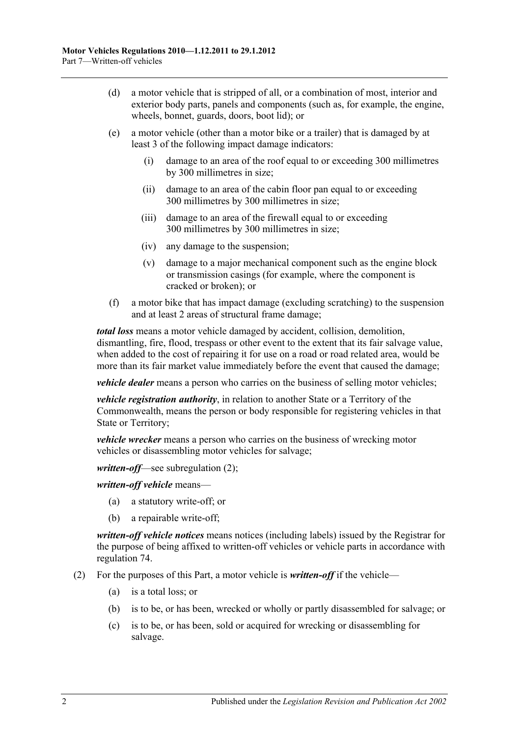- (d) a motor vehicle that is stripped of all, or a combination of most, interior and exterior body parts, panels and components (such as, for example, the engine, wheels, bonnet, guards, doors, boot lid); or
- (e) a motor vehicle (other than a motor bike or a trailer) that is damaged by at least 3 of the following impact damage indicators:
	- (i) damage to an area of the roof equal to or exceeding 300 millimetres by 300 millimetres in size;
	- (ii) damage to an area of the cabin floor pan equal to or exceeding 300 millimetres by 300 millimetres in size;
	- (iii) damage to an area of the firewall equal to or exceeding 300 millimetres by 300 millimetres in size;
	- (iv) any damage to the suspension;
	- (v) damage to a major mechanical component such as the engine block or transmission casings (for example, where the component is cracked or broken); or
- (f) a motor bike that has impact damage (excluding scratching) to the suspension and at least 2 areas of structural frame damage;

*total loss* means a motor vehicle damaged by accident, collision, demolition, dismantling, fire, flood, trespass or other event to the extent that its fair salvage value, when added to the cost of repairing it for use on a road or road related area, would be more than its fair market value immediately before the event that caused the damage;

*vehicle dealer* means a person who carries on the business of selling motor vehicles;

*vehicle registration authority*, in relation to another State or a Territory of the Commonwealth, means the person or body responsible for registering vehicles in that State or Territory;

*vehicle wrecker* means a person who carries on the business of wrecking motor vehicles or disassembling motor vehicles for salvage;

*written-off*—see [subregulation](#page-49-0) (2);

*written-off vehicle* means—

- (a) a statutory write-off; or
- (b) a repairable write-off;

*written-off vehicle notices* means notices (including labels) issued by the Registrar for the purpose of being affixed to written-off vehicles or vehicle parts in accordance with [regulation](#page-50-0) 74.

- <span id="page-49-0"></span>(2) For the purposes of this Part, a motor vehicle is *written-off* if the vehicle—
	- (a) is a total loss; or
	- (b) is to be, or has been, wrecked or wholly or partly disassembled for salvage; or
	- (c) is to be, or has been, sold or acquired for wrecking or disassembling for salvage.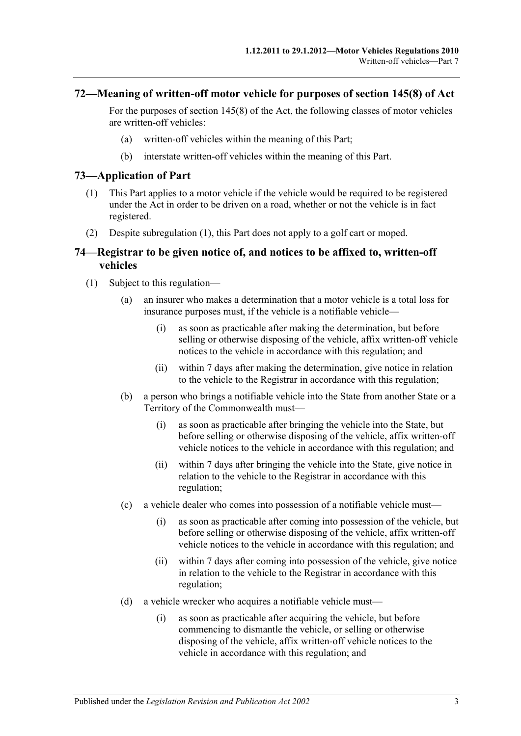#### **72—Meaning of written-off motor vehicle for purposes of section 145(8) of Act**

For the purposes of section 145(8) of the Act, the following classes of motor vehicles are written-off vehicles:

- (a) written-off vehicles within the meaning of this Part;
- (b) interstate written-off vehicles within the meaning of this Part.

#### <span id="page-50-1"></span>**73—Application of Part**

- (1) This Part applies to a motor vehicle if the vehicle would be required to be registered under the Act in order to be driven on a road, whether or not the vehicle is in fact registered.
- (2) Despite [subregulation](#page-50-1) (1), this Part does not apply to a golf cart or moped.

#### <span id="page-50-0"></span>**74—Registrar to be given notice of, and notices to be affixed to, written-off vehicles**

- <span id="page-50-4"></span><span id="page-50-3"></span><span id="page-50-2"></span>(1) Subject to this regulation—
	- (a) an insurer who makes a determination that a motor vehicle is a total loss for insurance purposes must, if the vehicle is a notifiable vehicle—
		- (i) as soon as practicable after making the determination, but before selling or otherwise disposing of the vehicle, affix written-off vehicle notices to the vehicle in accordance with this regulation; and
		- (ii) within 7 days after making the determination, give notice in relation to the vehicle to the Registrar in accordance with this regulation;
	- (b) a person who brings a notifiable vehicle into the State from another State or a Territory of the Commonwealth must—
		- (i) as soon as practicable after bringing the vehicle into the State, but before selling or otherwise disposing of the vehicle, affix written-off vehicle notices to the vehicle in accordance with this regulation; and
		- (ii) within 7 days after bringing the vehicle into the State, give notice in relation to the vehicle to the Registrar in accordance with this regulation;
	- (c) a vehicle dealer who comes into possession of a notifiable vehicle must—
		- (i) as soon as practicable after coming into possession of the vehicle, but before selling or otherwise disposing of the vehicle, affix written-off vehicle notices to the vehicle in accordance with this regulation; and
		- (ii) within 7 days after coming into possession of the vehicle, give notice in relation to the vehicle to the Registrar in accordance with this regulation;
	- (d) a vehicle wrecker who acquires a notifiable vehicle must—
		- (i) as soon as practicable after acquiring the vehicle, but before commencing to dismantle the vehicle, or selling or otherwise disposing of the vehicle, affix written-off vehicle notices to the vehicle in accordance with this regulation; and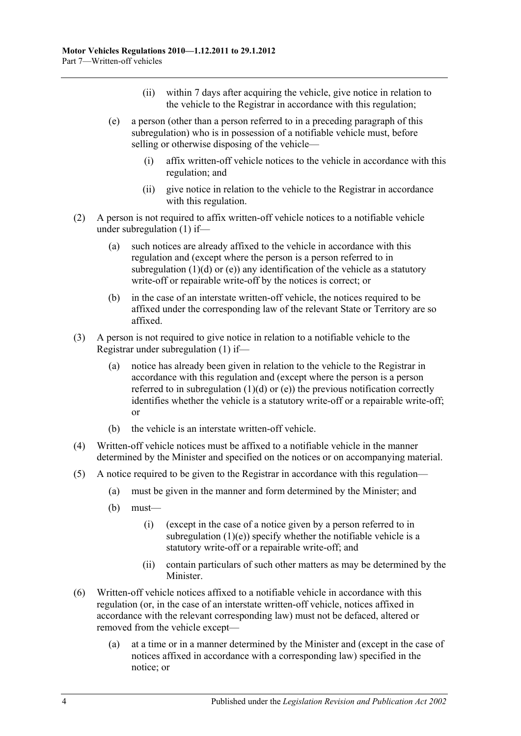- (ii) within 7 days after acquiring the vehicle, give notice in relation to the vehicle to the Registrar in accordance with this regulation;
- <span id="page-51-0"></span>(e) a person (other than a person referred to in a preceding paragraph of this subregulation) who is in possession of a notifiable vehicle must, before selling or otherwise disposing of the vehicle—
	- (i) affix written-off vehicle notices to the vehicle in accordance with this regulation; and
	- (ii) give notice in relation to the vehicle to the Registrar in accordance with this regulation.
- (2) A person is not required to affix written-off vehicle notices to a notifiable vehicle under [subregulation](#page-50-2) (1) if—
	- (a) such notices are already affixed to the vehicle in accordance with this regulation and (except where the person is a person referred to in [subregulation](#page-50-3)  $(1)(d)$  or  $(e)$ ) any identification of the vehicle as a statutory write-off or repairable write-off by the notices is correct; or
	- (b) in the case of an interstate written-off vehicle, the notices required to be affixed under the corresponding law of the relevant State or Territory are so affixed.
- (3) A person is not required to give notice in relation to a notifiable vehicle to the Registrar under [subregulation](#page-50-2) (1) if—
	- (a) notice has already been given in relation to the vehicle to the Registrar in accordance with this regulation and (except where the person is a person referred to in [subregulation](#page-50-3)  $(1)(d)$  or  $(e)$ ) the previous notification correctly identifies whether the vehicle is a statutory write-off or a repairable write-off; or
	- (b) the vehicle is an interstate written-off vehicle.
- (4) Written-off vehicle notices must be affixed to a notifiable vehicle in the manner determined by the Minister and specified on the notices or on accompanying material.
- $(5)$  A notice required to be given to the Registrar in accordance with this regulation—
	- (a) must be given in the manner and form determined by the Minister; and
	- (b) must—
		- (i) (except in the case of a notice given by a person referred to in [subregulation](#page-51-0)  $(1)(e)$ ) specify whether the notifiable vehicle is a statutory write-off or a repairable write-off; and
		- (ii) contain particulars of such other matters as may be determined by the Minister.
- (6) Written-off vehicle notices affixed to a notifiable vehicle in accordance with this regulation (or, in the case of an interstate written-off vehicle, notices affixed in accordance with the relevant corresponding law) must not be defaced, altered or removed from the vehicle except—
	- (a) at a time or in a manner determined by the Minister and (except in the case of notices affixed in accordance with a corresponding law) specified in the notice; or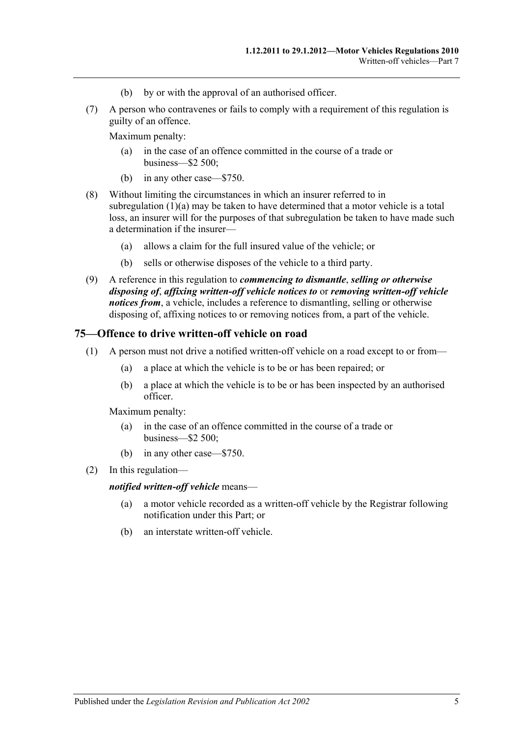- (b) by or with the approval of an authorised officer.
- (7) A person who contravenes or fails to comply with a requirement of this regulation is guilty of an offence.

Maximum penalty:

- (a) in the case of an offence committed in the course of a trade or business—\$2 500;
- (b) in any other case—\$750.
- (8) Without limiting the circumstances in which an insurer referred to in [subregulation](#page-50-4)  $(1)(a)$  may be taken to have determined that a motor vehicle is a total loss, an insurer will for the purposes of that subregulation be taken to have made such a determination if the insurer—
	- (a) allows a claim for the full insured value of the vehicle; or
	- (b) sells or otherwise disposes of the vehicle to a third party.
- (9) A reference in this regulation to *commencing to dismantle*, *selling or otherwise disposing of*, *affixing written-off vehicle notices to* or *removing written-off vehicle notices from*, a vehicle, includes a reference to dismantling, selling or otherwise disposing of, affixing notices to or removing notices from, a part of the vehicle.

#### **75—Offence to drive written-off vehicle on road**

- (1) A person must not drive a notified written-off vehicle on a road except to or from—
	- (a) a place at which the vehicle is to be or has been repaired; or
	- (b) a place at which the vehicle is to be or has been inspected by an authorised officer.

Maximum penalty:

- (a) in the case of an offence committed in the course of a trade or business—\$2 500;
- (b) in any other case—\$750.
- (2) In this regulation—

#### *notified written-off vehicle* means—

- (a) a motor vehicle recorded as a written-off vehicle by the Registrar following notification under this Part; or
- (b) an interstate written-off vehicle.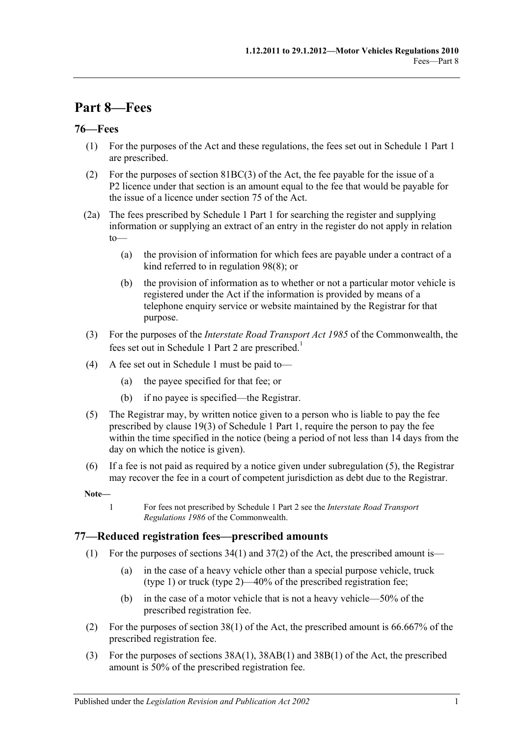# **Part 8—Fees**

## **76—Fees**

- (1) For the purposes of the Act and these regulations, the fees set out in Schedule 1 Part 1 are prescribed.
- (2) For the purposes of section 81BC(3) of the Act, the fee payable for the issue of a P2 licence under that section is an amount equal to the fee that would be payable for the issue of a licence under section 75 of the Act.
- (2a) The fees prescribed by Schedule 1 Part 1 for searching the register and supplying information or supplying an extract of an entry in the register do not apply in relation to—
	- (a) the provision of information for which fees are payable under a contract of a kind referred to in [regulation](#page-65-0) 98(8); or
	- (b) the provision of information as to whether or not a particular motor vehicle is registered under the Act if the information is provided by means of a telephone enquiry service or website maintained by the Registrar for that purpose.
- (3) For the purposes of the *Interstate Road Transport Act 1985* of the Commonwealth, the fees set out in Schedule 1 Part 2 are prescribed.<sup>1</sup>
- (4) A fee set out in [Schedule 1](#page-68-0) must be paid to—
	- (a) the payee specified for that fee; or
	- (b) if no payee is specified—the Registrar.
- <span id="page-54-0"></span>(5) The Registrar may, by written notice given to a person who is liable to pay the fee prescribed by clause 19(3) of Schedule 1 Part 1, require the person to pay the fee within the time specified in the notice (being a period of not less than 14 days from the day on which the notice is given).
- (6) If a fee is not paid as required by a notice given under [subregulation](#page-54-0) (5), the Registrar may recover the fee in a court of competent jurisdiction as debt due to the Registrar.

**Note—**

1 For fees not prescribed by Schedule 1 Part 2 see the *Interstate Road Transport Regulations 1986* of the Commonwealth.

## **77—Reduced registration fees—prescribed amounts**

- (1) For the purposes of sections  $34(1)$  and  $37(2)$  of the Act, the prescribed amount is—
	- (a) in the case of a heavy vehicle other than a special purpose vehicle, truck (type 1) or truck (type 2)—40% of the prescribed registration fee;
	- (b) in the case of a motor vehicle that is not a heavy vehicle—50% of the prescribed registration fee.
- (2) For the purposes of section 38(1) of the Act, the prescribed amount is 66.667% of the prescribed registration fee.
- (3) For the purposes of sections 38A(1), 38AB(1) and 38B(1) of the Act, the prescribed amount is 50% of the prescribed registration fee.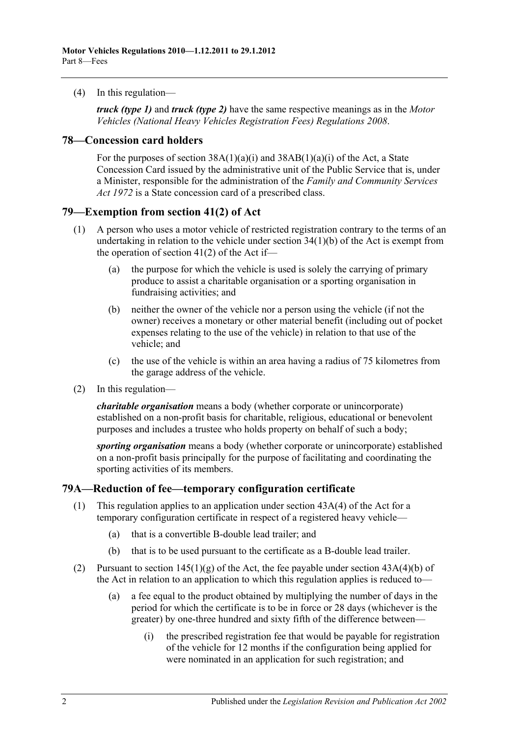(4) In this regulation—

*truck (type 1)* and *truck (type 2)* have the same respective meanings as in the *[Motor](http://www.legislation.sa.gov.au/index.aspx?action=legref&type=subordleg&legtitle=Motor%20Vehicles%20(National%20Heavy%20Vehicles%20Registration%20Fees)%20Regulations%202008)  [Vehicles \(National Heavy Vehicles Registration Fees\) Regulations](http://www.legislation.sa.gov.au/index.aspx?action=legref&type=subordleg&legtitle=Motor%20Vehicles%20(National%20Heavy%20Vehicles%20Registration%20Fees)%20Regulations%202008) 2008*.

#### **78—Concession card holders**

For the purposes of section  $38A(1)(a)(i)$  and  $38AB(1)(a)(i)$  of the Act, a State Concession Card issued by the administrative unit of the Public Service that is, under a Minister, responsible for the administration of the *[Family and Community Services](http://www.legislation.sa.gov.au/index.aspx?action=legref&type=act&legtitle=Family%20and%20Community%20Services%20Act%201972)  Act [1972](http://www.legislation.sa.gov.au/index.aspx?action=legref&type=act&legtitle=Family%20and%20Community%20Services%20Act%201972)* is a State concession card of a prescribed class.

#### **79—Exemption from section 41(2) of Act**

- (1) A person who uses a motor vehicle of restricted registration contrary to the terms of an undertaking in relation to the vehicle under section 34(1)(b) of the Act is exempt from the operation of section  $41(2)$  of the Act if—
	- (a) the purpose for which the vehicle is used is solely the carrying of primary produce to assist a charitable organisation or a sporting organisation in fundraising activities; and
	- (b) neither the owner of the vehicle nor a person using the vehicle (if not the owner) receives a monetary or other material benefit (including out of pocket expenses relating to the use of the vehicle) in relation to that use of the vehicle; and
	- (c) the use of the vehicle is within an area having a radius of 75 kilometres from the garage address of the vehicle.
- (2) In this regulation—

*charitable organisation* means a body (whether corporate or unincorporate) established on a non-profit basis for charitable, religious, educational or benevolent purposes and includes a trustee who holds property on behalf of such a body;

*sporting organisation* means a body (whether corporate or unincorporate) established on a non-profit basis principally for the purpose of facilitating and coordinating the sporting activities of its members.

#### **79A—Reduction of fee—temporary configuration certificate**

- (1) This regulation applies to an application under section 43A(4) of the Act for a temporary configuration certificate in respect of a registered heavy vehicle—
	- (a) that is a convertible B-double lead trailer; and
	- (b) that is to be used pursuant to the certificate as a B-double lead trailer.
- (2) Pursuant to section  $145(1)(g)$  of the Act, the fee payable under section  $43A(4)(b)$  of the Act in relation to an application to which this regulation applies is reduced to—
	- (a) a fee equal to the product obtained by multiplying the number of days in the period for which the certificate is to be in force or 28 days (whichever is the greater) by one-three hundred and sixty fifth of the difference between—
		- (i) the prescribed registration fee that would be payable for registration of the vehicle for 12 months if the configuration being applied for were nominated in an application for such registration; and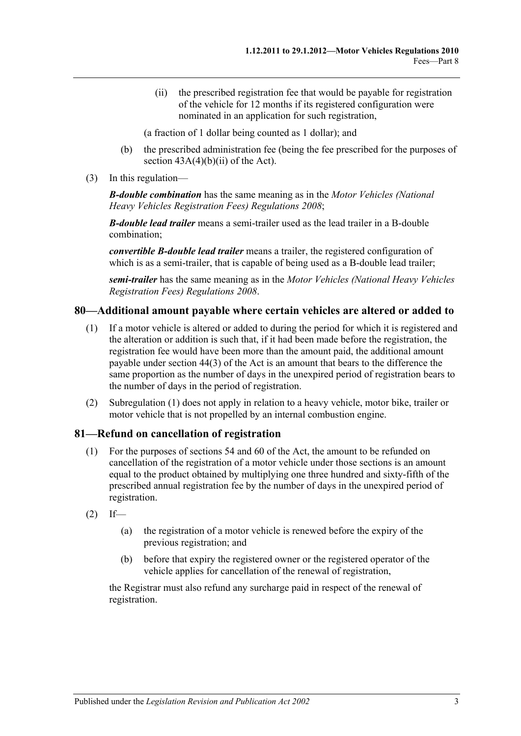(ii) the prescribed registration fee that would be payable for registration of the vehicle for 12 months if its registered configuration were nominated in an application for such registration,

(a fraction of 1 dollar being counted as 1 dollar); and

- (b) the prescribed administration fee (being the fee prescribed for the purposes of section  $43A(4)(b)(ii)$  of the Act).
- (3) In this regulation—

*B-double combination* has the same meaning as in the *[Motor Vehicles \(National](http://www.legislation.sa.gov.au/index.aspx?action=legref&type=subordleg&legtitle=Motor%20Vehicles%20(National%20Heavy%20Vehicles%20Registration%20Fees)%20Regulations%202008)  [Heavy Vehicles Registration Fees\) Regulations](http://www.legislation.sa.gov.au/index.aspx?action=legref&type=subordleg&legtitle=Motor%20Vehicles%20(National%20Heavy%20Vehicles%20Registration%20Fees)%20Regulations%202008) 2008*;

*B-double lead trailer* means a semi-trailer used as the lead trailer in a B-double combination;

*convertible B-double lead trailer* means a trailer, the registered configuration of which is as a semi-trailer, that is capable of being used as a B-double lead trailer;

*semi-trailer* has the same meaning as in the *[Motor Vehicles \(National Heavy Vehicles](http://www.legislation.sa.gov.au/index.aspx?action=legref&type=subordleg&legtitle=Motor%20Vehicles%20(National%20Heavy%20Vehicles%20Registration%20Fees)%20Regulations%202008)  [Registration Fees\) Regulations](http://www.legislation.sa.gov.au/index.aspx?action=legref&type=subordleg&legtitle=Motor%20Vehicles%20(National%20Heavy%20Vehicles%20Registration%20Fees)%20Regulations%202008) 2008*.

#### <span id="page-56-0"></span>**80—Additional amount payable where certain vehicles are altered or added to**

- (1) If a motor vehicle is altered or added to during the period for which it is registered and the alteration or addition is such that, if it had been made before the registration, the registration fee would have been more than the amount paid, the additional amount payable under section 44(3) of the Act is an amount that bears to the difference the same proportion as the number of days in the unexpired period of registration bears to the number of days in the period of registration.
- (2) [Subregulation \(1\)](#page-56-0) does not apply in relation to a heavy vehicle, motor bike, trailer or motor vehicle that is not propelled by an internal combustion engine.

#### **81—Refund on cancellation of registration**

- (1) For the purposes of sections 54 and 60 of the Act, the amount to be refunded on cancellation of the registration of a motor vehicle under those sections is an amount equal to the product obtained by multiplying one three hundred and sixty-fifth of the prescribed annual registration fee by the number of days in the unexpired period of registration.
- $(2)$  If—
	- (a) the registration of a motor vehicle is renewed before the expiry of the previous registration; and
	- (b) before that expiry the registered owner or the registered operator of the vehicle applies for cancellation of the renewal of registration,

the Registrar must also refund any surcharge paid in respect of the renewal of registration.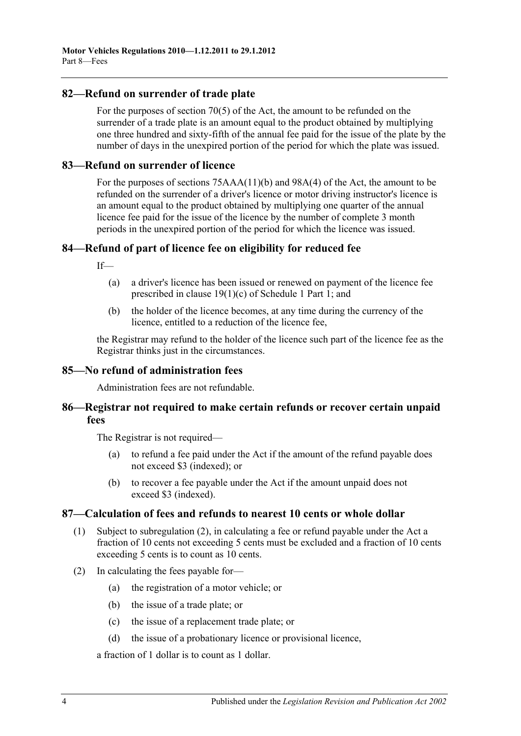#### **82—Refund on surrender of trade plate**

For the purposes of section 70(5) of the Act, the amount to be refunded on the surrender of a trade plate is an amount equal to the product obtained by multiplying one three hundred and sixty-fifth of the annual fee paid for the issue of the plate by the number of days in the unexpired portion of the period for which the plate was issued.

#### **83—Refund on surrender of licence**

For the purposes of sections 75AAA(11)(b) and 98A(4) of the Act, the amount to be refunded on the surrender of a driver's licence or motor driving instructor's licence is an amount equal to the product obtained by multiplying one quarter of the annual licence fee paid for the issue of the licence by the number of complete 3 month periods in the unexpired portion of the period for which the licence was issued.

## **84—Refund of part of licence fee on eligibility for reduced fee**

 $If$ 

- (a) a driver's licence has been issued or renewed on payment of the licence fee prescribed in clause 19(1)(c) of Schedule 1 Part 1; and
- (b) the holder of the licence becomes, at any time during the currency of the licence, entitled to a reduction of the licence fee,

the Registrar may refund to the holder of the licence such part of the licence fee as the Registrar thinks just in the circumstances.

#### **85—No refund of administration fees**

Administration fees are not refundable.

## **86—Registrar not required to make certain refunds or recover certain unpaid fees**

The Registrar is not required—

- (a) to refund a fee paid under the Act if the amount of the refund payable does not exceed \$3 (indexed); or
- (b) to recover a fee payable under the Act if the amount unpaid does not exceed \$3 (indexed).

## **87—Calculation of fees and refunds to nearest 10 cents or whole dollar**

- (1) Subject to [subregulation](#page-57-0) (2), in calculating a fee or refund payable under the Act a fraction of 10 cents not exceeding 5 cents must be excluded and a fraction of 10 cents exceeding 5 cents is to count as 10 cents.
- <span id="page-57-0"></span>(2) In calculating the fees payable for—
	- (a) the registration of a motor vehicle; or
	- (b) the issue of a trade plate; or
	- (c) the issue of a replacement trade plate; or
	- (d) the issue of a probationary licence or provisional licence,

a fraction of 1 dollar is to count as 1 dollar.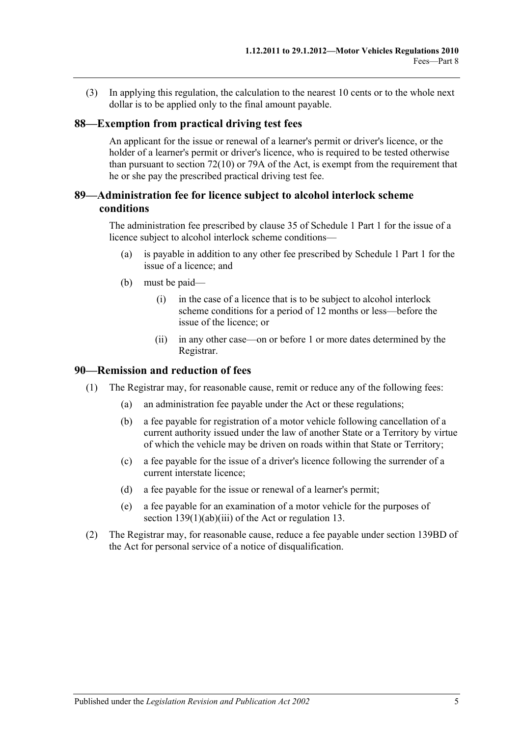(3) In applying this regulation, the calculation to the nearest 10 cents or to the whole next dollar is to be applied only to the final amount payable.

#### **88—Exemption from practical driving test fees**

An applicant for the issue or renewal of a learner's permit or driver's licence, or the holder of a learner's permit or driver's licence, who is required to be tested otherwise than pursuant to section  $72(10)$  or 79A of the Act, is exempt from the requirement that he or she pay the prescribed practical driving test fee.

## **89—Administration fee for licence subject to alcohol interlock scheme conditions**

The administration fee prescribed by clause 35 of Schedule 1 Part 1 for the issue of a licence subject to alcohol interlock scheme conditions—

- (a) is payable in addition to any other fee prescribed by Schedule 1 Part 1 for the issue of a licence; and
- (b) must be paid—
	- (i) in the case of a licence that is to be subject to alcohol interlock scheme conditions for a period of 12 months or less—before the issue of the licence; or
	- (ii) in any other case—on or before 1 or more dates determined by the Registrar.

#### **90—Remission and reduction of fees**

- (1) The Registrar may, for reasonable cause, remit or reduce any of the following fees:
	- (a) an administration fee payable under the Act or these regulations;
	- (b) a fee payable for registration of a motor vehicle following cancellation of a current authority issued under the law of another State or a Territory by virtue of which the vehicle may be driven on roads within that State or Territory;
	- (c) a fee payable for the issue of a driver's licence following the surrender of a current interstate licence;
	- (d) a fee payable for the issue or renewal of a learner's permit;
	- (e) a fee payable for an examination of a motor vehicle for the purposes of section 139(1)(ab)(iii) of the Act or [regulation](#page-13-0) 13.
- (2) The Registrar may, for reasonable cause, reduce a fee payable under section 139BD of the Act for personal service of a notice of disqualification.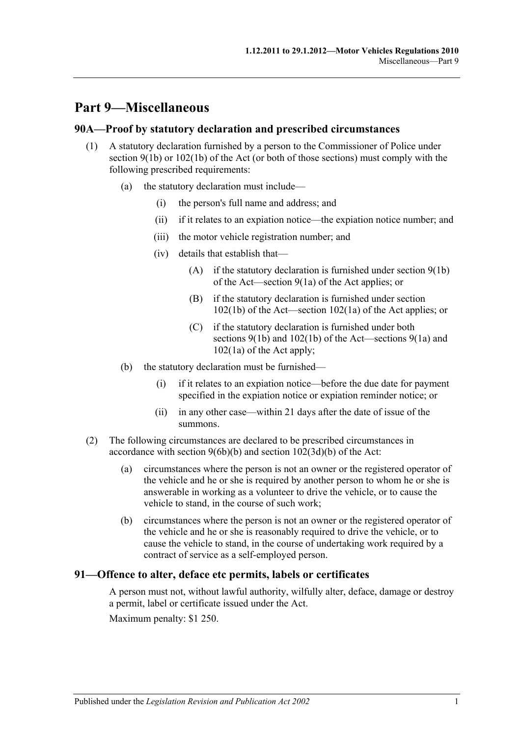## **Part 9—Miscellaneous**

#### **90A—Proof by statutory declaration and prescribed circumstances**

- (1) A statutory declaration furnished by a person to the Commissioner of Police under section  $9(1b)$  or  $102(1b)$  of the Act (or both of those sections) must comply with the following prescribed requirements:
	- (a) the statutory declaration must include—
		- (i) the person's full name and address; and
		- (ii) if it relates to an expiation notice—the expiation notice number; and
		- (iii) the motor vehicle registration number; and
		- (iv) details that establish that—
			- (A) if the statutory declaration is furnished under section 9(1b) of the Act—section 9(1a) of the Act applies; or
			- (B) if the statutory declaration is furnished under section 102(1b) of the Act—section 102(1a) of the Act applies; or
			- (C) if the statutory declaration is furnished under both sections 9(1b) and 102(1b) of the Act—sections 9(1a) and 102(1a) of the Act apply;
	- (b) the statutory declaration must be furnished—
		- (i) if it relates to an expiation notice—before the due date for payment specified in the expiation notice or expiation reminder notice; or
		- (ii) in any other case—within 21 days after the date of issue of the summons.
- (2) The following circumstances are declared to be prescribed circumstances in accordance with section 9(6b)(b) and section 102(3d)(b) of the Act:
	- (a) circumstances where the person is not an owner or the registered operator of the vehicle and he or she is required by another person to whom he or she is answerable in working as a volunteer to drive the vehicle, or to cause the vehicle to stand, in the course of such work;
	- (b) circumstances where the person is not an owner or the registered operator of the vehicle and he or she is reasonably required to drive the vehicle, or to cause the vehicle to stand, in the course of undertaking work required by a contract of service as a self-employed person.

## **91—Offence to alter, deface etc permits, labels or certificates**

A person must not, without lawful authority, wilfully alter, deface, damage or destroy a permit, label or certificate issued under the Act.

Maximum penalty: \$1 250.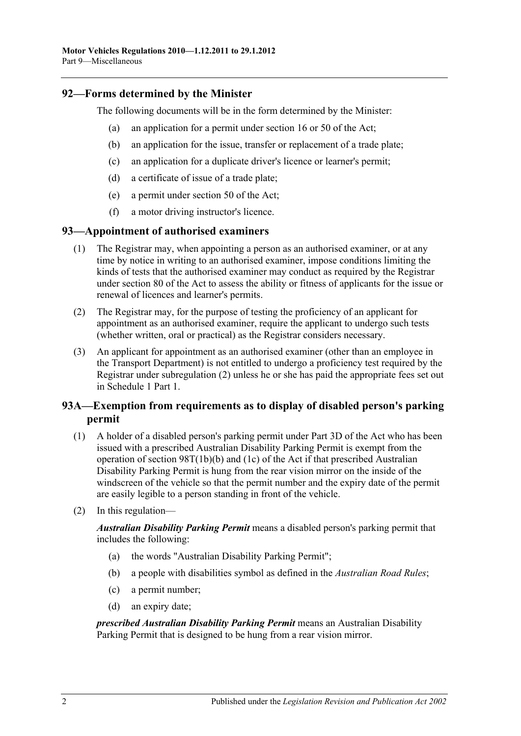## **92—Forms determined by the Minister**

The following documents will be in the form determined by the Minister:

- (a) an application for a permit under section 16 or 50 of the Act;
- (b) an application for the issue, transfer or replacement of a trade plate;
- (c) an application for a duplicate driver's licence or learner's permit;
- (d) a certificate of issue of a trade plate;
- (e) a permit under section 50 of the Act;
- (f) a motor driving instructor's licence.

## **93—Appointment of authorised examiners**

- (1) The Registrar may, when appointing a person as an authorised examiner, or at any time by notice in writing to an authorised examiner, impose conditions limiting the kinds of tests that the authorised examiner may conduct as required by the Registrar under section 80 of the Act to assess the ability or fitness of applicants for the issue or renewal of licences and learner's permits.
- <span id="page-61-0"></span>(2) The Registrar may, for the purpose of testing the proficiency of an applicant for appointment as an authorised examiner, require the applicant to undergo such tests (whether written, oral or practical) as the Registrar considers necessary.
- (3) An applicant for appointment as an authorised examiner (other than an employee in the Transport Department) is not entitled to undergo a proficiency test required by the Registrar under [subregulation](#page-61-0) (2) unless he or she has paid the appropriate fees set out in Schedule 1 Part 1.

## **93A—Exemption from requirements as to display of disabled person's parking permit**

- (1) A holder of a disabled person's parking permit under Part 3D of the Act who has been issued with a prescribed Australian Disability Parking Permit is exempt from the operation of section 98T(1b)(b) and (1c) of the Act if that prescribed Australian Disability Parking Permit is hung from the rear vision mirror on the inside of the windscreen of the vehicle so that the permit number and the expiry date of the permit are easily legible to a person standing in front of the vehicle.
- (2) In this regulation—

*Australian Disability Parking Permit* means a disabled person's parking permit that includes the following:

- (a) the words "Australian Disability Parking Permit";
- (b) a people with disabilities symbol as defined in the *[Australian Road Rules](http://www.legislation.sa.gov.au/index.aspx?action=legref&type=act&legtitle=Australian%20Road%20Rules)*;
- (c) a permit number;
- (d) an expiry date;

*prescribed Australian Disability Parking Permit* means an Australian Disability Parking Permit that is designed to be hung from a rear vision mirror.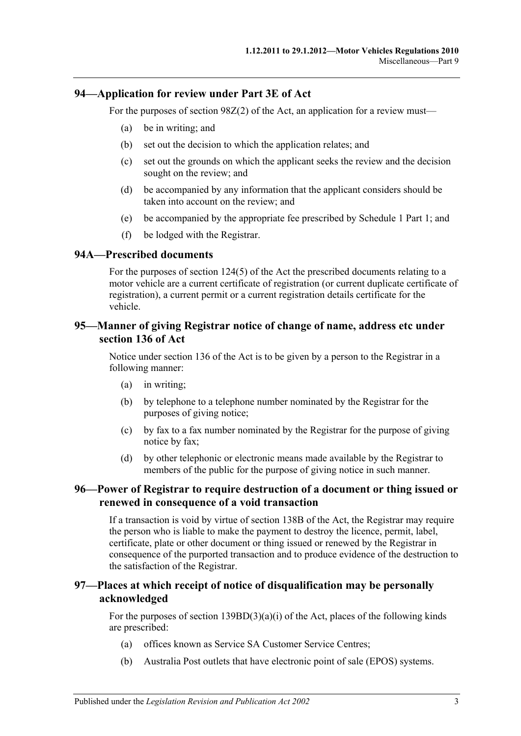#### **94—Application for review under Part 3E of Act**

For the purposes of section 98Z(2) of the Act, an application for a review must—

- (a) be in writing; and
- (b) set out the decision to which the application relates; and
- (c) set out the grounds on which the applicant seeks the review and the decision sought on the review; and
- (d) be accompanied by any information that the applicant considers should be taken into account on the review; and
- (e) be accompanied by the appropriate fee prescribed by Schedule 1 Part 1; and
- (f) be lodged with the Registrar.

#### **94A—Prescribed documents**

For the purposes of section 124(5) of the Act the prescribed documents relating to a motor vehicle are a current certificate of registration (or current duplicate certificate of registration), a current permit or a current registration details certificate for the vehicle.

#### **95—Manner of giving Registrar notice of change of name, address etc under section 136 of Act**

Notice under section 136 of the Act is to be given by a person to the Registrar in a following manner:

- (a) in writing;
- (b) by telephone to a telephone number nominated by the Registrar for the purposes of giving notice;
- (c) by fax to a fax number nominated by the Registrar for the purpose of giving notice by fax;
- (d) by other telephonic or electronic means made available by the Registrar to members of the public for the purpose of giving notice in such manner.

#### **96—Power of Registrar to require destruction of a document or thing issued or renewed in consequence of a void transaction**

If a transaction is void by virtue of section 138B of the Act, the Registrar may require the person who is liable to make the payment to destroy the licence, permit, label, certificate, plate or other document or thing issued or renewed by the Registrar in consequence of the purported transaction and to produce evidence of the destruction to the satisfaction of the Registrar.

## **97—Places at which receipt of notice of disqualification may be personally acknowledged**

For the purposes of section  $139BD(3)(a)(i)$  of the Act, places of the following kinds are prescribed:

- (a) offices known as Service SA Customer Service Centres;
- (b) Australia Post outlets that have electronic point of sale (EPOS) systems.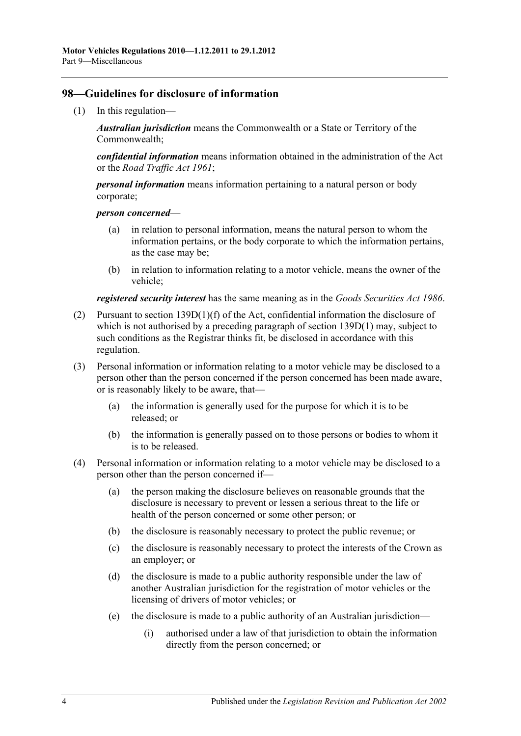#### **98—Guidelines for disclosure of information**

(1) In this regulation—

*Australian jurisdiction* means the Commonwealth or a State or Territory of the Commonwealth;

*confidential information* means information obtained in the administration of the Act or the *[Road Traffic Act](http://www.legislation.sa.gov.au/index.aspx?action=legref&type=act&legtitle=Road%20Traffic%20Act%201961) 1961*;

*personal information* means information pertaining to a natural person or body corporate;

#### *person concerned*—

- (a) in relation to personal information, means the natural person to whom the information pertains, or the body corporate to which the information pertains, as the case may be;
- (b) in relation to information relating to a motor vehicle, means the owner of the vehicle;

*registered security interest* has the same meaning as in the *[Goods Securities Act](http://www.legislation.sa.gov.au/index.aspx?action=legref&type=act&legtitle=Goods%20Securities%20Act%201986) 1986*.

- (2) Pursuant to section 139D(1)(f) of the Act, confidential information the disclosure of which is not authorised by a preceding paragraph of section 139D(1) may, subject to such conditions as the Registrar thinks fit, be disclosed in accordance with this regulation.
- (3) Personal information or information relating to a motor vehicle may be disclosed to a person other than the person concerned if the person concerned has been made aware, or is reasonably likely to be aware, that—
	- (a) the information is generally used for the purpose for which it is to be released; or
	- (b) the information is generally passed on to those persons or bodies to whom it is to be released.
- (4) Personal information or information relating to a motor vehicle may be disclosed to a person other than the person concerned if—
	- (a) the person making the disclosure believes on reasonable grounds that the disclosure is necessary to prevent or lessen a serious threat to the life or health of the person concerned or some other person; or
	- (b) the disclosure is reasonably necessary to protect the public revenue; or
	- (c) the disclosure is reasonably necessary to protect the interests of the Crown as an employer; or
	- (d) the disclosure is made to a public authority responsible under the law of another Australian jurisdiction for the registration of motor vehicles or the licensing of drivers of motor vehicles; or
	- (e) the disclosure is made to a public authority of an Australian jurisdiction—
		- (i) authorised under a law of that jurisdiction to obtain the information directly from the person concerned; or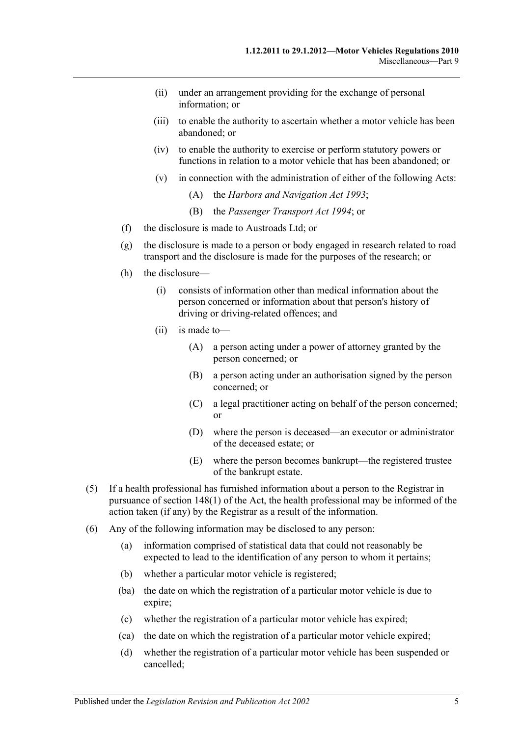- (ii) under an arrangement providing for the exchange of personal information; or
- (iii) to enable the authority to ascertain whether a motor vehicle has been abandoned; or
- (iv) to enable the authority to exercise or perform statutory powers or functions in relation to a motor vehicle that has been abandoned; or
- (v) in connection with the administration of either of the following Acts:
	- (A) the *[Harbors and Navigation Act](http://www.legislation.sa.gov.au/index.aspx?action=legref&type=act&legtitle=Harbors%20and%20Navigation%20Act%201993) 1993*;
	- (B) the *[Passenger Transport Act](http://www.legislation.sa.gov.au/index.aspx?action=legref&type=act&legtitle=Passenger%20Transport%20Act%201994) 1994*; or
- (f) the disclosure is made to Austroads Ltd; or
- (g) the disclosure is made to a person or body engaged in research related to road transport and the disclosure is made for the purposes of the research; or
- (h) the disclosure—
	- (i) consists of information other than medical information about the person concerned or information about that person's history of driving or driving-related offences; and
	- (ii) is made to—
		- (A) a person acting under a power of attorney granted by the person concerned; or
		- (B) a person acting under an authorisation signed by the person concerned; or
		- (C) a legal practitioner acting on behalf of the person concerned; or
		- (D) where the person is deceased—an executor or administrator of the deceased estate; or
		- (E) where the person becomes bankrupt—the registered trustee of the bankrupt estate.
- (5) If a health professional has furnished information about a person to the Registrar in pursuance of section 148(1) of the Act, the health professional may be informed of the action taken (if any) by the Registrar as a result of the information.
- (6) Any of the following information may be disclosed to any person:
	- (a) information comprised of statistical data that could not reasonably be expected to lead to the identification of any person to whom it pertains;
	- (b) whether a particular motor vehicle is registered;
	- (ba) the date on which the registration of a particular motor vehicle is due to expire;
	- (c) whether the registration of a particular motor vehicle has expired;
	- (ca) the date on which the registration of a particular motor vehicle expired;
	- (d) whether the registration of a particular motor vehicle has been suspended or cancelled;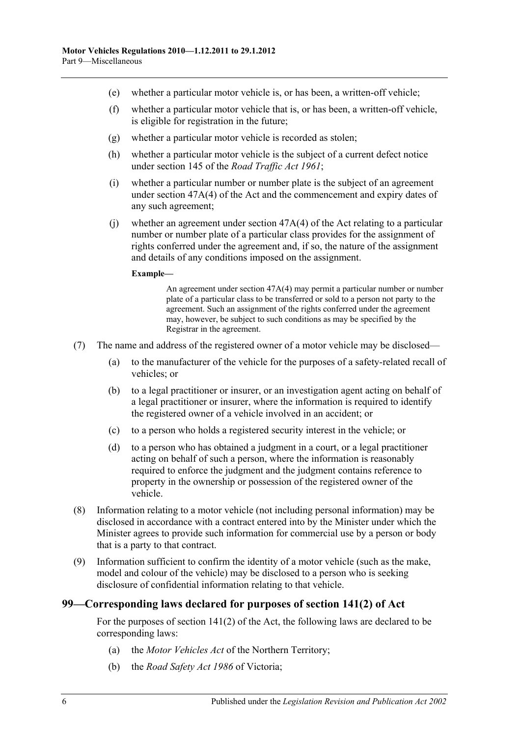- (e) whether a particular motor vehicle is, or has been, a written-off vehicle;
- (f) whether a particular motor vehicle that is, or has been, a written-off vehicle, is eligible for registration in the future;
- (g) whether a particular motor vehicle is recorded as stolen;
- (h) whether a particular motor vehicle is the subject of a current defect notice under section 145 of the *[Road Traffic Act](http://www.legislation.sa.gov.au/index.aspx?action=legref&type=act&legtitle=Road%20Traffic%20Act%201961) 1961*;
- (i) whether a particular number or number plate is the subject of an agreement under section 47A(4) of the Act and the commencement and expiry dates of any such agreement;
- (i) whether an agreement under section  $47A(4)$  of the Act relating to a particular number or number plate of a particular class provides for the assignment of rights conferred under the agreement and, if so, the nature of the assignment and details of any conditions imposed on the assignment.

#### **Example—**

An agreement under section 47A(4) may permit a particular number or number plate of a particular class to be transferred or sold to a person not party to the agreement. Such an assignment of the rights conferred under the agreement may, however, be subject to such conditions as may be specified by the Registrar in the agreement.

- (7) The name and address of the registered owner of a motor vehicle may be disclosed—
	- (a) to the manufacturer of the vehicle for the purposes of a safety-related recall of vehicles; or
	- (b) to a legal practitioner or insurer, or an investigation agent acting on behalf of a legal practitioner or insurer, where the information is required to identify the registered owner of a vehicle involved in an accident; or
	- (c) to a person who holds a registered security interest in the vehicle; or
	- (d) to a person who has obtained a judgment in a court, or a legal practitioner acting on behalf of such a person, where the information is reasonably required to enforce the judgment and the judgment contains reference to property in the ownership or possession of the registered owner of the vehicle.
- <span id="page-65-0"></span>(8) Information relating to a motor vehicle (not including personal information) may be disclosed in accordance with a contract entered into by the Minister under which the Minister agrees to provide such information for commercial use by a person or body that is a party to that contract.
- (9) Information sufficient to confirm the identity of a motor vehicle (such as the make, model and colour of the vehicle) may be disclosed to a person who is seeking disclosure of confidential information relating to that vehicle.

## **99—Corresponding laws declared for purposes of section 141(2) of Act**

For the purposes of section 141(2) of the Act, the following laws are declared to be corresponding laws:

- (a) the *Motor Vehicles Act* of the Northern Territory;
- (b) the *Road Safety Act 1986* of Victoria;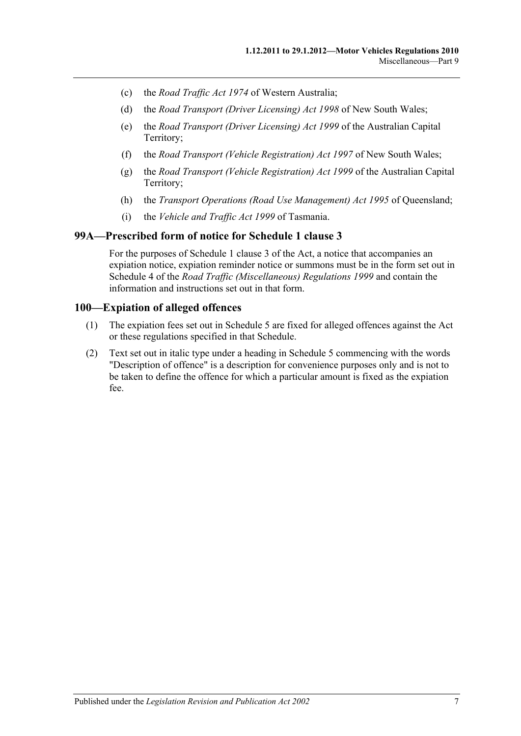- (c) the *Road Traffic Act 1974* of Western Australia;
- (d) the *Road Transport (Driver Licensing) Act 1998* of New South Wales;
- (e) the *Road Transport (Driver Licensing) Act 1999* of the Australian Capital Territory;
- (f) the *Road Transport (Vehicle Registration) Act 1997* of New South Wales;
- (g) the *Road Transport (Vehicle Registration) Act 1999* of the Australian Capital Territory;
- (h) the *Transport Operations (Road Use Management) Act 1995* of Queensland;
- (i) the *Vehicle and Traffic Act 1999* of Tasmania.

#### **99A—Prescribed form of notice for Schedule 1 clause 3**

For the purposes of Schedule 1 clause 3 of the Act, a notice that accompanies an expiation notice, expiation reminder notice or summons must be in the form set out in Schedule 4 of the *[Road Traffic \(Miscellaneous\) Regulations](http://www.legislation.sa.gov.au/index.aspx?action=legref&type=subordleg&legtitle=Road%20Traffic%20(Miscellaneous)%20Regulations%201999) 1999* and contain the information and instructions set out in that form.

#### **100—Expiation of alleged offences**

- (1) The expiation fees set out in [Schedule 5](#page-96-0) are fixed for alleged offences against the Act or these regulations specified in that Schedule.
- (2) Text set out in italic type under a heading in [Schedule 5](#page-96-0) commencing with the words "Description of offence" is a description for convenience purposes only and is not to be taken to define the offence for which a particular amount is fixed as the expiation fee.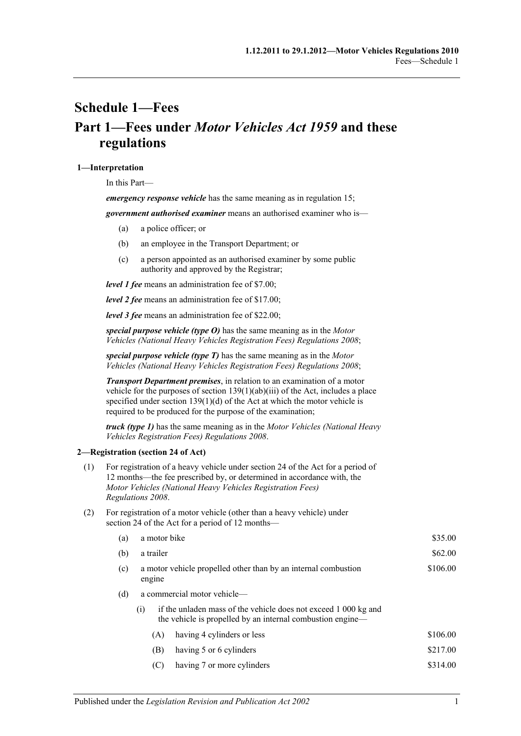# <span id="page-68-0"></span>**Schedule 1—Fees Part 1—Fees under** *Motor Vehicles Act 1959* **and these regulations**

#### **1—Interpretation**

In this Part—

*emergency response vehicle* has the same meaning as in [regulation](#page-13-1) 15;

*government authorised examiner* means an authorised examiner who is—

- (a) a police officer; or
- (b) an employee in the Transport Department; or
- (c) a person appointed as an authorised examiner by some public authority and approved by the Registrar;

*level 1 fee* means an administration fee of \$7.00;

*level 2 fee* means an administration fee of \$17.00;

*level 3 fee* means an administration fee of \$22.00;

*special purpose vehicle (type O)* has the same meaning as in the *[Motor](http://www.legislation.sa.gov.au/index.aspx?action=legref&type=subordleg&legtitle=Motor%20Vehicles%20(National%20Heavy%20Vehicles%20Registration%20Fees)%20Regulations%202008)  [Vehicles \(National Heavy Vehicles Registration Fees\) Regulations](http://www.legislation.sa.gov.au/index.aspx?action=legref&type=subordleg&legtitle=Motor%20Vehicles%20(National%20Heavy%20Vehicles%20Registration%20Fees)%20Regulations%202008) 2008*;

*special purpose vehicle (type T)* has the same meaning as in the *[Motor](http://www.legislation.sa.gov.au/index.aspx?action=legref&type=subordleg&legtitle=Motor%20Vehicles%20(National%20Heavy%20Vehicles%20Registration%20Fees)%20Regulations%202008)  [Vehicles \(National Heavy Vehicles Registration Fees\) Regulations](http://www.legislation.sa.gov.au/index.aspx?action=legref&type=subordleg&legtitle=Motor%20Vehicles%20(National%20Heavy%20Vehicles%20Registration%20Fees)%20Regulations%202008) 2008*;

*Transport Department premises*, in relation to an examination of a motor vehicle for the purposes of section 139(1)(ab)(iii) of the Act, includes a place specified under section  $139(1)(d)$  of the Act at which the motor vehicle is required to be produced for the purpose of the examination;

*truck (type 1)* has the same meaning as in the *[Motor Vehicles \(National Heavy](http://www.legislation.sa.gov.au/index.aspx?action=legref&type=subordleg&legtitle=Motor%20Vehicles%20(National%20Heavy%20Vehicles%20Registration%20Fees)%20Regulations%202008)  [Vehicles Registration Fees\) Regulations](http://www.legislation.sa.gov.au/index.aspx?action=legref&type=subordleg&legtitle=Motor%20Vehicles%20(National%20Heavy%20Vehicles%20Registration%20Fees)%20Regulations%202008) 2008*.

#### **2—Registration (section 24 of Act)**

- (1) For registration of a heavy vehicle under section 24 of the Act for a period of 12 months—the fee prescribed by, or determined in accordance with, the *[Motor Vehicles \(National Heavy Vehicles Registration Fees\)](http://www.legislation.sa.gov.au/index.aspx?action=legref&type=subordleg&legtitle=Motor%20Vehicles%20(National%20Heavy%20Vehicles%20Registration%20Fees)%20Regulations%202008)  [Regulations](http://www.legislation.sa.gov.au/index.aspx?action=legref&type=subordleg&legtitle=Motor%20Vehicles%20(National%20Heavy%20Vehicles%20Registration%20Fees)%20Regulations%202008) 2008*.
- (2) For registration of a motor vehicle (other than a heavy vehicle) under section 24 of the Act for a period of 12 months—

| (a) | a motor bike                                                                                                                         |                             | \$35.00  |
|-----|--------------------------------------------------------------------------------------------------------------------------------------|-----------------------------|----------|
| (b) | a trailer                                                                                                                            | \$62.00                     |          |
| (c) | a motor vehicle propelled other than by an internal combustion<br>engine                                                             |                             |          |
| (d) |                                                                                                                                      | a commercial motor vehicle— |          |
|     | if the unladen mass of the vehicle does not exceed 1 000 kg and<br>(i)<br>the vehicle is propelled by an internal combustion engine— |                             |          |
|     | (A)                                                                                                                                  | having 4 cylinders or less  | \$106.00 |
|     | (B)                                                                                                                                  | having 5 or 6 cylinders     | \$217.00 |
|     | (C)                                                                                                                                  | having 7 or more cylinders  | \$314.00 |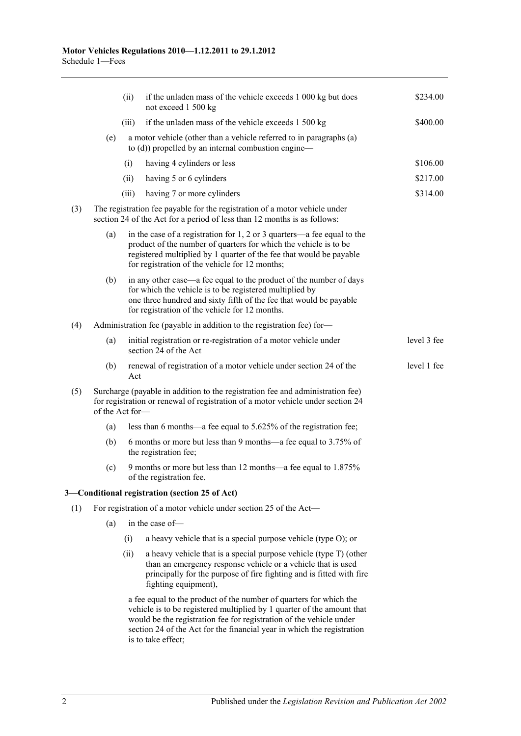|     |                                                                                                                                                        | (ii)  | if the unladen mass of the vehicle exceeds 1 000 kg but does<br>not exceed 1 500 kg                                                                                                                                                                                                                                 | \$234.00    |  |
|-----|--------------------------------------------------------------------------------------------------------------------------------------------------------|-------|---------------------------------------------------------------------------------------------------------------------------------------------------------------------------------------------------------------------------------------------------------------------------------------------------------------------|-------------|--|
|     |                                                                                                                                                        | (iii) | if the unladen mass of the vehicle exceeds 1 500 kg                                                                                                                                                                                                                                                                 | \$400.00    |  |
|     | (e)                                                                                                                                                    |       | a motor vehicle (other than a vehicle referred to in paragraphs (a)<br>to $(d)$ ) propelled by an internal combustion engine—                                                                                                                                                                                       |             |  |
|     |                                                                                                                                                        | (i)   | having 4 cylinders or less                                                                                                                                                                                                                                                                                          | \$106.00    |  |
|     |                                                                                                                                                        | (ii)  | having 5 or 6 cylinders                                                                                                                                                                                                                                                                                             | \$217.00    |  |
|     |                                                                                                                                                        | (iii) | having 7 or more cylinders                                                                                                                                                                                                                                                                                          | \$314.00    |  |
| (3) | The registration fee payable for the registration of a motor vehicle under<br>section 24 of the Act for a period of less than 12 months is as follows: |       |                                                                                                                                                                                                                                                                                                                     |             |  |
|     | (a)                                                                                                                                                    |       | in the case of a registration for $1, 2$ or $3$ quarters—a fee equal to the<br>product of the number of quarters for which the vehicle is to be<br>registered multiplied by 1 quarter of the fee that would be payable<br>for registration of the vehicle for 12 months;                                            |             |  |
|     | (b)                                                                                                                                                    |       | in any other case—a fee equal to the product of the number of days<br>for which the vehicle is to be registered multiplied by<br>one three hundred and sixty fifth of the fee that would be payable<br>for registration of the vehicle for 12 months.                                                               |             |  |
| (4) | Administration fee (payable in addition to the registration fee) for-                                                                                  |       |                                                                                                                                                                                                                                                                                                                     |             |  |
|     | (a)                                                                                                                                                    |       | initial registration or re-registration of a motor vehicle under<br>section 24 of the Act                                                                                                                                                                                                                           | level 3 fee |  |
|     | (b)                                                                                                                                                    | Act   | renewal of registration of a motor vehicle under section 24 of the                                                                                                                                                                                                                                                  | level 1 fee |  |
| (5) | of the Act for-                                                                                                                                        |       | Surcharge (payable in addition to the registration fee and administration fee)<br>for registration or renewal of registration of a motor vehicle under section 24                                                                                                                                                   |             |  |
|     | (a)                                                                                                                                                    |       | less than 6 months—a fee equal to 5.625% of the registration fee;                                                                                                                                                                                                                                                   |             |  |
|     | (b)                                                                                                                                                    |       | 6 months or more but less than 9 months—a fee equal to 3.75% of<br>the registration fee;                                                                                                                                                                                                                            |             |  |
|     | (c)                                                                                                                                                    |       | 9 months or more but less than 12 months—a fee equal to 1.875%<br>of the registration fee.                                                                                                                                                                                                                          |             |  |
|     |                                                                                                                                                        |       | 3-Conditional registration (section 25 of Act)                                                                                                                                                                                                                                                                      |             |  |
| (1) |                                                                                                                                                        |       | For registration of a motor vehicle under section 25 of the Act-                                                                                                                                                                                                                                                    |             |  |
|     | (a)                                                                                                                                                    |       | in the case of-                                                                                                                                                                                                                                                                                                     |             |  |
|     |                                                                                                                                                        | (i)   | a heavy vehicle that is a special purpose vehicle (type O); or                                                                                                                                                                                                                                                      |             |  |
|     |                                                                                                                                                        | (ii)  | a heavy vehicle that is a special purpose vehicle (type T) (other<br>than an emergency response vehicle or a vehicle that is used<br>principally for the purpose of fire fighting and is fitted with fire<br>fighting equipment),                                                                                   |             |  |
|     |                                                                                                                                                        |       | a fee equal to the product of the number of quarters for which the<br>vehicle is to be registered multiplied by 1 quarter of the amount that<br>would be the registration fee for registration of the vehicle under<br>section 24 of the Act for the financial year in which the registration<br>is to take effect; |             |  |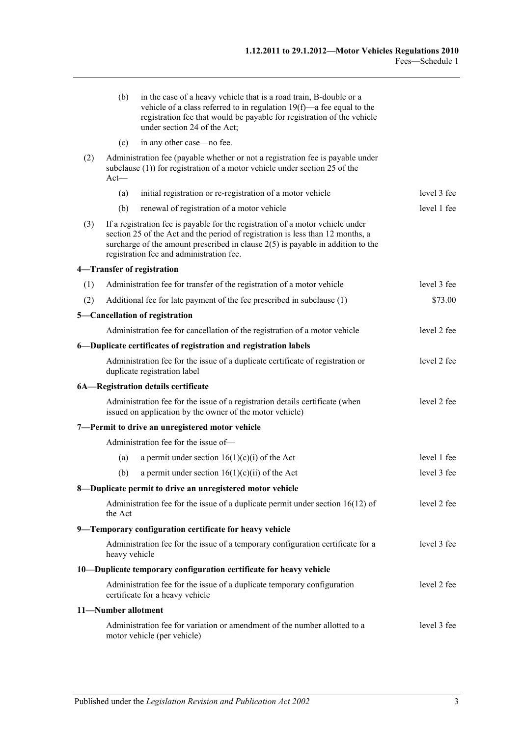|     | (b)                                                                                                                                                                        | in the case of a heavy vehicle that is a road train, B-double or a<br>vehicle of a class referred to in regulation $19(f)$ —a fee equal to the<br>registration fee that would be payable for registration of the vehicle<br>under section 24 of the Act;                                          |             |
|-----|----------------------------------------------------------------------------------------------------------------------------------------------------------------------------|---------------------------------------------------------------------------------------------------------------------------------------------------------------------------------------------------------------------------------------------------------------------------------------------------|-------------|
|     | (c)                                                                                                                                                                        | in any other case—no fee.                                                                                                                                                                                                                                                                         |             |
| (2) | Administration fee (payable whether or not a registration fee is payable under<br>subclause $(1)$ ) for registration of a motor vehicle under section 25 of the<br>$Act$ — |                                                                                                                                                                                                                                                                                                   |             |
|     | (a)                                                                                                                                                                        | initial registration or re-registration of a motor vehicle                                                                                                                                                                                                                                        | level 3 fee |
|     | (b)                                                                                                                                                                        | renewal of registration of a motor vehicle                                                                                                                                                                                                                                                        | level 1 fee |
| (3) |                                                                                                                                                                            | If a registration fee is payable for the registration of a motor vehicle under<br>section 25 of the Act and the period of registration is less than 12 months, a<br>surcharge of the amount prescribed in clause $2(5)$ is payable in addition to the<br>registration fee and administration fee. |             |
|     |                                                                                                                                                                            | 4-Transfer of registration                                                                                                                                                                                                                                                                        |             |
| (1) |                                                                                                                                                                            | Administration fee for transfer of the registration of a motor vehicle                                                                                                                                                                                                                            | level 3 fee |
| (2) |                                                                                                                                                                            | Additional fee for late payment of the fee prescribed in subclause (1)                                                                                                                                                                                                                            | \$73.00     |
|     |                                                                                                                                                                            | 5-Cancellation of registration                                                                                                                                                                                                                                                                    |             |
|     |                                                                                                                                                                            | Administration fee for cancellation of the registration of a motor vehicle                                                                                                                                                                                                                        | level 2 fee |
|     |                                                                                                                                                                            | 6-Duplicate certificates of registration and registration labels                                                                                                                                                                                                                                  |             |
|     |                                                                                                                                                                            | Administration fee for the issue of a duplicate certificate of registration or<br>duplicate registration label                                                                                                                                                                                    | level 2 fee |
|     |                                                                                                                                                                            | 6A-Registration details certificate                                                                                                                                                                                                                                                               |             |
|     |                                                                                                                                                                            | Administration fee for the issue of a registration details certificate (when<br>issued on application by the owner of the motor vehicle)                                                                                                                                                          | level 2 fee |
|     |                                                                                                                                                                            | 7-Permit to drive an unregistered motor vehicle                                                                                                                                                                                                                                                   |             |
|     |                                                                                                                                                                            | Administration fee for the issue of-                                                                                                                                                                                                                                                              |             |
|     | (a)                                                                                                                                                                        | a permit under section $16(1)(c)(i)$ of the Act                                                                                                                                                                                                                                                   | level 1 fee |
|     | (b)                                                                                                                                                                        | a permit under section $16(1)(c)(ii)$ of the Act                                                                                                                                                                                                                                                  | level 3 fee |
|     |                                                                                                                                                                            | 8-Duplicate permit to drive an unregistered motor vehicle                                                                                                                                                                                                                                         |             |
|     | the Act                                                                                                                                                                    | Administration fee for the issue of a duplicate permit under section $16(12)$ of                                                                                                                                                                                                                  | level 2 fee |
|     |                                                                                                                                                                            | 9-Temporary configuration certificate for heavy vehicle                                                                                                                                                                                                                                           |             |
|     | heavy vehicle                                                                                                                                                              | Administration fee for the issue of a temporary configuration certificate for a                                                                                                                                                                                                                   | level 3 fee |
|     |                                                                                                                                                                            | 10-Duplicate temporary configuration certificate for heavy vehicle                                                                                                                                                                                                                                |             |
|     |                                                                                                                                                                            | Administration fee for the issue of a duplicate temporary configuration<br>certificate for a heavy vehicle                                                                                                                                                                                        | level 2 fee |
|     | 11-Number allotment                                                                                                                                                        |                                                                                                                                                                                                                                                                                                   |             |
|     |                                                                                                                                                                            | Administration fee for variation or amendment of the number allotted to a<br>motor vehicle (per vehicle)                                                                                                                                                                                          | level 3 fee |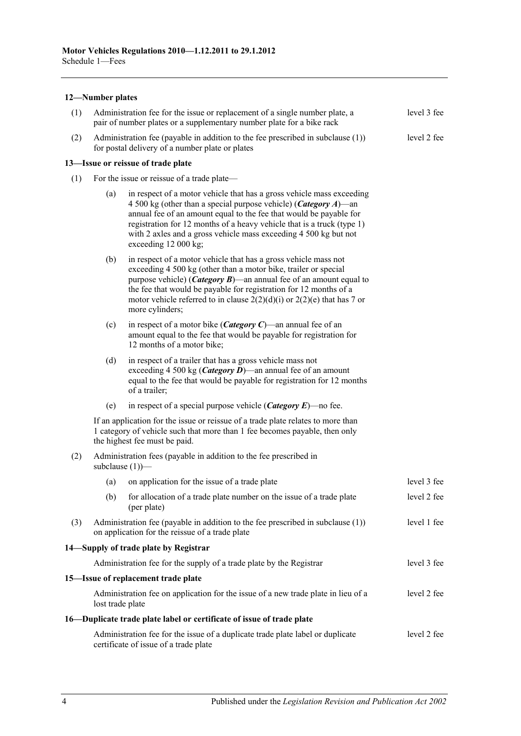#### **12—Number plates**

| (1) | Administration fee for the issue or replacement of a single number plate, a<br>pair of number plates or a supplementary number plate for a bike rack |                                                                                                                                                                                                                                                                                                                                                                                               |             |  |  |
|-----|------------------------------------------------------------------------------------------------------------------------------------------------------|-----------------------------------------------------------------------------------------------------------------------------------------------------------------------------------------------------------------------------------------------------------------------------------------------------------------------------------------------------------------------------------------------|-------------|--|--|
| (2) | Administration fee (payable in addition to the fee prescribed in subclause (1))<br>level 2 fee<br>for postal delivery of a number plate or plates    |                                                                                                                                                                                                                                                                                                                                                                                               |             |  |  |
|     |                                                                                                                                                      | 13-Issue or reissue of trade plate                                                                                                                                                                                                                                                                                                                                                            |             |  |  |
| (1) | For the issue or reissue of a trade plate—                                                                                                           |                                                                                                                                                                                                                                                                                                                                                                                               |             |  |  |
|     | (a)                                                                                                                                                  | in respect of a motor vehicle that has a gross vehicle mass exceeding<br>4 500 kg (other than a special purpose vehicle) ( <i>Category A</i> )—an<br>annual fee of an amount equal to the fee that would be payable for<br>registration for 12 months of a heavy vehicle that is a truck (type 1)<br>with 2 axles and a gross vehicle mass exceeding 4 500 kg but not<br>exceeding 12 000 kg; |             |  |  |
|     | (b)                                                                                                                                                  | in respect of a motor vehicle that has a gross vehicle mass not<br>exceeding 4 500 kg (other than a motor bike, trailer or special<br>purpose vehicle) ( <i>Category B</i> )—an annual fee of an amount equal to<br>the fee that would be payable for registration for 12 months of a<br>motor vehicle referred to in clause $2(2)(d)(i)$ or $2(2)(e)$ that has 7 or<br>more cylinders;       |             |  |  |
|     | (c)                                                                                                                                                  | in respect of a motor bike ( <i>Category C</i> )—an annual fee of an<br>amount equal to the fee that would be payable for registration for<br>12 months of a motor bike;                                                                                                                                                                                                                      |             |  |  |
|     | (d)                                                                                                                                                  | in respect of a trailer that has a gross vehicle mass not<br>exceeding 4 500 kg ( <i>Category D</i> )—an annual fee of an amount<br>equal to the fee that would be payable for registration for 12 months<br>of a trailer;                                                                                                                                                                    |             |  |  |
|     | (e)                                                                                                                                                  | in respect of a special purpose vehicle ( <i>Category E</i> )—no fee.                                                                                                                                                                                                                                                                                                                         |             |  |  |
|     |                                                                                                                                                      | If an application for the issue or reissue of a trade plate relates to more than<br>1 category of vehicle such that more than 1 fee becomes payable, then only<br>the highest fee must be paid.                                                                                                                                                                                               |             |  |  |
| (2) | Administration fees (payable in addition to the fee prescribed in<br>subclause $(1)$ )—                                                              |                                                                                                                                                                                                                                                                                                                                                                                               |             |  |  |
|     | (a)                                                                                                                                                  | on application for the issue of a trade plate                                                                                                                                                                                                                                                                                                                                                 | level 3 fee |  |  |
|     |                                                                                                                                                      | (b) for allocation of a trade plate number on the issue of a trade plate<br>(per plate)                                                                                                                                                                                                                                                                                                       | level 2 fee |  |  |
| (3) |                                                                                                                                                      | Administration fee (payable in addition to the fee prescribed in subclause $(1)$ )<br>on application for the reissue of a trade plate                                                                                                                                                                                                                                                         | level 1 fee |  |  |
|     |                                                                                                                                                      | 14-Supply of trade plate by Registrar                                                                                                                                                                                                                                                                                                                                                         |             |  |  |
|     |                                                                                                                                                      | Administration fee for the supply of a trade plate by the Registrar                                                                                                                                                                                                                                                                                                                           | level 3 fee |  |  |
|     |                                                                                                                                                      | 15-Issue of replacement trade plate                                                                                                                                                                                                                                                                                                                                                           |             |  |  |
|     | lost trade plate                                                                                                                                     | Administration fee on application for the issue of a new trade plate in lieu of a                                                                                                                                                                                                                                                                                                             | level 2 fee |  |  |
|     |                                                                                                                                                      | 16—Duplicate trade plate label or certificate of issue of trade plate                                                                                                                                                                                                                                                                                                                         |             |  |  |
|     | level 2 fee<br>Administration fee for the issue of a duplicate trade plate label or duplicate<br>certificate of issue of a trade plate               |                                                                                                                                                                                                                                                                                                                                                                                               |             |  |  |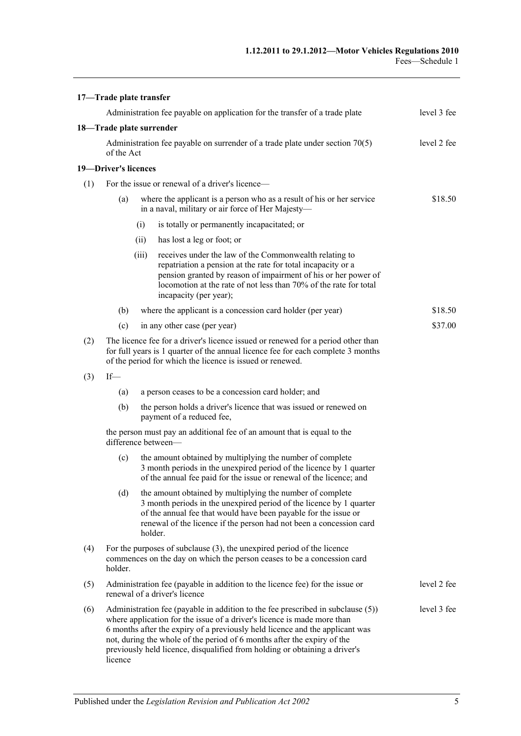|     | 17-Trade plate transfer                                                                                                                                                                                                           |             |                                                                                                                                                                                                                                                                                                                                                                                                     |             |
|-----|-----------------------------------------------------------------------------------------------------------------------------------------------------------------------------------------------------------------------------------|-------------|-----------------------------------------------------------------------------------------------------------------------------------------------------------------------------------------------------------------------------------------------------------------------------------------------------------------------------------------------------------------------------------------------------|-------------|
|     |                                                                                                                                                                                                                                   |             | Administration fee payable on application for the transfer of a trade plate                                                                                                                                                                                                                                                                                                                         | level 3 fee |
|     | 18-Trade plate surrender                                                                                                                                                                                                          |             |                                                                                                                                                                                                                                                                                                                                                                                                     |             |
|     | Administration fee payable on surrender of a trade plate under section $70(5)$<br>of the Act                                                                                                                                      | level 2 fee |                                                                                                                                                                                                                                                                                                                                                                                                     |             |
|     | 19-Driver's licences                                                                                                                                                                                                              |             |                                                                                                                                                                                                                                                                                                                                                                                                     |             |
| (1) | For the issue or renewal of a driver's licence—                                                                                                                                                                                   |             |                                                                                                                                                                                                                                                                                                                                                                                                     |             |
|     | (a)                                                                                                                                                                                                                               |             | where the applicant is a person who as a result of his or her service<br>in a naval, military or air force of Her Majesty-                                                                                                                                                                                                                                                                          | \$18.50     |
|     |                                                                                                                                                                                                                                   | (i)         | is totally or permanently incapacitated; or                                                                                                                                                                                                                                                                                                                                                         |             |
|     |                                                                                                                                                                                                                                   | (ii)        | has lost a leg or foot; or                                                                                                                                                                                                                                                                                                                                                                          |             |
|     |                                                                                                                                                                                                                                   | (iii)       | receives under the law of the Commonwealth relating to<br>repatriation a pension at the rate for total incapacity or a<br>pension granted by reason of impairment of his or her power of<br>locomotion at the rate of not less than 70% of the rate for total<br>incapacity (per year);                                                                                                             |             |
|     | (b)                                                                                                                                                                                                                               |             | where the applicant is a concession card holder (per year)                                                                                                                                                                                                                                                                                                                                          | \$18.50     |
|     | (c)                                                                                                                                                                                                                               |             | in any other case (per year)                                                                                                                                                                                                                                                                                                                                                                        | \$37.00     |
| (2) | The licence fee for a driver's licence issued or renewed for a period other than<br>for full years is 1 quarter of the annual licence fee for each complete 3 months<br>of the period for which the licence is issued or renewed. |             |                                                                                                                                                                                                                                                                                                                                                                                                     |             |
| (3) | $If$ —                                                                                                                                                                                                                            |             |                                                                                                                                                                                                                                                                                                                                                                                                     |             |
|     | (a)                                                                                                                                                                                                                               |             | a person ceases to be a concession card holder; and                                                                                                                                                                                                                                                                                                                                                 |             |
|     | (b)                                                                                                                                                                                                                               |             | the person holds a driver's licence that was issued or renewed on<br>payment of a reduced fee,                                                                                                                                                                                                                                                                                                      |             |
|     |                                                                                                                                                                                                                                   |             | the person must pay an additional fee of an amount that is equal to the<br>difference between-                                                                                                                                                                                                                                                                                                      |             |
|     | (c)                                                                                                                                                                                                                               |             | the amount obtained by multiplying the number of complete<br>3 month periods in the unexpired period of the licence by 1 quarter<br>of the annual fee paid for the issue or renewal of the licence; and                                                                                                                                                                                             |             |
|     | (d)                                                                                                                                                                                                                               |             | the amount obtained by multiplying the number of complete<br>3 month periods in the unexpired period of the licence by 1 quarter<br>of the annual fee that would have been payable for the issue or<br>renewal of the licence if the person had not been a concession card<br>holder.                                                                                                               |             |
| (4) | For the purposes of subclause $(3)$ , the unexpired period of the licence<br>commences on the day on which the person ceases to be a concession card<br>holder.                                                                   |             |                                                                                                                                                                                                                                                                                                                                                                                                     |             |
| (5) | Administration fee (payable in addition to the licence fee) for the issue or<br>renewal of a driver's licence                                                                                                                     |             |                                                                                                                                                                                                                                                                                                                                                                                                     | level 2 fee |
| (6) | licence                                                                                                                                                                                                                           |             | Administration fee (payable in addition to the fee prescribed in subclause (5))<br>where application for the issue of a driver's licence is made more than<br>6 months after the expiry of a previously held licence and the applicant was<br>not, during the whole of the period of 6 months after the expiry of the<br>previously held licence, disqualified from holding or obtaining a driver's | level 3 fee |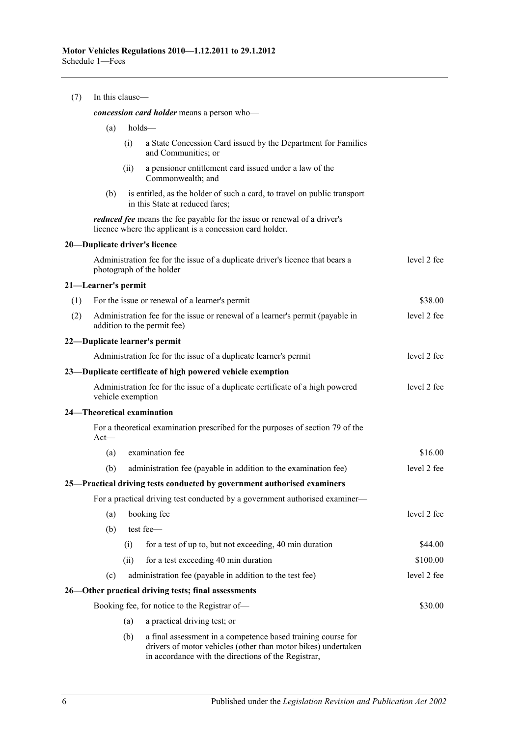| (7) | In this clause-                            |      |                                                                                                                                                                                      |             |  |  |  |
|-----|--------------------------------------------|------|--------------------------------------------------------------------------------------------------------------------------------------------------------------------------------------|-------------|--|--|--|
|     | concession card holder means a person who- |      |                                                                                                                                                                                      |             |  |  |  |
|     | (a)                                        |      | holds-                                                                                                                                                                               |             |  |  |  |
|     |                                            | (i)  | a State Concession Card issued by the Department for Families<br>and Communities; or                                                                                                 |             |  |  |  |
|     |                                            | (ii) | a pensioner entitlement card issued under a law of the<br>Commonwealth; and                                                                                                          |             |  |  |  |
|     | (b)                                        |      | is entitled, as the holder of such a card, to travel on public transport<br>in this State at reduced fares;                                                                          |             |  |  |  |
|     |                                            |      | reduced fee means the fee payable for the issue or renewal of a driver's<br>licence where the applicant is a concession card holder.                                                 |             |  |  |  |
|     |                                            |      | 20-Duplicate driver's licence                                                                                                                                                        |             |  |  |  |
|     |                                            |      | Administration fee for the issue of a duplicate driver's licence that bears a<br>photograph of the holder                                                                            | level 2 fee |  |  |  |
|     | 21—Learner's permit                        |      |                                                                                                                                                                                      |             |  |  |  |
| (1) |                                            |      | For the issue or renewal of a learner's permit                                                                                                                                       | \$38.00     |  |  |  |
| (2) |                                            |      | Administration fee for the issue or renewal of a learner's permit (payable in<br>addition to the permit fee)                                                                         | level 2 fee |  |  |  |
|     |                                            |      | 22-Duplicate learner's permit                                                                                                                                                        |             |  |  |  |
|     |                                            |      | Administration fee for the issue of a duplicate learner's permit                                                                                                                     | level 2 fee |  |  |  |
|     |                                            |      | 23—Duplicate certificate of high powered vehicle exemption                                                                                                                           |             |  |  |  |
|     | vehicle exemption                          |      | Administration fee for the issue of a duplicate certificate of a high powered                                                                                                        | level 2 fee |  |  |  |
|     |                                            |      | 24—Theoretical examination                                                                                                                                                           |             |  |  |  |
|     | $Act -$                                    |      | For a theoretical examination prescribed for the purposes of section 79 of the                                                                                                       |             |  |  |  |
|     | (a)                                        |      | examination fee                                                                                                                                                                      | \$16.00     |  |  |  |
|     | (b)                                        |      | administration fee (payable in addition to the examination fee)                                                                                                                      | level 2 fee |  |  |  |
|     |                                            |      | 25-Practical driving tests conducted by government authorised examiners                                                                                                              |             |  |  |  |
|     |                                            |      | For a practical driving test conducted by a government authorised examiner-                                                                                                          |             |  |  |  |
|     | (a)                                        |      | booking fee                                                                                                                                                                          | level 2 fee |  |  |  |
|     | (b)                                        |      | test fee-                                                                                                                                                                            |             |  |  |  |
|     |                                            | (i)  | for a test of up to, but not exceeding, 40 min duration                                                                                                                              | \$44.00     |  |  |  |
|     |                                            | (ii) | for a test exceeding 40 min duration                                                                                                                                                 | \$100.00    |  |  |  |
|     | (c)                                        |      | administration fee (payable in addition to the test fee)                                                                                                                             | level 2 fee |  |  |  |
|     |                                            |      | 26—Other practical driving tests; final assessments                                                                                                                                  |             |  |  |  |
|     |                                            |      | Booking fee, for notice to the Registrar of-                                                                                                                                         | \$30.00     |  |  |  |
|     |                                            | (a)  | a practical driving test; or                                                                                                                                                         |             |  |  |  |
|     |                                            | (b)  | a final assessment in a competence based training course for<br>drivers of motor vehicles (other than motor bikes) undertaken<br>in accordance with the directions of the Registrar, |             |  |  |  |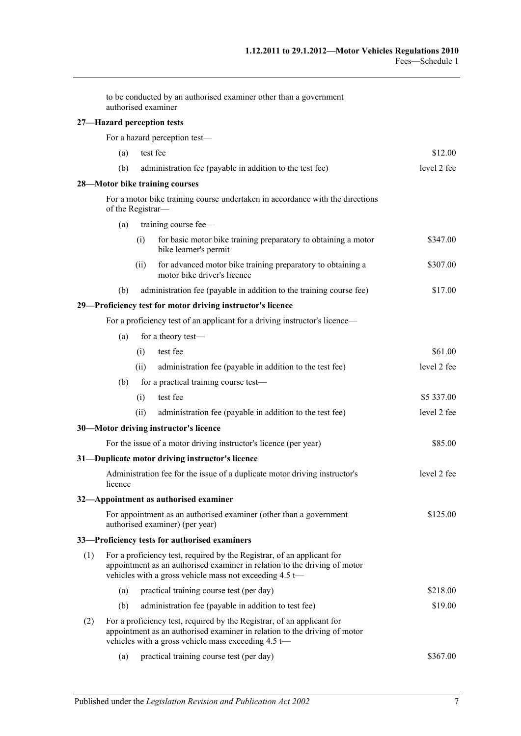|     |                   |      | to be conducted by an authorised examiner other than a government<br>authorised examiner                                                                                                                          |             |
|-----|-------------------|------|-------------------------------------------------------------------------------------------------------------------------------------------------------------------------------------------------------------------|-------------|
|     |                   |      | 27-Hazard perception tests                                                                                                                                                                                        |             |
|     |                   |      | For a hazard perception test-                                                                                                                                                                                     |             |
|     | (a)               |      | test fee                                                                                                                                                                                                          | \$12.00     |
|     | (b)               |      | administration fee (payable in addition to the test fee)                                                                                                                                                          | level 2 fee |
|     |                   |      | 28-Motor bike training courses                                                                                                                                                                                    |             |
|     | of the Registrar- |      | For a motor bike training course undertaken in accordance with the directions                                                                                                                                     |             |
|     | (a)               |      | training course fee-                                                                                                                                                                                              |             |
|     |                   | (i)  | for basic motor bike training preparatory to obtaining a motor<br>bike learner's permit                                                                                                                           | \$347.00    |
|     |                   | (ii) | for advanced motor bike training preparatory to obtaining a<br>motor bike driver's licence                                                                                                                        | \$307.00    |
|     | (b)               |      | administration fee (payable in addition to the training course fee)                                                                                                                                               | \$17.00     |
|     |                   |      | 29-Proficiency test for motor driving instructor's licence                                                                                                                                                        |             |
|     |                   |      | For a proficiency test of an applicant for a driving instructor's licence—                                                                                                                                        |             |
|     | (a)               |      | for a theory test-                                                                                                                                                                                                |             |
|     |                   | (i)  | test fee                                                                                                                                                                                                          | \$61.00     |
|     |                   | (ii) | administration fee (payable in addition to the test fee)                                                                                                                                                          | level 2 fee |
|     | (b)               |      | for a practical training course test-                                                                                                                                                                             |             |
|     |                   | (i)  | test fee                                                                                                                                                                                                          | \$5 337.00  |
|     |                   | (ii) | administration fee (payable in addition to the test fee)                                                                                                                                                          | level 2 fee |
|     |                   |      | 30-Motor driving instructor's licence                                                                                                                                                                             |             |
|     |                   |      | For the issue of a motor driving instructor's licence (per year)                                                                                                                                                  | \$85.00     |
|     |                   |      | 31-Duplicate motor driving instructor's licence                                                                                                                                                                   |             |
|     | licence           |      | Administration fee for the issue of a duplicate motor driving instructor's                                                                                                                                        | level 2 fee |
|     |                   |      | 32-Appointment as authorised examiner                                                                                                                                                                             |             |
|     |                   |      | For appointment as an authorised examiner (other than a government<br>authorised examiner) (per year)                                                                                                             | \$125.00    |
|     |                   |      | 33—Proficiency tests for authorised examiners                                                                                                                                                                     |             |
| (1) |                   |      | For a proficiency test, required by the Registrar, of an applicant for<br>appointment as an authorised examiner in relation to the driving of motor<br>vehicles with a gross vehicle mass not exceeding $4.5 t$ — |             |
|     | (a)               |      | practical training course test (per day)                                                                                                                                                                          | \$218.00    |
|     | (b)               |      | administration fee (payable in addition to test fee)                                                                                                                                                              | \$19.00     |
| (2) |                   |      | For a proficiency test, required by the Registrar, of an applicant for<br>appointment as an authorised examiner in relation to the driving of motor<br>vehicles with a gross vehicle mass exceeding 4.5 t-        |             |

(a) practical training course test (per day) \$367.00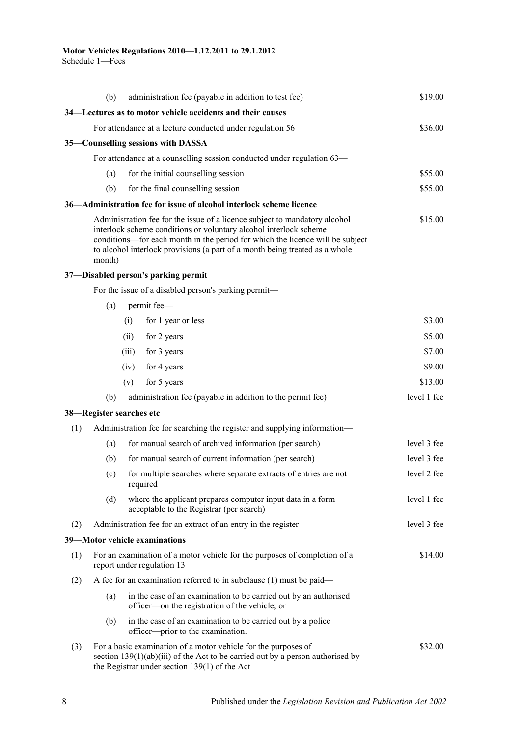|     | (b)    | administration fee (payable in addition to test fee)                                                                                                                                                                                                                                                            | \$19.00     |
|-----|--------|-----------------------------------------------------------------------------------------------------------------------------------------------------------------------------------------------------------------------------------------------------------------------------------------------------------------|-------------|
|     |        | 34—Lectures as to motor vehicle accidents and their causes                                                                                                                                                                                                                                                      |             |
|     |        | For attendance at a lecture conducted under regulation 56                                                                                                                                                                                                                                                       | \$36.00     |
|     |        | 35—Counselling sessions with DASSA                                                                                                                                                                                                                                                                              |             |
|     |        | For attendance at a counselling session conducted under regulation 63—                                                                                                                                                                                                                                          |             |
|     | (a)    | for the initial counselling session                                                                                                                                                                                                                                                                             | \$55.00     |
|     | (b)    | for the final counselling session                                                                                                                                                                                                                                                                               | \$55.00     |
|     |        | 36—Administration fee for issue of alcohol interlock scheme licence                                                                                                                                                                                                                                             |             |
|     | month) | Administration fee for the issue of a licence subject to mandatory alcohol<br>interlock scheme conditions or voluntary alcohol interlock scheme<br>conditions—for each month in the period for which the licence will be subject<br>to alcohol interlock provisions (a part of a month being treated as a whole | \$15.00     |
|     |        | 37-Disabled person's parking permit                                                                                                                                                                                                                                                                             |             |
|     |        | For the issue of a disabled person's parking permit-                                                                                                                                                                                                                                                            |             |
|     | (a)    | permit fee-                                                                                                                                                                                                                                                                                                     |             |
|     |        | for 1 year or less<br>(i)                                                                                                                                                                                                                                                                                       | \$3.00      |
|     |        | for 2 years<br>(ii)                                                                                                                                                                                                                                                                                             | \$5.00      |
|     |        | (iii)<br>for 3 years                                                                                                                                                                                                                                                                                            | \$7.00      |
|     |        | for 4 years<br>(iv)                                                                                                                                                                                                                                                                                             | \$9.00      |
|     |        | for 5 years<br>(v)                                                                                                                                                                                                                                                                                              | \$13.00     |
|     | (b)    | administration fee (payable in addition to the permit fee)                                                                                                                                                                                                                                                      | level 1 fee |
|     |        | 38—Register searches etc                                                                                                                                                                                                                                                                                        |             |
| (1) |        | Administration fee for searching the register and supplying information—                                                                                                                                                                                                                                        |             |
|     | (a)    | for manual search of archived information (per search)                                                                                                                                                                                                                                                          | level 3 fee |
|     | (b)    | for manual search of current information (per search)                                                                                                                                                                                                                                                           | level 3 fee |
|     | (c)    | for multiple searches where separate extracts of entries are not<br>required                                                                                                                                                                                                                                    | level 2 fee |
|     | (d)    | where the applicant prepares computer input data in a form<br>acceptable to the Registrar (per search)                                                                                                                                                                                                          | level 1 fee |
| (2) |        | Administration fee for an extract of an entry in the register                                                                                                                                                                                                                                                   | level 3 fee |
|     |        | 39-Motor vehicle examinations                                                                                                                                                                                                                                                                                   |             |
| (1) |        | For an examination of a motor vehicle for the purposes of completion of a<br>report under regulation 13                                                                                                                                                                                                         | \$14.00     |
| (2) |        | A fee for an examination referred to in subclause $(1)$ must be paid—                                                                                                                                                                                                                                           |             |
|     | (a)    | in the case of an examination to be carried out by an authorised<br>officer—on the registration of the vehicle; or                                                                                                                                                                                              |             |
|     | (b)    | in the case of an examination to be carried out by a police<br>officer—prior to the examination.                                                                                                                                                                                                                |             |
| (3) |        | For a basic examination of a motor vehicle for the purposes of<br>section $139(1)(ab)(iii)$ of the Act to be carried out by a person authorised by<br>the Registrar under section $139(1)$ of the Act                                                                                                           | \$32.00     |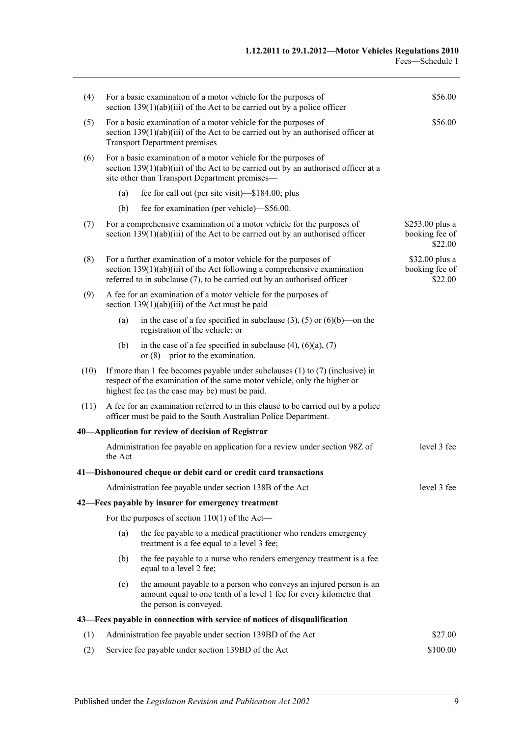| (4)  |                                                                                                                                                                                                         | For a basic examination of a motor vehicle for the purposes of<br>section $139(1)(ab)(iii)$ of the Act to be carried out by a police officer                                                                               | \$56.00                                      |  |
|------|---------------------------------------------------------------------------------------------------------------------------------------------------------------------------------------------------------|----------------------------------------------------------------------------------------------------------------------------------------------------------------------------------------------------------------------------|----------------------------------------------|--|
| (5)  | \$56.00<br>For a basic examination of a motor vehicle for the purposes of<br>section $139(1)(ab)(iii)$ of the Act to be carried out by an authorised officer at<br><b>Transport Department premises</b> |                                                                                                                                                                                                                            |                                              |  |
| (6)  |                                                                                                                                                                                                         | For a basic examination of a motor vehicle for the purposes of<br>section $139(1)(ab)(iii)$ of the Act to be carried out by an authorised officer at a<br>site other than Transport Department premises—                   |                                              |  |
|      | (a)                                                                                                                                                                                                     | fee for call out (per site visit)—\$184.00; plus                                                                                                                                                                           |                                              |  |
|      | (b)                                                                                                                                                                                                     | fee for examination (per vehicle)—\$56.00.                                                                                                                                                                                 |                                              |  |
| (7)  |                                                                                                                                                                                                         | For a comprehensive examination of a motor vehicle for the purposes of<br>section $139(1)(ab)(iii)$ of the Act to be carried out by an authorised officer                                                                  | \$253.00 plus a<br>booking fee of<br>\$22.00 |  |
| (8)  |                                                                                                                                                                                                         | For a further examination of a motor vehicle for the purposes of<br>section $139(1)(ab)(iii)$ of the Act following a comprehensive examination<br>referred to in subclause (7), to be carried out by an authorised officer | \$32.00 plus a<br>booking fee of<br>\$22.00  |  |
| (9)  |                                                                                                                                                                                                         | A fee for an examination of a motor vehicle for the purposes of<br>section $139(1)(ab)(iii)$ of the Act must be paid—                                                                                                      |                                              |  |
|      | (a)                                                                                                                                                                                                     | in the case of a fee specified in subclause (3), (5) or (6)(b)—on the<br>registration of the vehicle; or                                                                                                                   |                                              |  |
|      | (b)                                                                                                                                                                                                     | in the case of a fee specified in subclause $(4)$ , $(6)(a)$ , $(7)$<br>or $(8)$ —prior to the examination.                                                                                                                |                                              |  |
| (10) |                                                                                                                                                                                                         | If more than 1 fee becomes payable under subclauses $(1)$ to $(7)$ (inclusive) in<br>respect of the examination of the same motor vehicle, only the higher or<br>highest fee (as the case may be) must be paid.            |                                              |  |
| (11) |                                                                                                                                                                                                         | A fee for an examination referred to in this clause to be carried out by a police<br>officer must be paid to the South Australian Police Department.                                                                       |                                              |  |
|      |                                                                                                                                                                                                         | 40—Application for review of decision of Registrar                                                                                                                                                                         |                                              |  |
|      | the Act                                                                                                                                                                                                 | Administration fee payable on application for a review under section 98Z of                                                                                                                                                | level 3 fee                                  |  |
|      |                                                                                                                                                                                                         | 41-Dishonoured cheque or debit card or credit card transactions                                                                                                                                                            |                                              |  |
|      |                                                                                                                                                                                                         | Administration fee payable under section 138B of the Act                                                                                                                                                                   | level 3 fee                                  |  |
|      |                                                                                                                                                                                                         | 42—Fees payable by insurer for emergency treatment                                                                                                                                                                         |                                              |  |
|      |                                                                                                                                                                                                         | For the purposes of section $110(1)$ of the Act—                                                                                                                                                                           |                                              |  |
|      | (a)                                                                                                                                                                                                     | the fee payable to a medical practitioner who renders emergency<br>treatment is a fee equal to a level 3 fee;                                                                                                              |                                              |  |
|      | (b)                                                                                                                                                                                                     | the fee payable to a nurse who renders emergency treatment is a fee<br>equal to a level 2 fee;                                                                                                                             |                                              |  |
|      | (c)                                                                                                                                                                                                     | the amount payable to a person who conveys an injured person is an<br>amount equal to one tenth of a level 1 fee for every kilometre that<br>the person is conveyed.                                                       |                                              |  |
|      |                                                                                                                                                                                                         | 43—Fees payable in connection with service of notices of disqualification                                                                                                                                                  |                                              |  |
| (1)  |                                                                                                                                                                                                         | Administration fee payable under section 139BD of the Act                                                                                                                                                                  | \$27.00                                      |  |
| (2)  | Service fee payable under section 139BD of the Act<br>\$100.00                                                                                                                                          |                                                                                                                                                                                                                            |                                              |  |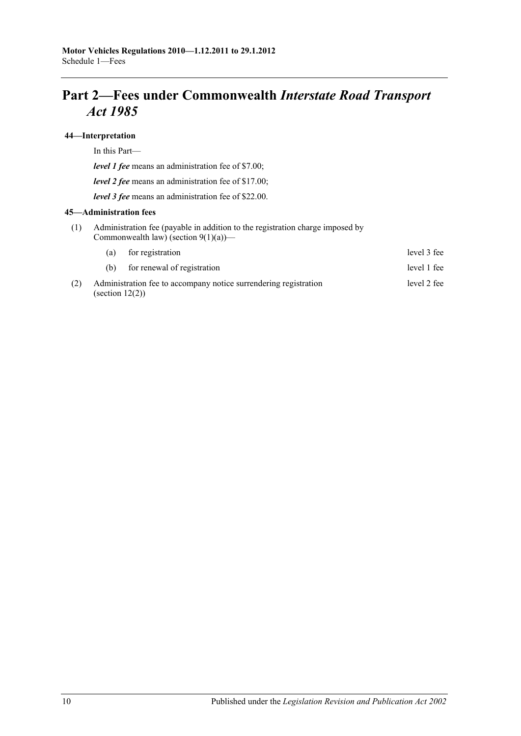# **Part 2—Fees under Commonwealth** *Interstate Road Transport Act 1985*

#### **44—Interpretation**

In this Part—

*level 1 fee* means an administration fee of \$7.00;

*level 2 fee* means an administration fee of \$17.00;

*level 3 fee* means an administration fee of \$22.00.

#### **45—Administration fees**

(1) Administration fee (payable in addition to the registration charge imposed by Commonwealth law) (section  $9(1)(a)$ )—

|     | (a)                | for registration                                                 | level 3 fee |
|-----|--------------------|------------------------------------------------------------------|-------------|
|     | (h)                | for renewal of registration                                      | level 1 fee |
| (2) | (section $12(2)$ ) | Administration fee to accompany notice surrendering registration | level 2 fee |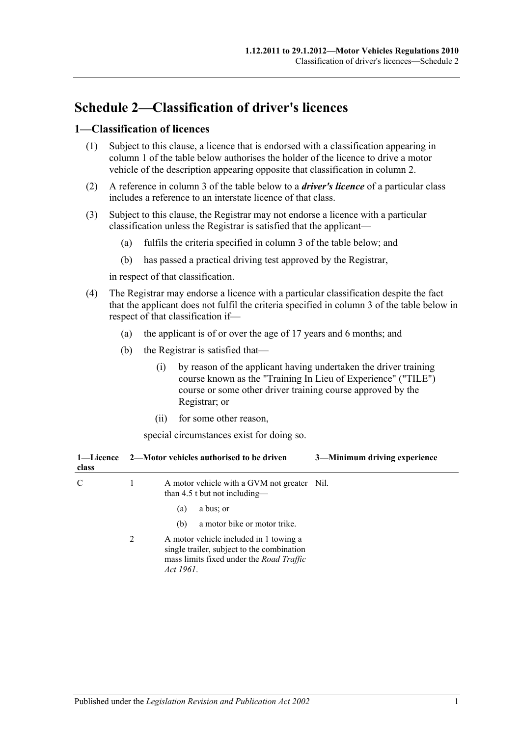# **Schedule 2—Classification of driver's licences**

### **1—Classification of licences**

- (1) Subject to this clause, a licence that is endorsed with a classification appearing in column 1 of the table below authorises the holder of the licence to drive a motor vehicle of the description appearing opposite that classification in column 2.
- (2) A reference in column 3 of the table below to a *driver's licence* of a particular class includes a reference to an interstate licence of that class.
- (3) Subject to this clause, the Registrar may not endorse a licence with a particular classification unless the Registrar is satisfied that the applicant—
	- (a) fulfils the criteria specified in column 3 of the table below; and
	- (b) has passed a practical driving test approved by the Registrar,

in respect of that classification.

- (4) The Registrar may endorse a licence with a particular classification despite the fact that the applicant does not fulfil the criteria specified in column 3 of the table below in respect of that classification if—
	- (a) the applicant is of or over the age of 17 years and 6 months; and
	- (b) the Registrar is satisfied that—
		- (i) by reason of the applicant having undertaken the driver training course known as the "Training In Lieu of Experience" ("TILE") course or some other driver training course approved by the Registrar; or
		- (ii) for some other reason,

special circumstances exist for doing so.

| 1—Licence<br>class |   | 3-Minimum driving experience<br>2—Motor vehicles authorised to be driven                                                                      |
|--------------------|---|-----------------------------------------------------------------------------------------------------------------------------------------------|
| C                  | 1 | A motor vehicle with a GVM not greater Nil.<br>than 4.5 t but not including—                                                                  |
|                    |   | a bus; or<br>(a)                                                                                                                              |
|                    |   | a motor bike or motor trike.<br>(b)                                                                                                           |
|                    | 2 | A motor vehicle included in 1 towing a<br>single trailer, subject to the combination<br>mass limits fixed under the Road Traffic<br>Act 1961. |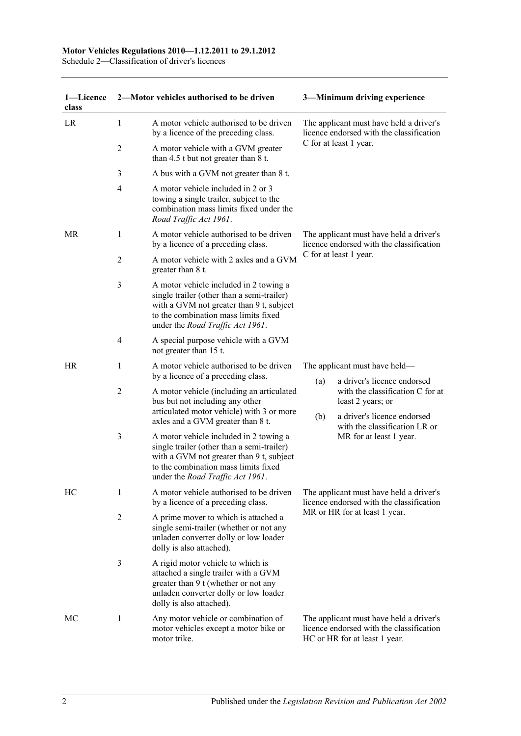#### **Motor Vehicles Regulations 2010—1.12.2011 to 29.1.2012**

Schedule 2—Classification of driver's licences

| 1-Licence<br>class |                | 2-Motor vehicles authorised to be driven                                                                                                                                                                     | 3-Minimum driving experience                                                                                  |                                                                                                                      |  |
|--------------------|----------------|--------------------------------------------------------------------------------------------------------------------------------------------------------------------------------------------------------------|---------------------------------------------------------------------------------------------------------------|----------------------------------------------------------------------------------------------------------------------|--|
| LR                 | 1              | A motor vehicle authorised to be driven<br>by a licence of the preceding class.                                                                                                                              |                                                                                                               | The applicant must have held a driver's<br>licence endorsed with the classification                                  |  |
|                    | 2              | A motor vehicle with a GVM greater<br>than $4.5$ t but not greater than $8$ t.                                                                                                                               |                                                                                                               | C for at least 1 year.                                                                                               |  |
|                    | 3              | A bus with a GVM not greater than 8 t.                                                                                                                                                                       |                                                                                                               |                                                                                                                      |  |
|                    | $\overline{4}$ | A motor vehicle included in 2 or 3<br>towing a single trailer, subject to the<br>combination mass limits fixed under the<br>Road Traffic Act 1961.                                                           |                                                                                                               |                                                                                                                      |  |
| MR                 | 1              | A motor vehicle authorised to be driven<br>by a licence of a preceding class.                                                                                                                                | The applicant must have held a driver's<br>licence endorsed with the classification<br>C for at least 1 year. |                                                                                                                      |  |
|                    | 2              | A motor vehicle with 2 axles and a GVM<br>greater than 8 t.                                                                                                                                                  |                                                                                                               |                                                                                                                      |  |
|                    | 3              | A motor vehicle included in 2 towing a<br>single trailer (other than a semi-trailer)<br>with a GVM not greater than 9 t, subject<br>to the combination mass limits fixed<br>under the Road Traffic Act 1961. |                                                                                                               |                                                                                                                      |  |
|                    | $\overline{4}$ | A special purpose vehicle with a GVM<br>not greater than 15 t.                                                                                                                                               |                                                                                                               |                                                                                                                      |  |
| HR                 | 1              | A motor vehicle authorised to be driven<br>by a licence of a preceding class.                                                                                                                                |                                                                                                               | The applicant must have held—                                                                                        |  |
|                    | $\overline{2}$ | A motor vehicle (including an articulated<br>bus but not including any other<br>articulated motor vehicle) with 3 or more                                                                                    | (a)                                                                                                           | a driver's licence endorsed<br>with the classification C for at<br>least 2 years; or                                 |  |
|                    |                | axles and a GVM greater than 8 t.                                                                                                                                                                            | (b)                                                                                                           | a driver's licence endorsed<br>with the classification LR or                                                         |  |
|                    | 3              | A motor vehicle included in 2 towing a<br>single trailer (other than a semi-trailer)<br>with a GVM not greater than 9 t, subject<br>to the combination mass limits fixed<br>under the Road Traffic Act 1961. |                                                                                                               | MR for at least 1 year.                                                                                              |  |
| HC                 | 1              | A motor vehicle authorised to be driven<br>by a licence of a preceding class.                                                                                                                                | The applicant must have held a driver's<br>licence endorsed with the classification                           |                                                                                                                      |  |
|                    | $\overline{2}$ | A prime mover to which is attached a<br>single semi-trailer (whether or not any<br>unladen converter dolly or low loader<br>dolly is also attached).                                                         |                                                                                                               | MR or HR for at least 1 year.                                                                                        |  |
|                    | 3              | A rigid motor vehicle to which is<br>attached a single trailer with a GVM<br>greater than 9 t (whether or not any<br>unladen converter dolly or low loader<br>dolly is also attached).                       |                                                                                                               |                                                                                                                      |  |
| МC                 | 1              | Any motor vehicle or combination of<br>motor vehicles except a motor bike or<br>motor trike.                                                                                                                 |                                                                                                               | The applicant must have held a driver's<br>licence endorsed with the classification<br>HC or HR for at least 1 year. |  |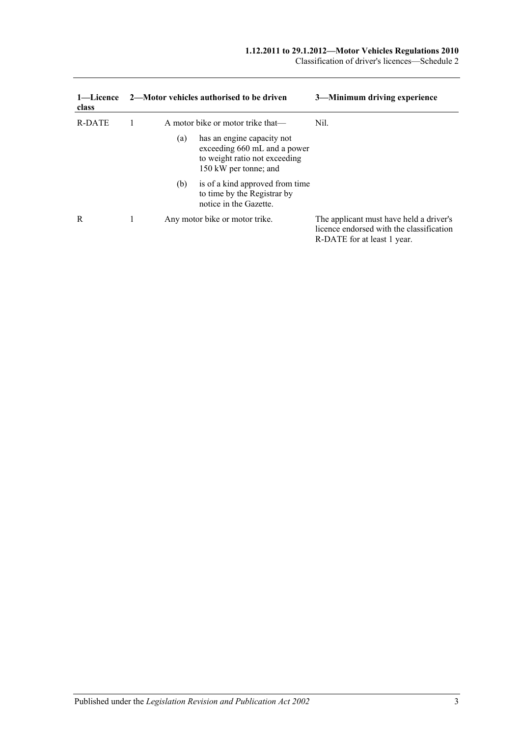Classification of driver's licences—Schedule 2

| 1—Licence<br>class |     | 2—Motor vehicles authorised to be driven                                                                             | 3—Minimum driving experience                                                                                       |
|--------------------|-----|----------------------------------------------------------------------------------------------------------------------|--------------------------------------------------------------------------------------------------------------------|
| R-DATE             |     | A motor bike or motor trike that—                                                                                    | Nil.                                                                                                               |
|                    | (a) | has an engine capacity not<br>exceeding 660 mL and a power<br>to weight ratio not exceeding<br>150 kW per tonne; and |                                                                                                                    |
|                    | (b) | is of a kind approved from time<br>to time by the Registrar by<br>notice in the Gazette.                             |                                                                                                                    |
| R                  |     | Any motor bike or motor trike.                                                                                       | The applicant must have held a driver's<br>licence endorsed with the classification<br>R-DATE for at least 1 year. |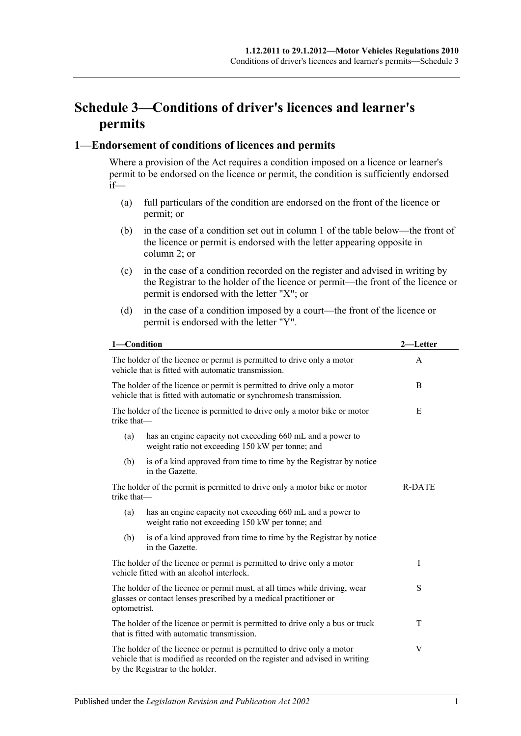# **Schedule 3—Conditions of driver's licences and learner's permits**

### **1—Endorsement of conditions of licences and permits**

Where a provision of the Act requires a condition imposed on a licence or learner's permit to be endorsed on the licence or permit, the condition is sufficiently endorsed if—

- (a) full particulars of the condition are endorsed on the front of the licence or permit; or
- (b) in the case of a condition set out in column 1 of the table below—the front of the licence or permit is endorsed with the letter appearing opposite in column 2; or
- (c) in the case of a condition recorded on the register and advised in writing by the Registrar to the holder of the licence or permit—the front of the licence or permit is endorsed with the letter "X"; or
- (d) in the case of a condition imposed by a court—the front of the licence or permit is endorsed with the letter "Y".

| 1-Condition                                                                                                                                                     |                                                                                                                                                                                          | 2—Letter |  |
|-----------------------------------------------------------------------------------------------------------------------------------------------------------------|------------------------------------------------------------------------------------------------------------------------------------------------------------------------------------------|----------|--|
| The holder of the licence or permit is permitted to drive only a motor<br>vehicle that is fitted with automatic transmission.                                   | $\mathsf{A}$                                                                                                                                                                             |          |  |
| The holder of the licence or permit is permitted to drive only a motor<br>vehicle that is fitted with automatic or synchromesh transmission.                    | B                                                                                                                                                                                        |          |  |
| trike that-                                                                                                                                                     | The holder of the licence is permitted to drive only a motor bike or motor                                                                                                               | E        |  |
| (a)                                                                                                                                                             | has an engine capacity not exceeding 660 mL and a power to<br>weight ratio not exceeding 150 kW per tonne; and                                                                           |          |  |
| (b)                                                                                                                                                             | is of a kind approved from time to time by the Registrar by notice<br>in the Gazette.                                                                                                    |          |  |
| The holder of the permit is permitted to drive only a motor bike or motor<br>trike that-                                                                        | <b>R-DATE</b>                                                                                                                                                                            |          |  |
| (a)                                                                                                                                                             | has an engine capacity not exceeding 660 mL and a power to<br>weight ratio not exceeding 150 kW per tonne; and                                                                           |          |  |
| (b)                                                                                                                                                             | is of a kind approved from time to time by the Registrar by notice<br>in the Gazette.                                                                                                    |          |  |
| The holder of the licence or permit is permitted to drive only a motor<br>vehicle fitted with an alcohol interlock.                                             | Ι                                                                                                                                                                                        |          |  |
| The holder of the licence or permit must, at all times while driving, wear<br>glasses or contact lenses prescribed by a medical practitioner or<br>optometrist. | S                                                                                                                                                                                        |          |  |
|                                                                                                                                                                 | The holder of the licence or permit is permitted to drive only a bus or truck<br>T<br>that is fitted with automatic transmission.                                                        |          |  |
|                                                                                                                                                                 | The holder of the licence or permit is permitted to drive only a motor<br>vehicle that is modified as recorded on the register and advised in writing<br>by the Registrar to the holder. | V        |  |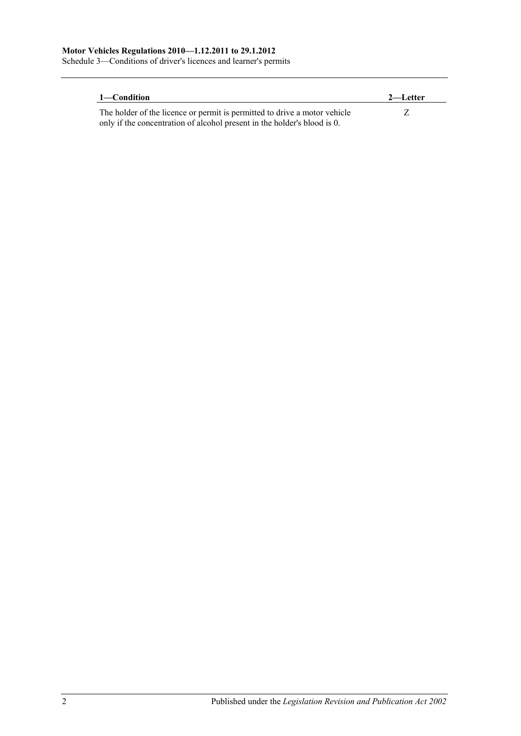Schedule 3—Conditions of driver's licences and learner's permits

| 1—Condition                                                               | 2—Letter |
|---------------------------------------------------------------------------|----------|
| The holder of the licence or permit is permitted to drive a motor vehicle |          |
| only if the concentration of alcohol present in the holder's blood is 0.  |          |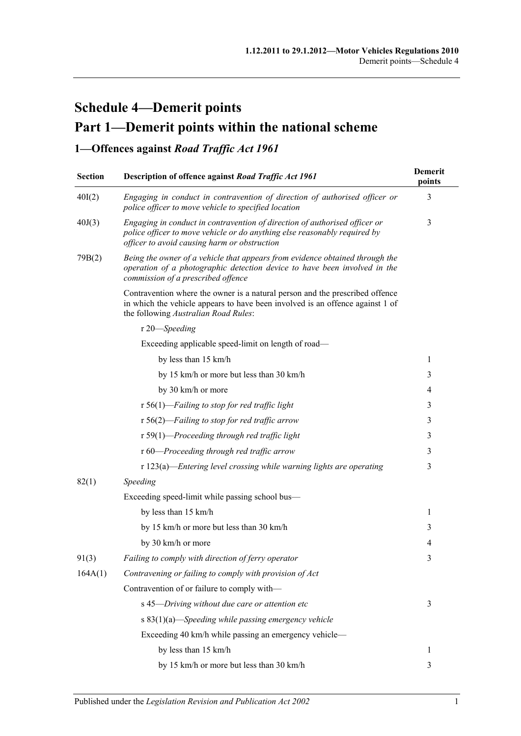# **Schedule 4—Demerit points Part 1—Demerit points within the national scheme**

## **1—Offences against** *Road Traffic Act 1961*

| <b>Section</b> | Description of offence against Road Traffic Act 1961                                                                                                                                                    | <b>Demerit</b><br>points |
|----------------|---------------------------------------------------------------------------------------------------------------------------------------------------------------------------------------------------------|--------------------------|
| 40I(2)         | Engaging in conduct in contravention of direction of authorised officer or<br>police officer to move vehicle to specified location                                                                      | 3                        |
| 40J(3)         | Engaging in conduct in contravention of direction of authorised officer or<br>police officer to move vehicle or do anything else reasonably required by<br>officer to avoid causing harm or obstruction | 3                        |
| 79B(2)         | Being the owner of a vehicle that appears from evidence obtained through the<br>operation of a photographic detection device to have been involved in the<br>commission of a prescribed offence         |                          |
|                | Contravention where the owner is a natural person and the prescribed offence<br>in which the vehicle appears to have been involved is an offence against 1 of<br>the following Australian Road Rules:   |                          |
|                | r 20—Speeding                                                                                                                                                                                           |                          |
|                | Exceeding applicable speed-limit on length of road-                                                                                                                                                     |                          |
|                | by less than 15 km/h                                                                                                                                                                                    | 1                        |
|                | by 15 km/h or more but less than 30 km/h                                                                                                                                                                | 3                        |
|                | by 30 km/h or more                                                                                                                                                                                      | 4                        |
|                | $r 56(1)$ -Failing to stop for red traffic light                                                                                                                                                        | 3                        |
|                | $r 56(2)$ -Failing to stop for red traffic arrow                                                                                                                                                        | 3                        |
|                | $r 59(1)$ -Proceeding through red traffic light                                                                                                                                                         | 3                        |
|                | r 60-Proceeding through red traffic arrow                                                                                                                                                               | 3                        |
|                | $r 123(a)$ —Entering level crossing while warning lights are operating                                                                                                                                  | 3                        |
| 82(1)          | Speeding                                                                                                                                                                                                |                          |
|                | Exceeding speed-limit while passing school bus-                                                                                                                                                         |                          |
|                | by less than 15 km/h                                                                                                                                                                                    | 1                        |
|                | by 15 km/h or more but less than 30 km/h                                                                                                                                                                | 3                        |
|                | by 30 km/h or more                                                                                                                                                                                      | 4                        |
| 91(3)          | Failing to comply with direction of ferry operator                                                                                                                                                      | 3                        |
| 164A(1)        | Contravening or failing to comply with provision of Act                                                                                                                                                 |                          |
|                | Contravention of or failure to comply with-                                                                                                                                                             |                          |
|                | s 45-Driving without due care or attention etc                                                                                                                                                          | 3                        |
|                | s $83(1)(a)$ —Speeding while passing emergency vehicle                                                                                                                                                  |                          |
|                | Exceeding 40 km/h while passing an emergency vehicle-                                                                                                                                                   |                          |
|                | by less than 15 km/h                                                                                                                                                                                    | 1                        |
|                | by 15 km/h or more but less than 30 km/h                                                                                                                                                                | 3                        |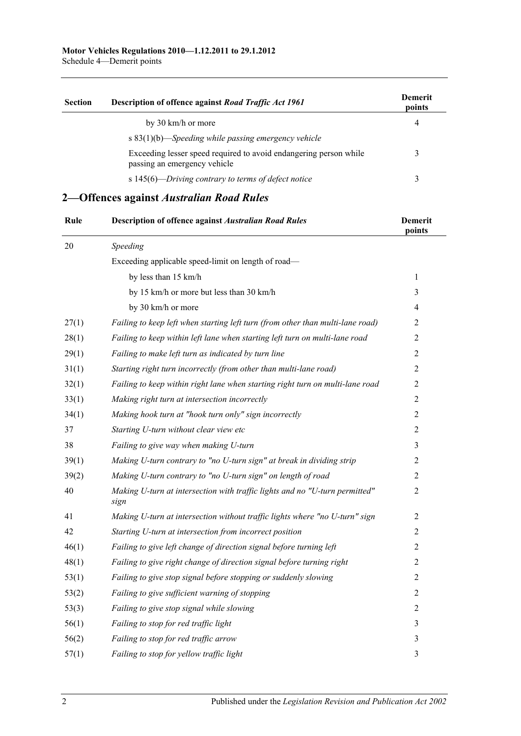Schedule 4—Demerit points

| <b>Section</b> | Description of offence against Road Traffic Act 1961                                              | <b>Demerit</b><br>points |
|----------------|---------------------------------------------------------------------------------------------------|--------------------------|
|                | by 30 km/h or more                                                                                | 4                        |
|                | s $83(1)(b)$ —Speeding while passing emergency vehicle                                            |                          |
|                | Exceeding lesser speed required to avoid endangering person while<br>passing an emergency vehicle |                          |
|                | s 145(6)—Driving contrary to terms of defect notice                                               |                          |

## **2—Offences against** *Australian Road Rules*

| Rule   | <b>Description of offence against Australian Road Rules</b>                         | <b>Demerit</b><br>points |
|--------|-------------------------------------------------------------------------------------|--------------------------|
| $20\,$ | Speeding                                                                            |                          |
|        | Exceeding applicable speed-limit on length of road-                                 |                          |
|        | by less than 15 km/h                                                                | $\mathbf{1}$             |
|        | by 15 km/h or more but less than 30 km/h                                            | 3                        |
|        | by 30 km/h or more                                                                  | $\overline{4}$           |
| 27(1)  | Failing to keep left when starting left turn (from other than multi-lane road)      | $\overline{2}$           |
| 28(1)  | Failing to keep within left lane when starting left turn on multi-lane road         | $\overline{2}$           |
| 29(1)  | Failing to make left turn as indicated by turn line                                 | $\overline{2}$           |
| 31(1)  | Starting right turn incorrectly (from other than multi-lane road)                   | $\sqrt{2}$               |
| 32(1)  | Failing to keep within right lane when starting right turn on multi-lane road       | $\overline{2}$           |
| 33(1)  | Making right turn at intersection incorrectly                                       | $\overline{2}$           |
| 34(1)  | Making hook turn at "hook turn only" sign incorrectly                               | $\overline{2}$           |
| 37     | Starting U-turn without clear view etc                                              | $\overline{2}$           |
| 38     | Failing to give way when making U-turn                                              | $\mathfrak{Z}$           |
| 39(1)  | Making U-turn contrary to "no U-turn sign" at break in dividing strip               | 2                        |
| 39(2)  | Making U-turn contrary to "no U-turn sign" on length of road                        | $\overline{2}$           |
| 40     | Making U-turn at intersection with traffic lights and no "U-turn permitted"<br>sign | $\overline{2}$           |
| 41     | Making U-turn at intersection without traffic lights where "no U-turn" sign         | $\overline{2}$           |
| 42     | Starting U-turn at intersection from incorrect position                             | $\overline{2}$           |
| 46(1)  | Failing to give left change of direction signal before turning left                 | $\overline{2}$           |
| 48(1)  | Failing to give right change of direction signal before turning right               | 2                        |
| 53(1)  | Failing to give stop signal before stopping or suddenly slowing                     | $\overline{2}$           |
| 53(2)  | Failing to give sufficient warning of stopping                                      | $\overline{2}$           |
| 53(3)  | Failing to give stop signal while slowing                                           | $\overline{2}$           |
| 56(1)  | Failing to stop for red traffic light                                               | $\mathfrak{Z}$           |
| 56(2)  | Failing to stop for red traffic arrow                                               | 3                        |
| 57(1)  | Failing to stop for yellow traffic light                                            | 3                        |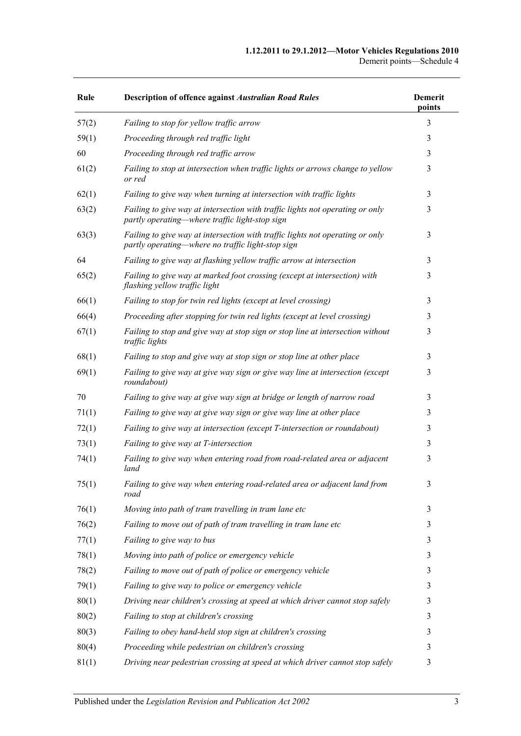| Rule  | <b>Description of offence against Australian Road Rules</b>                                                                        | <b>Demerit</b><br>points |
|-------|------------------------------------------------------------------------------------------------------------------------------------|--------------------------|
| 57(2) | Failing to stop for yellow traffic arrow                                                                                           | 3                        |
| 59(1) | Proceeding through red traffic light                                                                                               | 3                        |
| 60    | Proceeding through red traffic arrow                                                                                               | 3                        |
| 61(2) | Failing to stop at intersection when traffic lights or arrows change to yellow<br>or red                                           | 3                        |
| 62(1) | Failing to give way when turning at intersection with traffic lights                                                               | 3                        |
| 63(2) | Failing to give way at intersection with traffic lights not operating or only<br>partly operating—where traffic light-stop sign    | 3                        |
| 63(3) | Failing to give way at intersection with traffic lights not operating or only<br>partly operating—where no traffic light-stop sign | 3                        |
| 64    | Failing to give way at flashing yellow traffic arrow at intersection                                                               | 3                        |
| 65(2) | Failing to give way at marked foot crossing (except at intersection) with<br>flashing yellow traffic light                         | 3                        |
| 66(1) | Failing to stop for twin red lights (except at level crossing)                                                                     | 3                        |
| 66(4) | Proceeding after stopping for twin red lights (except at level crossing)                                                           | 3                        |
| 67(1) | Failing to stop and give way at stop sign or stop line at intersection without<br>traffic lights                                   | 3                        |
| 68(1) | Failing to stop and give way at stop sign or stop line at other place                                                              | 3                        |
| 69(1) | Failing to give way at give way sign or give way line at intersection (except<br>roundabout)                                       | 3                        |
| 70    | Failing to give way at give way sign at bridge or length of narrow road                                                            | 3                        |
| 71(1) | Failing to give way at give way sign or give way line at other place                                                               | 3                        |
| 72(1) | Failing to give way at intersection (except T-intersection or roundabout)                                                          | 3                        |
| 73(1) | Failing to give way at T-intersection                                                                                              | 3                        |
| 74(1) | Failing to give way when entering road from road-related area or adjacent<br>land                                                  | 3                        |
| 75(1) | Failing to give way when entering road-related area or adjacent land from<br>road                                                  | 3                        |
| 76(1) | Moving into path of tram travelling in tram lane etc                                                                               | 3                        |
| 76(2) | Failing to move out of path of tram travelling in tram lane etc                                                                    | 3                        |
| 77(1) | Failing to give way to bus                                                                                                         | 3                        |
| 78(1) | Moving into path of police or emergency vehicle                                                                                    | 3                        |
| 78(2) | Failing to move out of path of police or emergency vehicle                                                                         | 3                        |
| 79(1) | Failing to give way to police or emergency vehicle                                                                                 | 3                        |
| 80(1) | Driving near children's crossing at speed at which driver cannot stop safely                                                       | 3                        |
| 80(2) | Failing to stop at children's crossing                                                                                             | 3                        |
| 80(3) | Failing to obey hand-held stop sign at children's crossing                                                                         | 3                        |
| 80(4) | Proceeding while pedestrian on children's crossing                                                                                 | 3                        |
| 81(1) | Driving near pedestrian crossing at speed at which driver cannot stop safely                                                       | 3                        |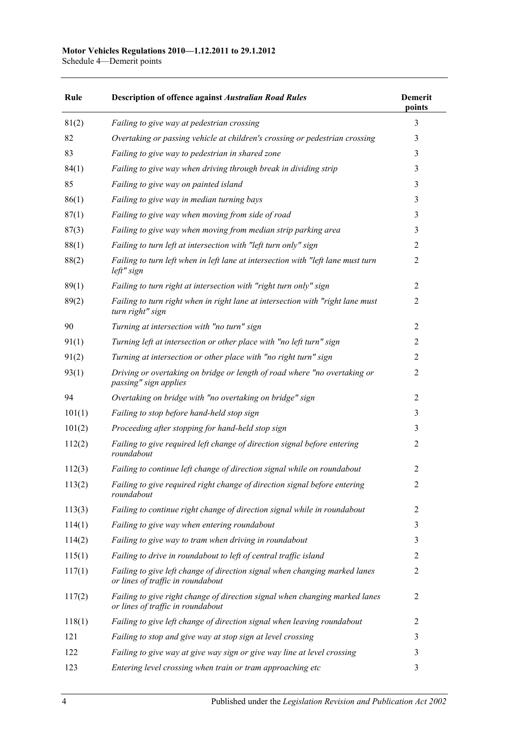#### **Motor Vehicles Regulations 2010—1.12.2011 to 29.1.2012**

Schedule 4—Demerit points

| Rule   | <b>Description of offence against Australian Road Rules</b>                                                      | <b>Demerit</b><br>points |
|--------|------------------------------------------------------------------------------------------------------------------|--------------------------|
| 81(2)  | Failing to give way at pedestrian crossing                                                                       | 3                        |
| 82     | Overtaking or passing vehicle at children's crossing or pedestrian crossing                                      | 3                        |
| 83     | Failing to give way to pedestrian in shared zone                                                                 | 3                        |
| 84(1)  | Failing to give way when driving through break in dividing strip                                                 | 3                        |
| 85     | Failing to give way on painted island                                                                            | 3                        |
| 86(1)  | Failing to give way in median turning bays                                                                       | 3                        |
| 87(1)  | Failing to give way when moving from side of road                                                                | 3                        |
| 87(3)  | Failing to give way when moving from median strip parking area                                                   | 3                        |
| 88(1)  | Failing to turn left at intersection with "left turn only" sign                                                  | $\overline{c}$           |
| 88(2)  | Failing to turn left when in left lane at intersection with "left lane must turn<br>left" sign                   | 2                        |
| 89(1)  | Failing to turn right at intersection with "right turn only" sign                                                | $\overline{2}$           |
| 89(2)  | Failing to turn right when in right lane at intersection with "right lane must<br>turn right" sign               | $\overline{c}$           |
| 90     | Turning at intersection with "no turn" sign                                                                      | $\overline{2}$           |
| 91(1)  | Turning left at intersection or other place with "no left turn" sign                                             | 2                        |
| 91(2)  | Turning at intersection or other place with "no right turn" sign                                                 | $\overline{c}$           |
| 93(1)  | Driving or overtaking on bridge or length of road where "no overtaking or<br>passing" sign applies               | $\overline{c}$           |
| 94     | Overtaking on bridge with "no overtaking on bridge" sign                                                         | $\overline{c}$           |
| 101(1) | Failing to stop before hand-held stop sign                                                                       | 3                        |
| 101(2) | Proceeding after stopping for hand-held stop sign                                                                | 3                        |
| 112(2) | Failing to give required left change of direction signal before entering<br>roundabout                           | 2                        |
| 112(3) | Failing to continue left change of direction signal while on roundabout                                          | 2                        |
| 113(2) | Failing to give required right change of direction signal before entering<br>roundabout                          | $\overline{c}$           |
| 113(3) | Failing to continue right change of direction signal while in roundabout                                         | 2                        |
| 114(1) | Failing to give way when entering roundabout                                                                     | 3                        |
| 114(2) | Failing to give way to tram when driving in roundabout                                                           | 3                        |
| 115(1) | Failing to drive in roundabout to left of central traffic island                                                 | 2                        |
| 117(1) | Failing to give left change of direction signal when changing marked lanes<br>or lines of traffic in roundabout  | $\overline{c}$           |
| 117(2) | Failing to give right change of direction signal when changing marked lanes<br>or lines of traffic in roundabout | 2                        |
| 118(1) | Failing to give left change of direction signal when leaving roundabout                                          | 2                        |
| 121    | Failing to stop and give way at stop sign at level crossing                                                      | 3                        |
| 122    | Failing to give way at give way sign or give way line at level crossing                                          | 3                        |
| 123    | Entering level crossing when train or tram approaching etc                                                       | 3                        |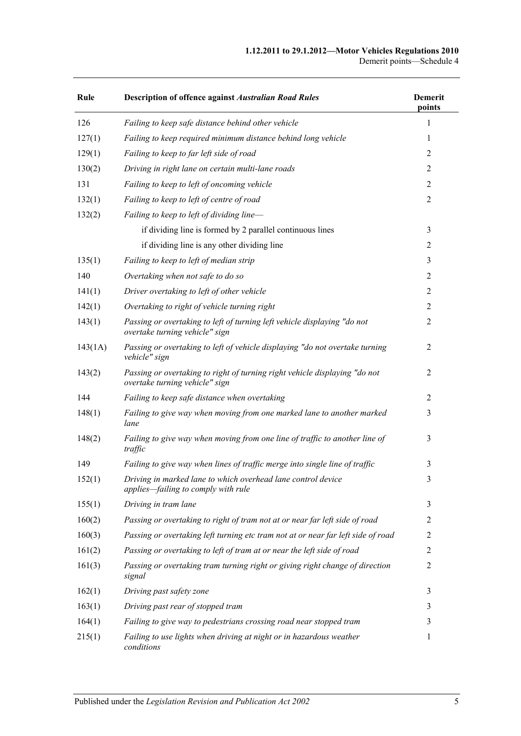#### **1.12.2011 to 29.1.2012—Motor Vehicles Regulations 2010** Demerit points—Schedule 4

| Rule    | <b>Description of offence against Australian Road Rules</b>                                                  | <b>Demerit</b><br>points |
|---------|--------------------------------------------------------------------------------------------------------------|--------------------------|
| 126     | Failing to keep safe distance behind other vehicle                                                           | 1                        |
| 127(1)  | Failing to keep required minimum distance behind long vehicle                                                | 1                        |
| 129(1)  | Failing to keep to far left side of road                                                                     | 2                        |
| 130(2)  | Driving in right lane on certain multi-lane roads                                                            | 2                        |
| 131     | Failing to keep to left of oncoming vehicle                                                                  | $\overline{2}$           |
| 132(1)  | Failing to keep to left of centre of road                                                                    | $\overline{2}$           |
| 132(2)  | Failing to keep to left of dividing line-                                                                    |                          |
|         | if dividing line is formed by 2 parallel continuous lines                                                    | 3                        |
|         | if dividing line is any other dividing line                                                                  | $\overline{c}$           |
| 135(1)  | Failing to keep to left of median strip                                                                      | 3                        |
| 140     | Overtaking when not safe to do so                                                                            | $\overline{2}$           |
| 141(1)  | Driver overtaking to left of other vehicle                                                                   | $\overline{c}$           |
| 142(1)  | Overtaking to right of vehicle turning right                                                                 | 2                        |
| 143(1)  | Passing or overtaking to left of turning left vehicle displaying "do not<br>overtake turning vehicle" sign   | $\overline{2}$           |
| 143(1A) | Passing or overtaking to left of vehicle displaying "do not overtake turning<br>vehicle" sign                | 2                        |
| 143(2)  | Passing or overtaking to right of turning right vehicle displaying "do not<br>overtake turning vehicle" sign | 2                        |
| 144     | Failing to keep safe distance when overtaking                                                                | 2                        |
| 148(1)  | Failing to give way when moving from one marked lane to another marked<br>lane                               | 3                        |
| 148(2)  | Failing to give way when moving from one line of traffic to another line of<br>traffic                       | 3                        |
| 149     | Failing to give way when lines of traffic merge into single line of traffic                                  | 3                        |
| 152(1)  | Driving in marked lane to which overhead lane control device<br>applies-failing to comply with rule          | 3                        |
| 155(1)  | Driving in tram lane                                                                                         | 3                        |
| 160(2)  | Passing or overtaking to right of tram not at or near far left side of road                                  | 2                        |
| 160(3)  | Passing or overtaking left turning etc tram not at or near far left side of road                             | 2                        |
| 161(2)  | Passing or overtaking to left of tram at or near the left side of road                                       | 2                        |
| 161(3)  | Passing or overtaking tram turning right or giving right change of direction<br>signal                       | $\overline{2}$           |
| 162(1)  | Driving past safety zone                                                                                     | 3                        |
| 163(1)  | Driving past rear of stopped tram                                                                            | 3                        |
| 164(1)  | Failing to give way to pedestrians crossing road near stopped tram                                           | 3                        |
| 215(1)  | Failing to use lights when driving at night or in hazardous weather<br>conditions                            | 1                        |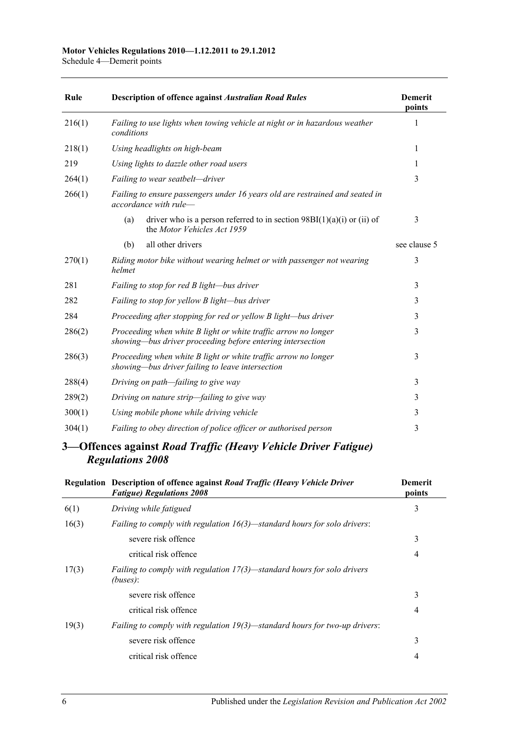| Rule   | <b>Description of offence against Australian Road Rules</b>                                                                  | <b>Demerit</b><br>points |
|--------|------------------------------------------------------------------------------------------------------------------------------|--------------------------|
| 216(1) | Failing to use lights when towing vehicle at night or in hazardous weather<br>conditions                                     | 1                        |
| 218(1) | Using headlights on high-beam                                                                                                | 1                        |
| 219    | Using lights to dazzle other road users                                                                                      | 1                        |
| 264(1) | Failing to wear seatbelt-driver                                                                                              | 3                        |
| 266(1) | Failing to ensure passengers under 16 years old are restrained and seated in<br>accordance with rule-                        |                          |
|        | driver who is a person referred to in section $98B(1)(a)(i)$ or (ii) of<br>(a)<br>the Motor Vehicles Act 1959                | 3                        |
|        | all other drivers<br>(b)                                                                                                     | see clause 5             |
| 270(1) | Riding motor bike without wearing helmet or with passenger not wearing<br>helmet                                             | 3                        |
| 281    | Failing to stop for red B light-bus driver                                                                                   | 3                        |
| 282    | Failing to stop for yellow B light-bus driver                                                                                | 3                        |
| 284    | Proceeding after stopping for red or yellow B light-bus driver                                                               | 3                        |
| 286(2) | Proceeding when white B light or white traffic arrow no longer<br>showing-bus driver proceeding before entering intersection | 3                        |
| 286(3) | Proceeding when white B light or white traffic arrow no longer<br>showing—bus driver failing to leave intersection           | 3                        |
| 288(4) | Driving on path—failing to give way                                                                                          | 3                        |
| 289(2) | Driving on nature strip-failing to give way                                                                                  | 3                        |
| 300(1) | Using mobile phone while driving vehicle                                                                                     | 3                        |
| 304(1) | Failing to obey direction of police officer or authorised person                                                             | 3                        |

### **3—Offences against** *Road Traffic (Heavy Vehicle Driver Fatigue) Regulations 2008*

|       | Regulation Description of offence against Road Traffic (Heavy Vehicle Driver<br><b>Fatigue) Regulations 2008</b> | <b>Demerit</b><br>points |
|-------|------------------------------------------------------------------------------------------------------------------|--------------------------|
| 6(1)  | Driving while fatigued                                                                                           | 3                        |
| 16(3) | <i>Failing to comply with regulation <math>16(3)</math>—standard hours for solo drivers:</i>                     |                          |
|       | severe risk offence                                                                                              | 3                        |
|       | critical risk offence                                                                                            | 4                        |
| 17(3) | Failing to comply with regulation $17(3)$ —standard hours for solo drivers<br>(buses):                           |                          |
|       | severe risk offence                                                                                              | 3                        |
|       | critical risk offence                                                                                            | 4                        |
| 19(3) | <i>Failing to comply with regulation <math>19(3)</math>—standard hours for two-up drivers:</i>                   |                          |
|       | severe risk offence                                                                                              | 3                        |
|       | critical risk offence                                                                                            | 4                        |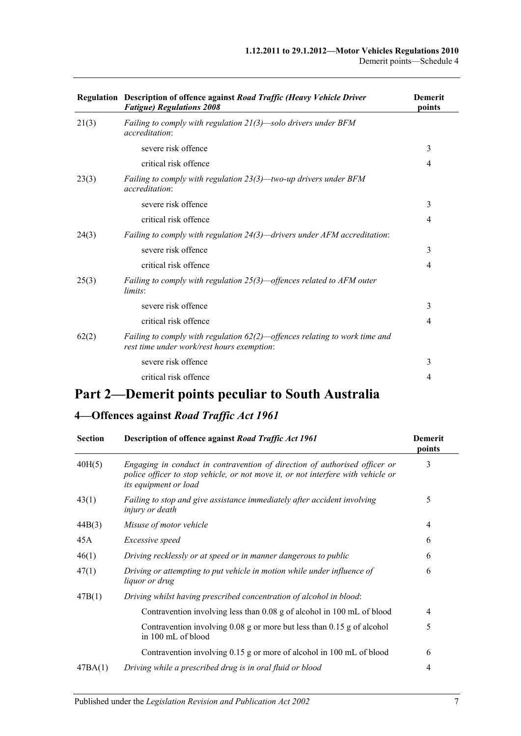|       | Regulation Description of offence against Road Traffic (Heavy Vehicle Driver<br><b>Fatigue) Regulations 2008</b>            | <b>Demerit</b><br>points |
|-------|-----------------------------------------------------------------------------------------------------------------------------|--------------------------|
| 21(3) | Failing to comply with regulation $21(3)$ —solo drivers under BFM<br><i>accreditation:</i>                                  |                          |
|       | severe risk offence                                                                                                         | 3                        |
|       | critical risk offence                                                                                                       | 4                        |
| 23(3) | Failing to comply with regulation $23(3)$ —two-up drivers under BFM<br><i>accreditation:</i>                                |                          |
|       | severe risk offence                                                                                                         | 3                        |
|       | critical risk offence                                                                                                       | 4                        |
| 24(3) | Failing to comply with regulation 24(3)—drivers under AFM accreditation:                                                    |                          |
|       | severe risk offence                                                                                                         | 3                        |
|       | critical risk offence                                                                                                       | $\overline{4}$           |
| 25(3) | Failing to comply with regulation $25(3)$ —offences related to AFM outer<br>limits:                                         |                          |
|       | severe risk offence                                                                                                         | 3                        |
|       | critical risk offence                                                                                                       | $\overline{4}$           |
| 62(2) | Failing to comply with regulation $62(2)$ —offences relating to work time and<br>rest time under work/rest hours exemption: |                          |
|       | severe risk offence                                                                                                         | 3                        |
|       | critical risk offence                                                                                                       | $\overline{4}$           |
|       |                                                                                                                             |                          |

# **Part 2—Demerit points peculiar to South Australia**

## **4—Offences against** *Road Traffic Act 1961*

| <b>Section</b> | Description of offence against Road Traffic Act 1961                                                                                                                                           | <b>Demerit</b><br>points |
|----------------|------------------------------------------------------------------------------------------------------------------------------------------------------------------------------------------------|--------------------------|
| 40H(5)         | Engaging in conduct in contravention of direction of authorised officer or<br>police officer to stop vehicle, or not move it, or not interfere with vehicle or<br><i>its equipment or load</i> | 3                        |
| 43(1)          | Failing to stop and give assistance immediately after accident involving<br>injury or death                                                                                                    | 5                        |
| 44B(3)         | Misuse of motor vehicle                                                                                                                                                                        | $\overline{4}$           |
| 45A            | Excessive speed                                                                                                                                                                                | 6                        |
| 46(1)          | Driving recklessly or at speed or in manner dangerous to public                                                                                                                                | 6                        |
| 47(1)          | Driving or attempting to put vehicle in motion while under influence of<br><i>liquor or drug</i>                                                                                               | 6                        |
| 47B(1)         | Driving whilst having prescribed concentration of alcohol in blood:                                                                                                                            |                          |
|                | Contravention involving less than 0.08 g of alcohol in 100 mL of blood                                                                                                                         | $\overline{4}$           |
|                | Contravention involving $0.08$ g or more but less than $0.15$ g of alcohol<br>in 100 mL of blood                                                                                               | 5                        |
|                | Contravention involving 0.15 g or more of alcohol in 100 mL of blood                                                                                                                           | 6                        |
| 47BA(1)        | Driving while a prescribed drug is in oral fluid or blood                                                                                                                                      | 4                        |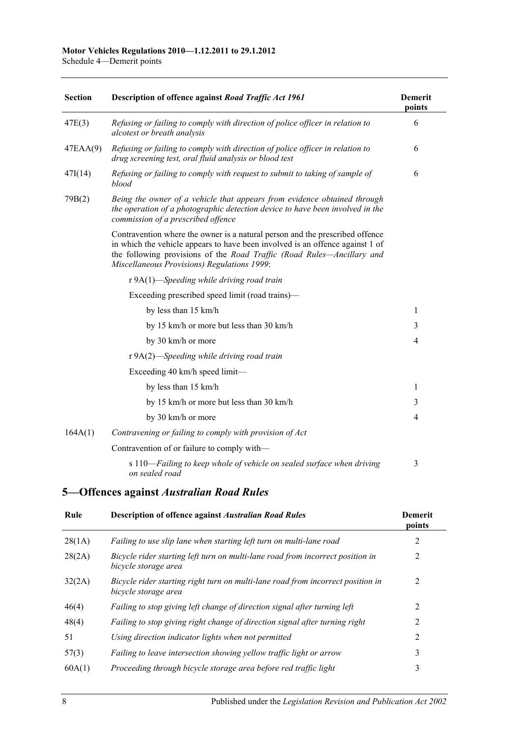**Section Description of offence against** *[Road Traffic Act](http://www.legislation.sa.gov.au/index.aspx?action=legref&type=act&legtitle=Road%20Traffic%20Act%201961) 1961* **Demerit points** 47E(3) *Refusing or failing to comply with direction of police officer in relation to alcotest or breath analysis* 6 47EAA(9) *Refusing or failing to comply with direction of police officer in relation to drug screening test, oral fluid analysis or blood test* 6 47I(14) *Refusing or failing to comply with request to submit to taking of sample of blood* 6 79B(2) *Being the owner of a vehicle that appears from evidence obtained through the operation of a photographic detection device to have been involved in the commission of a prescribed offence* Contravention where the owner is a natural person and the prescribed offence in which the vehicle appears to have been involved is an offence against 1 of the following provisions of the *[Road Traffic \(Road Rules—Ancillary and](http://www.legislation.sa.gov.au/index.aspx?action=legref&type=subordleg&legtitle=Road%20Traffic%20(Road%20Rules%E2%80%94Ancillary%20and%20Miscellaneous%20Provisions)%20Regulations%201999)  [Miscellaneous Provisions\) Regulations](http://www.legislation.sa.gov.au/index.aspx?action=legref&type=subordleg&legtitle=Road%20Traffic%20(Road%20Rules%E2%80%94Ancillary%20and%20Miscellaneous%20Provisions)%20Regulations%201999) 1999*: r 9A(1)—*Speeding while driving road train* Exceeding prescribed speed limit (road trains) by less than  $15 \text{ km/h}$  1 by 15 km/h or more but less than  $30 \text{ km/h}$  3 by 30 km/h or more 4 r 9A(2)—*Speeding while driving road train* Exceeding 40 km/h speed limit by less than 15 km/h 1 by 15 km/h or more but less than 30 km/h 3 by  $30 \text{ km/h}$  or more  $4$ 164A(1) *Contravening or failing to comply with provision of Act* Contravention of or failure to comply with s 110—*Failing to keep whole of vehicle on sealed surface when driving on sealed road* 3

#### **5—Offences against** *Australian Road Rules*

| Rule   | <b>Description of offence against Australian Road Rules</b>                                             | <b>Demerit</b><br>points |
|--------|---------------------------------------------------------------------------------------------------------|--------------------------|
| 28(1A) | Failing to use slip lane when starting left turn on multi-lane road                                     | 2                        |
| 28(2A) | Bicycle rider starting left turn on multi-lane road from incorrect position in<br>bicycle storage area  | 2                        |
| 32(2A) | Bicycle rider starting right turn on multi-lane road from incorrect position in<br>bicycle storage area | 2                        |
| 46(4)  | Failing to stop giving left change of direction signal after turning left                               | 2                        |
| 48(4)  | Failing to stop giving right change of direction signal after turning right                             | 2                        |
| 51     | Using direction indicator lights when not permitted                                                     | $\mathcal{L}$            |
| 57(3)  | Failing to leave intersection showing yellow traffic light or arrow                                     | 3                        |
| 60A(1) | Proceeding through bicycle storage area before red traffic light                                        | 3                        |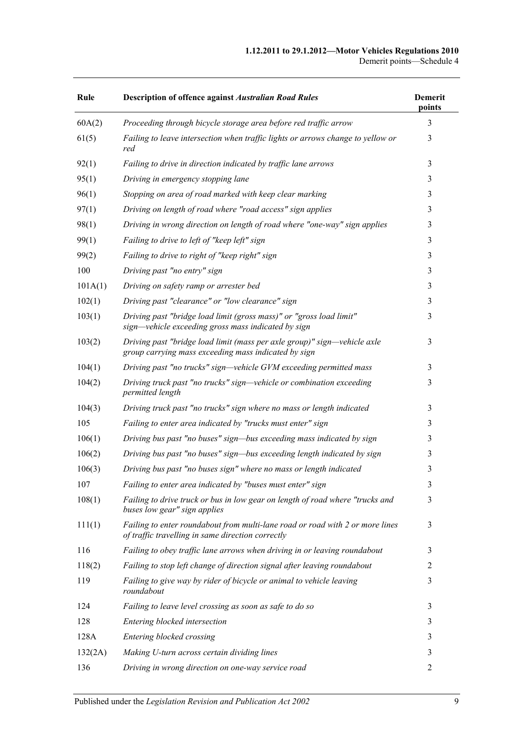#### **1.12.2011 to 29.1.2012—Motor Vehicles Regulations 2010** Demerit points—Schedule 4

| Rule    | <b>Description of offence against Australian Road Rules</b>                                                                        | <b>Demerit</b><br>points |
|---------|------------------------------------------------------------------------------------------------------------------------------------|--------------------------|
| 60A(2)  | Proceeding through bicycle storage area before red traffic arrow                                                                   | 3                        |
| 61(5)   | Failing to leave intersection when traffic lights or arrows change to yellow or<br>red                                             | 3                        |
| 92(1)   | Failing to drive in direction indicated by traffic lane arrows                                                                     | 3                        |
| 95(1)   | Driving in emergency stopping lane                                                                                                 | 3                        |
| 96(1)   | Stopping on area of road marked with keep clear marking                                                                            | 3                        |
| 97(1)   | Driving on length of road where "road access" sign applies                                                                         | 3                        |
| 98(1)   | Driving in wrong direction on length of road where "one-way" sign applies                                                          | 3                        |
| 99(1)   | Failing to drive to left of "keep left" sign                                                                                       | 3                        |
| 99(2)   | Failing to drive to right of "keep right" sign                                                                                     | 3                        |
| 100     | Driving past "no entry" sign                                                                                                       | 3                        |
| 101A(1) | Driving on safety ramp or arrester bed                                                                                             | 3                        |
| 102(1)  | Driving past "clearance" or "low clearance" sign                                                                                   | 3                        |
| 103(1)  | Driving past "bridge load limit (gross mass)" or "gross load limit"<br>sign—vehicle exceeding gross mass indicated by sign         | 3                        |
| 103(2)  | Driving past "bridge load limit (mass per axle group)" sign—vehicle axle<br>group carrying mass exceeding mass indicated by sign   | 3                        |
| 104(1)  | Driving past "no trucks" sign—vehicle GVM exceeding permitted mass                                                                 | 3                        |
| 104(2)  | Driving truck past "no trucks" sign—vehicle or combination exceeding<br>permitted length                                           | 3                        |
| 104(3)  | Driving truck past "no trucks" sign where no mass or length indicated                                                              | 3                        |
| 105     | Failing to enter area indicated by "trucks must enter" sign                                                                        | 3                        |
| 106(1)  | Driving bus past "no buses" sign—bus exceeding mass indicated by sign                                                              | 3                        |
| 106(2)  | Driving bus past "no buses" sign—bus exceeding length indicated by sign                                                            | 3                        |
| 106(3)  | Driving bus past "no buses sign" where no mass or length indicated                                                                 | 3                        |
| 107     | Failing to enter area indicated by "buses must enter" sign                                                                         | 3                        |
| 108(1)  | Failing to drive truck or bus in low gear on length of road where "trucks and<br>buses low gear" sign applies                      | 3                        |
| 111(1)  | Failing to enter roundabout from multi-lane road or road with 2 or more lines<br>of traffic travelling in same direction correctly | 3                        |
| 116     | Failing to obey traffic lane arrows when driving in or leaving roundabout                                                          | 3                        |
| 118(2)  | Failing to stop left change of direction signal after leaving roundabout                                                           | $\overline{c}$           |
| 119     | Failing to give way by rider of bicycle or animal to vehicle leaving<br>roundabout                                                 | 3                        |
| 124     | Failing to leave level crossing as soon as safe to do so                                                                           | 3                        |
| 128     | Entering blocked intersection                                                                                                      | 3                        |
| 128A    | Entering blocked crossing                                                                                                          | 3                        |
| 132(2A) | Making U-turn across certain dividing lines                                                                                        | 3                        |
| 136     | Driving in wrong direction on one-way service road                                                                                 | 2                        |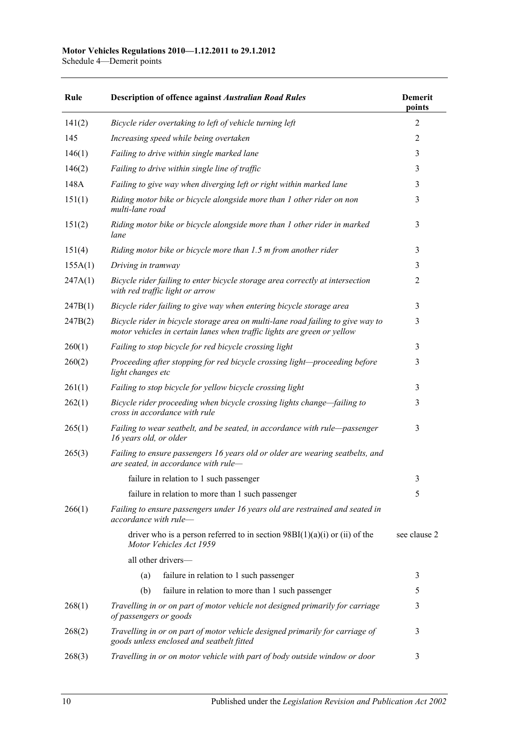Schedule 4—Demerit points

| Rule    | <b>Description of offence against Australian Road Rules</b>                                                                                                | <b>Demerit</b><br>points |
|---------|------------------------------------------------------------------------------------------------------------------------------------------------------------|--------------------------|
| 141(2)  | Bicycle rider overtaking to left of vehicle turning left                                                                                                   | 2                        |
| 145     | Increasing speed while being overtaken                                                                                                                     | 2                        |
| 146(1)  | Failing to drive within single marked lane                                                                                                                 | 3                        |
| 146(2)  | Failing to drive within single line of traffic                                                                                                             | 3                        |
| 148A    | Failing to give way when diverging left or right within marked lane                                                                                        | 3                        |
| 151(1)  | Riding motor bike or bicycle alongside more than 1 other rider on non<br>multi-lane road                                                                   | 3                        |
| 151(2)  | Riding motor bike or bicycle alongside more than 1 other rider in marked<br>lane                                                                           | 3                        |
| 151(4)  | Riding motor bike or bicycle more than 1.5 m from another rider                                                                                            | 3                        |
| 155A(1) | Driving in tramway                                                                                                                                         | 3                        |
| 247A(1) | Bicycle rider failing to enter bicycle storage area correctly at intersection<br>with red traffic light or arrow                                           | $\overline{2}$           |
| 247B(1) | Bicycle rider failing to give way when entering bicycle storage area                                                                                       | 3                        |
| 247B(2) | Bicycle rider in bicycle storage area on multi-lane road failing to give way to<br>motor vehicles in certain lanes when traffic lights are green or yellow | 3                        |
| 260(1)  | Failing to stop bicycle for red bicycle crossing light                                                                                                     | 3                        |
| 260(2)  | Proceeding after stopping for red bicycle crossing light-proceeding before<br>light changes etc                                                            | 3                        |
| 261(1)  | Failing to stop bicycle for yellow bicycle crossing light                                                                                                  | 3                        |
| 262(1)  | Bicycle rider proceeding when bicycle crossing lights change-failing to<br>cross in accordance with rule                                                   | 3                        |
| 265(1)  | Failing to wear seatbelt, and be seated, in accordance with rule-passenger<br>16 years old, or older                                                       | 3                        |
| 265(3)  | Failing to ensure passengers 16 years old or older are wearing seatbelts, and<br>are seated, in accordance with rule-                                      |                          |
|         | failure in relation to 1 such passenger                                                                                                                    | 3                        |
|         | failure in relation to more than 1 such passenger                                                                                                          | 5                        |
| 266(1)  | Failing to ensure passengers under 16 years old are restrained and seated in<br>accordance with rule-                                                      |                          |
|         | driver who is a person referred to in section $98BI(1)(a)(i)$ or (ii) of the<br>Motor Vehicles Act 1959                                                    | see clause 2             |
|         | all other drivers-                                                                                                                                         |                          |
|         | failure in relation to 1 such passenger<br>(a)                                                                                                             | 3                        |
|         | failure in relation to more than 1 such passenger<br>(b)                                                                                                   | 5                        |
| 268(1)  | Travelling in or on part of motor vehicle not designed primarily for carriage<br>of passengers or goods                                                    | 3                        |
| 268(2)  | Travelling in or on part of motor vehicle designed primarily for carriage of<br>goods unless enclosed and seatbelt fitted                                  | 3                        |
| 268(3)  | Travelling in or on motor vehicle with part of body outside window or door                                                                                 | 3                        |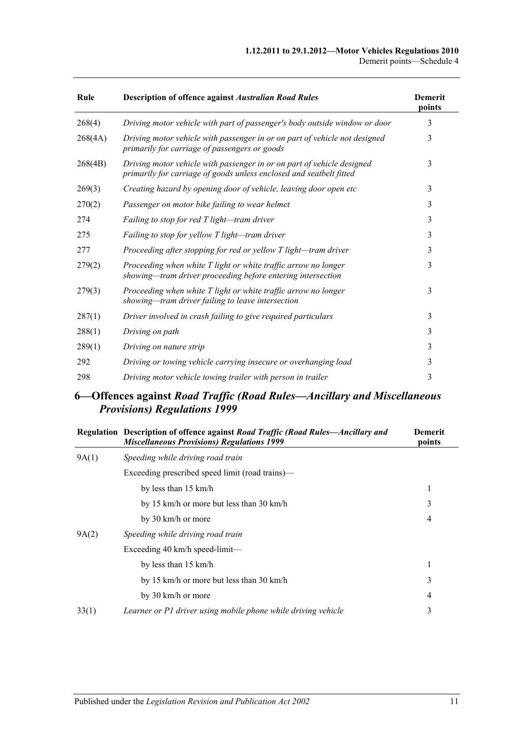| Rule    | <b>Description of offence against Australian Road Rules</b>                                                                                   | <b>Demerit</b><br>points |
|---------|-----------------------------------------------------------------------------------------------------------------------------------------------|--------------------------|
| 268(4)  | Driving motor vehicle with part of passenger's body outside window or door                                                                    | 3                        |
| 268(4A) | Driving motor vehicle with passenger in or on part of vehicle not designed<br>primarily for carriage of passengers or goods                   | 3                        |
| 268(4B) | Driving motor vehicle with passenger in or on part of vehicle designed<br>primarily for carriage of goods unless enclosed and seatbelt fitted | 3                        |
| 269(3)  | Creating hazard by opening door of vehicle, leaving door open etc                                                                             | 3                        |
| 270(2)  | Passenger on motor bike failing to wear helmet                                                                                                | 3                        |
| 274     | Failing to stop for red T light-tram driver                                                                                                   | 3                        |
| 275     | Failing to stop for yellow T light-tram driver                                                                                                | 3                        |
| 277     | Proceeding after stopping for red or yellow T light-tram driver                                                                               | 3                        |
| 279(2)  | Proceeding when white T light or white traffic arrow no longer<br>showing—tram driver proceeding before entering intersection                 | 3                        |
| 279(3)  | Proceeding when white T light or white traffic arrow no longer<br>showing-tram driver failing to leave intersection                           | 3                        |
| 287(1)  | Driver involved in crash failing to give required particulars                                                                                 | 3                        |
| 288(1)  | Driving on path                                                                                                                               | 3                        |
| 289(1)  | Driving on nature strip                                                                                                                       | 3                        |
| 292     | Driving or towing vehicle carrying insecure or overhanging load                                                                               | 3                        |
| 298     | Driving motor vehicle towing trailer with person in trailer                                                                                   | 3                        |

## **6—Offences against** *Road Traffic (Road Rules—Ancillary and Miscellaneous Provisions) Regulations 1999*

|       | Regulation Description of offence against Road Traffic (Road Rules—Ancillary and<br><b>Miscellaneous Provisions) Regulations 1999</b> | <b>Demerit</b><br>points |
|-------|---------------------------------------------------------------------------------------------------------------------------------------|--------------------------|
| 9A(1) | Speeding while driving road train                                                                                                     |                          |
|       | Exceeding prescribed speed limit (road trains)—                                                                                       |                          |
|       | by less than 15 km/h                                                                                                                  | 1                        |
|       | by 15 km/h or more but less than 30 km/h                                                                                              | 3                        |
|       | by 30 km/h or more                                                                                                                    | 4                        |
| 9A(2) | Speeding while driving road train                                                                                                     |                          |
|       | Exceeding $40 \text{ km/h}$ speed-limit—                                                                                              |                          |
|       | by less than 15 km/h                                                                                                                  | 1                        |
|       | by 15 km/h or more but less than 30 km/h                                                                                              | 3                        |
|       | by 30 km/h or more                                                                                                                    | 4                        |
| 33(1) | Learner or P1 driver using mobile phone while driving vehicle                                                                         | 3                        |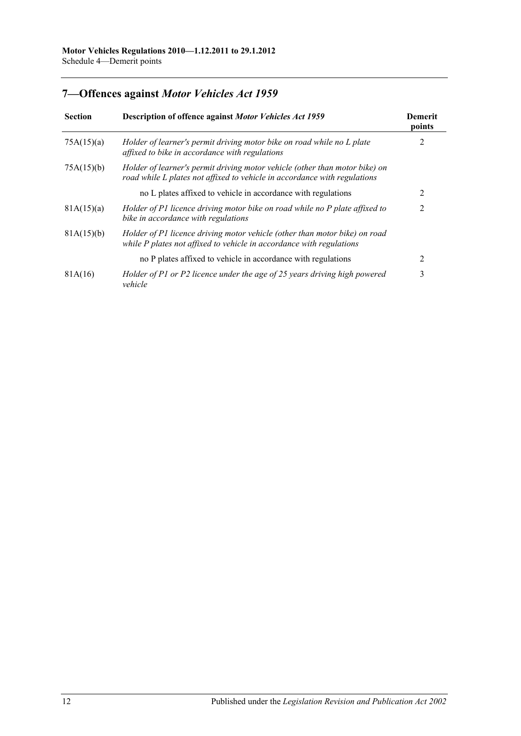# **7—Offences against** *Motor Vehicles Act 1959*

| <b>Section</b> | Description of offence against Motor Vehicles Act 1959                                                                                                   | <b>Demerit</b><br>points |
|----------------|----------------------------------------------------------------------------------------------------------------------------------------------------------|--------------------------|
| 75A(15)(a)     | Holder of learner's permit driving motor bike on road while no L plate<br>affixed to bike in accordance with regulations                                 | 2                        |
| 75A(15)(b)     | Holder of learner's permit driving motor vehicle (other than motor bike) on<br>road while L plates not affixed to vehicle in accordance with regulations |                          |
|                | no L plates affixed to vehicle in accordance with regulations                                                                                            | 2                        |
| 81A(15)(a)     | Holder of P1 licence driving motor bike on road while no P plate affixed to<br>bike in accordance with regulations                                       | 2                        |
| 81A(15)(b)     | Holder of P1 licence driving motor vehicle (other than motor bike) on road<br>while P plates not affixed to vehicle in accordance with regulations       |                          |
|                | no P plates affixed to vehicle in accordance with regulations                                                                                            | $\mathfrak{D}$           |
| 81A(16)        | Holder of P1 or P2 licence under the age of 25 years driving high powered<br>vehicle                                                                     | 3                        |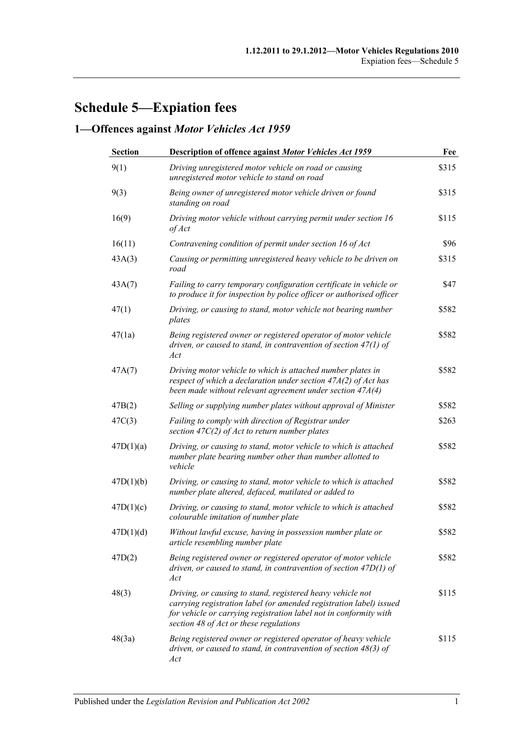# **Schedule 5—Expiation fees**

# **1—Offences against** *Motor Vehicles Act 1959*

| <b>Section</b> | Description of offence against Motor Vehicles Act 1959                                                                                                                                                                                          | Fee   |
|----------------|-------------------------------------------------------------------------------------------------------------------------------------------------------------------------------------------------------------------------------------------------|-------|
| 9(1)           | Driving unregistered motor vehicle on road or causing<br>unregistered motor vehicle to stand on road                                                                                                                                            | \$315 |
| 9(3)           | Being owner of unregistered motor vehicle driven or found<br>standing on road                                                                                                                                                                   | \$315 |
| 16(9)          | Driving motor vehicle without carrying permit under section 16<br>of Act                                                                                                                                                                        | \$115 |
| 16(11)         | Contravening condition of permit under section 16 of Act                                                                                                                                                                                        | \$96  |
| 43A(3)         | Causing or permitting unregistered heavy vehicle to be driven on<br>road                                                                                                                                                                        | \$315 |
| 43A(7)         | Failing to carry temporary configuration certificate in vehicle or<br>to produce it for inspection by police officer or authorised officer                                                                                                      | \$47  |
| 47(1)          | Driving, or causing to stand, motor vehicle not bearing number<br>plates                                                                                                                                                                        | \$582 |
| 47(1a)         | Being registered owner or registered operator of motor vehicle<br>driven, or caused to stand, in contravention of section $47(1)$ of<br>Act                                                                                                     | \$582 |
| 47A(7)         | Driving motor vehicle to which is attached number plates in<br>respect of which a declaration under section $47A(2)$ of Act has<br>been made without relevant agreement under section $47A(4)$                                                  | \$582 |
| 47B(2)         | Selling or supplying number plates without approval of Minister                                                                                                                                                                                 | \$582 |
| 47C(3)         | Failing to comply with direction of Registrar under<br>section $47C(2)$ of Act to return number plates                                                                                                                                          | \$263 |
| 47D(1)(a)      | Driving, or causing to stand, motor vehicle to which is attached<br>number plate bearing number other than number allotted to<br>vehicle                                                                                                        | \$582 |
| 47D(1)(b)      | Driving, or causing to stand, motor vehicle to which is attached<br>number plate altered, defaced, mutilated or added to                                                                                                                        | \$582 |
| 47D(1)(c)      | Driving, or causing to stand, motor vehicle to which is attached<br>colourable imitation of number plate                                                                                                                                        | \$582 |
| 47D(1)(d)      | Without lawful excuse, having in possession number plate or<br>article resembling number plate                                                                                                                                                  | \$582 |
| 47D(2)         | Being registered owner or registered operator of motor vehicle<br>driven, or caused to stand, in contravention of section $47D(1)$ of<br>Act                                                                                                    | \$582 |
| 48(3)          | Driving, or causing to stand, registered heavy vehicle not<br>carrying registration label (or amended registration label) issued<br>for vehicle or carrying registration label not in conformity with<br>section 48 of Act or these regulations | \$115 |
| 48(3a)         | Being registered owner or registered operator of heavy vehicle<br>driven, or caused to stand, in contravention of section 48(3) of<br>Act                                                                                                       | \$115 |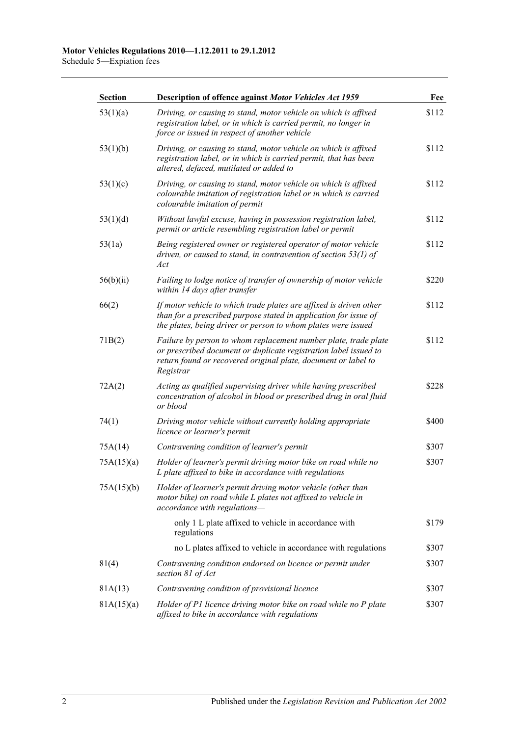| <b>Section</b> | Description of offence against Motor Vehicles Act 1959                                                                                                                                                             | Fee   |
|----------------|--------------------------------------------------------------------------------------------------------------------------------------------------------------------------------------------------------------------|-------|
| 53(1)(a)       | Driving, or causing to stand, motor vehicle on which is affixed<br>registration label, or in which is carried permit, no longer in<br>force or issued in respect of another vehicle                                | \$112 |
| 53(1)(b)       | Driving, or causing to stand, motor vehicle on which is affixed<br>registration label, or in which is carried permit, that has been<br>altered, defaced, mutilated or added to                                     | \$112 |
| 53(1)(c)       | Driving, or causing to stand, motor vehicle on which is affixed<br>colourable imitation of registration label or in which is carried<br>colourable imitation of permit                                             | \$112 |
| 53(1)(d)       | Without lawful excuse, having in possession registration label,<br>permit or article resembling registration label or permit                                                                                       | \$112 |
| 53(1a)         | Being registered owner or registered operator of motor vehicle<br>driven, or caused to stand, in contravention of section $53(1)$ of<br>Act                                                                        | \$112 |
| 56(b)(ii)      | Failing to lodge notice of transfer of ownership of motor vehicle<br>within 14 days after transfer                                                                                                                 | \$220 |
| 66(2)          | If motor vehicle to which trade plates are affixed is driven other<br>than for a prescribed purpose stated in application for issue of<br>the plates, being driver or person to whom plates were issued            | \$112 |
| 71B(2)         | Failure by person to whom replacement number plate, trade plate<br>or prescribed document or duplicate registration label issued to<br>return found or recovered original plate, document or label to<br>Registrar | \$112 |
| 72A(2)         | Acting as qualified supervising driver while having prescribed<br>concentration of alcohol in blood or prescribed drug in oral fluid<br>or blood                                                                   | \$228 |
| 74(1)          | Driving motor vehicle without currently holding appropriate<br>licence or learner's permit                                                                                                                         | \$400 |
| 75A(14)        | Contravening condition of learner's permit                                                                                                                                                                         | \$307 |
| 75A(15)(a)     | Holder of learner's permit driving motor bike on road while no<br>L plate affixed to bike in accordance with regulations                                                                                           | \$307 |
| 75A(15)(b)     | Holder of learner's permit driving motor vehicle (other than<br>motor bike) on road while L plates not affixed to vehicle in<br>accordance with regulations-                                                       |       |
|                | only 1 L plate affixed to vehicle in accordance with<br>regulations                                                                                                                                                | \$179 |
|                | no L plates affixed to vehicle in accordance with regulations                                                                                                                                                      | \$307 |
| 81(4)          | Contravening condition endorsed on licence or permit under<br>section 81 of Act                                                                                                                                    | \$307 |
| 81A(13)        | Contravening condition of provisional licence                                                                                                                                                                      | \$307 |
| 81A(15)(a)     | Holder of P1 licence driving motor bike on road while no P plate<br>affixed to bike in accordance with regulations                                                                                                 | \$307 |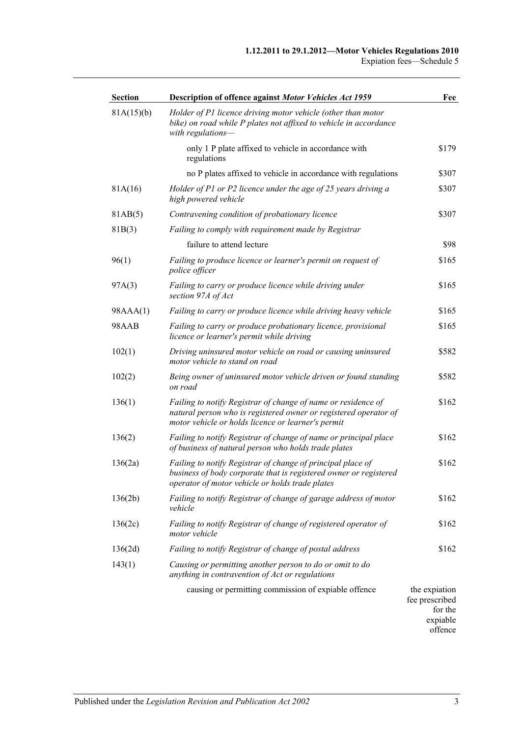| <b>Section</b> | Description of offence against Motor Vehicles Act 1959                                                                                                                                  | Fee                                                    |
|----------------|-----------------------------------------------------------------------------------------------------------------------------------------------------------------------------------------|--------------------------------------------------------|
| 81A(15)(b)     | Holder of P1 licence driving motor vehicle (other than motor<br>bike) on road while P plates not affixed to vehicle in accordance<br>with regulations-                                  |                                                        |
|                | only 1 P plate affixed to vehicle in accordance with<br>regulations                                                                                                                     | \$179                                                  |
|                | no P plates affixed to vehicle in accordance with regulations                                                                                                                           | \$307                                                  |
| 81A(16)        | Holder of P1 or P2 licence under the age of 25 years driving a<br>high powered vehicle                                                                                                  | \$307                                                  |
| 81AB(5)        | Contravening condition of probationary licence                                                                                                                                          | \$307                                                  |
| 81B(3)         | Failing to comply with requirement made by Registrar                                                                                                                                    |                                                        |
|                | failure to attend lecture                                                                                                                                                               | \$98                                                   |
| 96(1)          | Failing to produce licence or learner's permit on request of<br>police officer                                                                                                          | \$165                                                  |
| 97A(3)         | Failing to carry or produce licence while driving under<br>section 97A of Act                                                                                                           | \$165                                                  |
| 98AAA(1)       | Failing to carry or produce licence while driving heavy vehicle                                                                                                                         | \$165                                                  |
| 98AAB          | Failing to carry or produce probationary licence, provisional<br>licence or learner's permit while driving                                                                              | \$165                                                  |
| 102(1)         | Driving uninsured motor vehicle on road or causing uninsured<br>motor vehicle to stand on road                                                                                          | \$582                                                  |
| 102(2)         | Being owner of uninsured motor vehicle driven or found standing<br>on road                                                                                                              | \$582                                                  |
| 136(1)         | Failing to notify Registrar of change of name or residence of<br>natural person who is registered owner or registered operator of<br>motor vehicle or holds licence or learner's permit | \$162                                                  |
| 136(2)         | Failing to notify Registrar of change of name or principal place<br>of business of natural person who holds trade plates                                                                | \$162                                                  |
| 136(2a)        | Failing to notify Registrar of change of principal place of<br>business of body corporate that is registered owner or registered<br>operator of motor vehicle or holds trade plates     | \$162                                                  |
| 136(2b)        | Failing to notify Registrar of change of garage address of motor<br>vehicle                                                                                                             | \$162                                                  |
| 136(2c)        | Failing to notify Registrar of change of registered operator of<br>motor vehicle                                                                                                        | \$162                                                  |
| 136(2d)        | Failing to notify Registrar of change of postal address                                                                                                                                 | \$162                                                  |
| 143(1)         | Causing or permitting another person to do or omit to do<br>anything in contravention of Act or regulations                                                                             |                                                        |
|                | causing or permitting commission of expiable offence                                                                                                                                    | the expiation<br>fee prescribed<br>for the<br>expiable |

expiable offence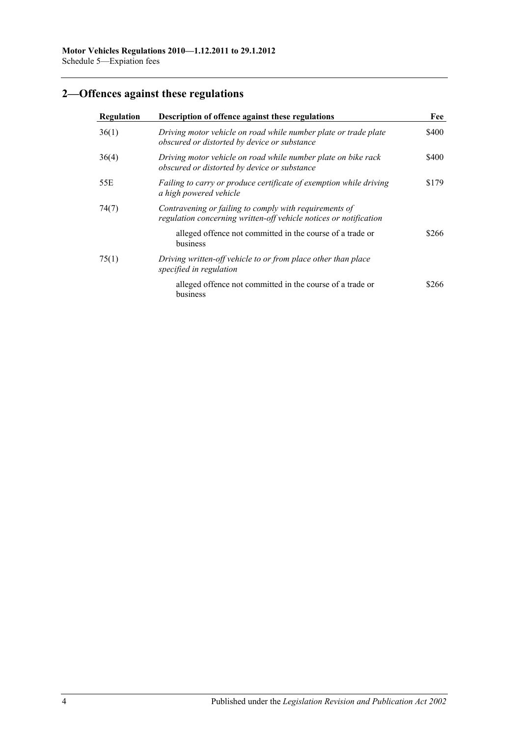# **2—Offences against these regulations**

| Regulation | Description of offence against these regulations<br>Driving motor vehicle on road while number plate or trade plate<br>obscured or distorted by device or substance |       |
|------------|---------------------------------------------------------------------------------------------------------------------------------------------------------------------|-------|
| 36(1)      |                                                                                                                                                                     |       |
| 36(4)      | Driving motor vehicle on road while number plate on bike rack<br>obscured or distorted by device or substance                                                       | \$400 |
| 55E        | Failing to carry or produce certificate of exemption while driving<br>a high powered vehicle                                                                        | \$179 |
| 74(7)      | Contravening or failing to comply with requirements of<br>regulation concerning written-off vehicle notices or notification                                         |       |
|            | alleged offence not committed in the course of a trade or<br>business                                                                                               | \$266 |
| 75(1)      | Driving written-off vehicle to or from place other than place<br>specified in regulation                                                                            |       |
|            | alleged offence not committed in the course of a trade or<br>business                                                                                               | \$266 |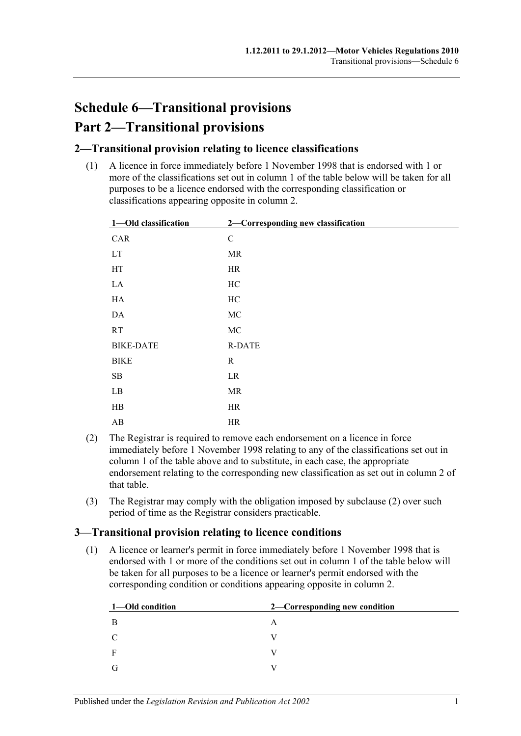# **Schedule 6—Transitional provisions Part 2—Transitional provisions**

### **2—Transitional provision relating to licence classifications**

(1) A licence in force immediately before 1 November 1998 that is endorsed with 1 or more of the classifications set out in column 1 of the table below will be taken for all purposes to be a licence endorsed with the corresponding classification or classifications appearing opposite in column 2.

| 1-Old classification       | 2-Corresponding new classification |
|----------------------------|------------------------------------|
| CAR                        | $\mathbf C$                        |
| $\mathop{\rm LT}\nolimits$ | MR                                 |
| HT                         | HR                                 |
| ${\rm LA}$                 | $\rm HC$                           |
| HA                         | HC                                 |
| $\mathbf{DA}$              | $\rm MC$                           |
| RT                         | $\rm MC$                           |
| <b>BIKE-DATE</b>           | <b>R-DATE</b>                      |
| <b>BIKE</b>                | $\mathbf R$                        |
| ${\bf SB}$                 | LR                                 |
| $\rm LB$                   | MR                                 |
| $\rm HB$                   | HR                                 |
| $\mathbf{A}\mathbf{B}$     | $\rm{HR}$                          |

- <span id="page-100-0"></span>(2) The Registrar is required to remove each endorsement on a licence in force immediately before 1 November 1998 relating to any of the classifications set out in column 1 of the table above and to substitute, in each case, the appropriate endorsement relating to the corresponding new classification as set out in column 2 of that table.
- (3) The Registrar may comply with the obligation imposed by [subclause](#page-100-0) (2) over such period of time as the Registrar considers practicable.

### **3—Transitional provision relating to licence conditions**

(1) A licence or learner's permit in force immediately before 1 November 1998 that is endorsed with 1 or more of the conditions set out in column 1 of the table below will be taken for all purposes to be a licence or learner's permit endorsed with the corresponding condition or conditions appearing opposite in column 2.

| 1—Old condition | 2—Corresponding new condition |
|-----------------|-------------------------------|
| -B              | A                             |
| C               |                               |
| $\mathbf{F}$    |                               |
| G               |                               |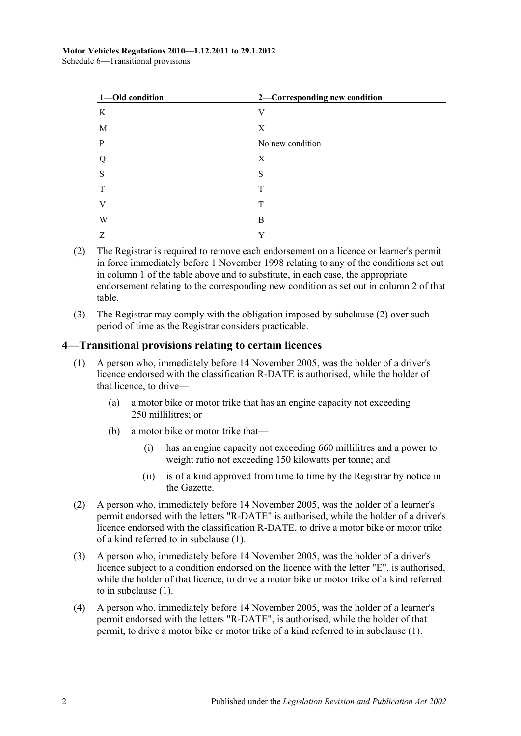| 1-Old condition | 2-Corresponding new condition |
|-----------------|-------------------------------|
| K               | V                             |
| M               | X                             |
| $\mathbf{P}$    | No new condition              |
| Q               | X                             |
| S               | S                             |
| T               | T                             |
| V               | T                             |
| W               | B                             |
| Z               | Y                             |

- <span id="page-101-0"></span>(2) The Registrar is required to remove each endorsement on a licence or learner's permit in force immediately before 1 November 1998 relating to any of the conditions set out in column 1 of the table above and to substitute, in each case, the appropriate endorsement relating to the corresponding new condition as set out in column 2 of that table.
- (3) The Registrar may comply with the obligation imposed by [subclause](#page-101-0) (2) over such period of time as the Registrar considers practicable.

### <span id="page-101-1"></span>**4—Transitional provisions relating to certain licences**

- (1) A person who, immediately before 14 November 2005, was the holder of a driver's licence endorsed with the classification R-DATE is authorised, while the holder of that licence, to drive—
	- (a) a motor bike or motor trike that has an engine capacity not exceeding 250 millilitres; or
	- (b) a motor bike or motor trike that—
		- (i) has an engine capacity not exceeding 660 millilitres and a power to weight ratio not exceeding 150 kilowatts per tonne; and
		- (ii) is of a kind approved from time to time by the Registrar by notice in the Gazette.
- (2) A person who, immediately before 14 November 2005, was the holder of a learner's permit endorsed with the letters "R-DATE" is authorised, while the holder of a driver's licence endorsed with the classification R-DATE, to drive a motor bike or motor trike of a kind referred to in [subclause](#page-101-1) (1).
- (3) A person who, immediately before 14 November 2005, was the holder of a driver's licence subject to a condition endorsed on the licence with the letter "E", is authorised, while the holder of that licence, to drive a motor bike or motor trike of a kind referred to in [subclause](#page-101-1) (1).
- (4) A person who, immediately before 14 November 2005, was the holder of a learner's permit endorsed with the letters "R-DATE", is authorised, while the holder of that permit, to drive a motor bike or motor trike of a kind referred to in [subclause](#page-101-1) (1).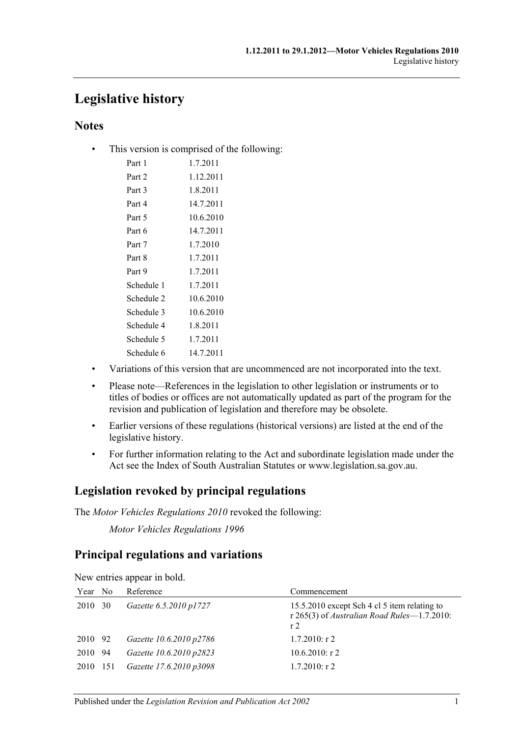# **Legislative history**

### **Notes**

• This version is comprised of the following:

| Part 1     | 1.7.2011  |
|------------|-----------|
| Part 2     | 1.12.2011 |
| Part 3     | 1.8.2011  |
| Part 4     | 14.7.2011 |
| Part 5     | 10.6.2010 |
| Part 6     | 14.7.2011 |
| Part 7     | 1.7.2010  |
| Part 8     | 1.7.2011  |
| Part 9     | 1.7.2011  |
| Schedule 1 | 1.7.2011  |
| Schedule 2 | 10.6.2010 |
| Schedule 3 | 10.6.2010 |
| Schedule 4 | 1.8.2011  |
| Schedule 5 | 1.7.2011  |
| Schedule 6 | 14.7.2011 |
|            |           |

- Variations of this version that are uncommenced are not incorporated into the text.
- Please note—References in the legislation to other legislation or instruments or to titles of bodies or offices are not automatically updated as part of the program for the revision and publication of legislation and therefore may be obsolete.
- Earlier versions of these regulations (historical versions) are listed at the end of the legislative history.
- For further information relating to the Act and subordinate legislation made under the Act see the Index of South Australian Statutes or www.legislation.sa.gov.au.

### **Legislation revoked by principal regulations**

The *Motor Vehicles Regulations 2010* revoked the following:

*Motor Vehicles Regulations 1996*

### **Principal regulations and variations**

| Year No  | Reference               | Commencement                                                                                                  |
|----------|-------------------------|---------------------------------------------------------------------------------------------------------------|
| 2010 30  | Gazette 6.5.2010 p1727  | 15.5.2010 except Sch 4 cl 5 item relating to<br>r 265(3) of Australian Road Rules-1.7.2010:<br>r <sub>2</sub> |
| 2010 92  | Gazette 10.6.2010 p2786 | $1.7.2010:$ r 2                                                                                               |
| 2010 94  | Gazette 10.6.2010 p2823 | $10.6.2010$ : r 2                                                                                             |
| 2010 151 | Gazette 17.6.2010 p3098 | $1.7.2010$ : r 2                                                                                              |

New entries appear in bold.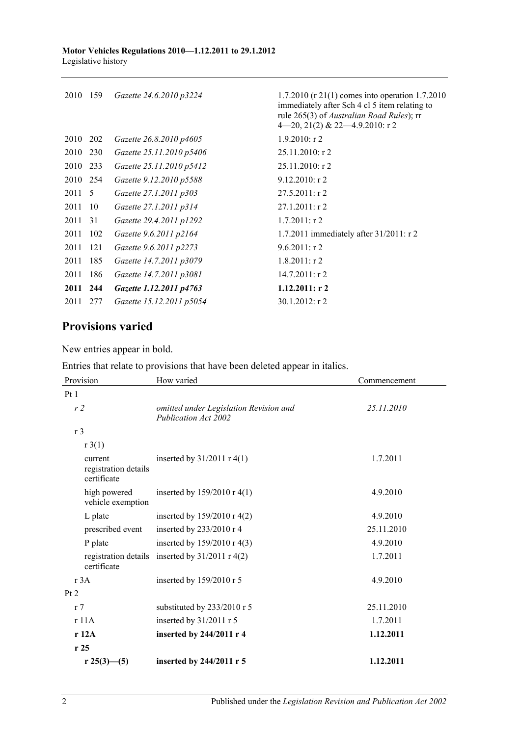| 2010     | 159 | Gazette 24.6.2010 p3224  | 1.7.2010 (r 21(1) comes into operation 1.7.2010<br>immediately after Sch 4 cl 5 item relating to<br>rule 265(3) of <i>Australian Road Rules</i> ); rr<br>$4-20$ , $21(2)$ & $22-4.9.2010$ : r 2 |
|----------|-----|--------------------------|-------------------------------------------------------------------------------------------------------------------------------------------------------------------------------------------------|
| 2010 202 |     | Gazette 26.8.2010 p4605  | $1.9.2010$ : r 2                                                                                                                                                                                |
| 2010 230 |     | Gazette 25.11.2010 p5406 | $25.11.2010:$ r 2                                                                                                                                                                               |
| 2010     | 233 | Gazette 25.11.2010 p5412 | $25.11.2010:$ r 2                                                                                                                                                                               |
| 2010 254 |     | Gazette 9.12.2010 p5588  | $9.12.2010$ : r 2                                                                                                                                                                               |
| 2011 5   |     | Gazette 27.1.2011 p303   | $27.5.2011:$ r 2                                                                                                                                                                                |
| 2011     | 10  | Gazette 27.1.2011 p314   | $27.1.2011:$ r 2                                                                                                                                                                                |
| 2011     | 31  | Gazette 29.4.2011 p1292  | $1.7.2011:$ r 2                                                                                                                                                                                 |
| 2011     | 102 | Gazette 9.6.2011 p2164   | 1.7.2011 immediately after $31/2011$ : r 2                                                                                                                                                      |
| 2011     | 121 | Gazette 9.6.2011 p2273   | $9.6.2011:$ r 2                                                                                                                                                                                 |
| 2011     | 185 | Gazette 14.7.2011 p3079  | $1.8.2011:$ r 2                                                                                                                                                                                 |
| 2011     | 186 | Gazette 14.7.2011 p3081  | $14.7.2011:$ r 2                                                                                                                                                                                |
| 2011 244 |     | Gazette 1.12.2011 p4763  | 1.12.2011: r2                                                                                                                                                                                   |
| 2011     | 277 | Gazette 15.12.2011 p5054 | $30.1.2012$ : r 2                                                                                                                                                                               |
|          |     |                          |                                                                                                                                                                                                 |

## **Provisions varied**

New entries appear in bold.

| Entries that relate to provisions that have been deleted appear in italics. |  |  |  |  |  |
|-----------------------------------------------------------------------------|--|--|--|--|--|
|-----------------------------------------------------------------------------|--|--|--|--|--|

| Provision                                      | How varied                                                     | Commencement |
|------------------------------------------------|----------------------------------------------------------------|--------------|
| Pt1                                            |                                                                |              |
| r2                                             | omitted under Legislation Revision and<br>Publication Act 2002 | 25.11.2010   |
| r <sub>3</sub>                                 |                                                                |              |
| r3(1)                                          |                                                                |              |
| current<br>registration details<br>certificate | inserted by $31/2011$ r $4(1)$                                 | 1.7.2011     |
| high powered<br>vehicle exemption              | inserted by $159/2010 \text{ r } 4(1)$                         | 4.9.2010     |
| L plate                                        | inserted by $159/2010$ r 4(2)                                  | 4.9.2010     |
| prescribed event                               | inserted by $233/2010$ r 4                                     | 25.11.2010   |
| P plate                                        | inserted by $159/2010$ r 4(3)                                  | 4.9.2010     |
| certificate                                    | registration details inserted by $31/2011$ r 4(2)              | 1.7.2011     |
| r 3A                                           | inserted by 159/2010 r 5                                       | 4.9.2010     |
| Pt 2                                           |                                                                |              |
| r <sub>7</sub>                                 | substituted by 233/2010 r 5                                    | 25.11.2010   |
| r11A                                           | inserted by $31/2011$ r 5                                      | 1.7.2011     |
| r12A                                           | inserted by 244/2011 r 4                                       | 1.12.2011    |
| r25                                            |                                                                |              |
| r 25(3)–(5)                                    | inserted by 244/2011 r 5                                       | 1.12.2011    |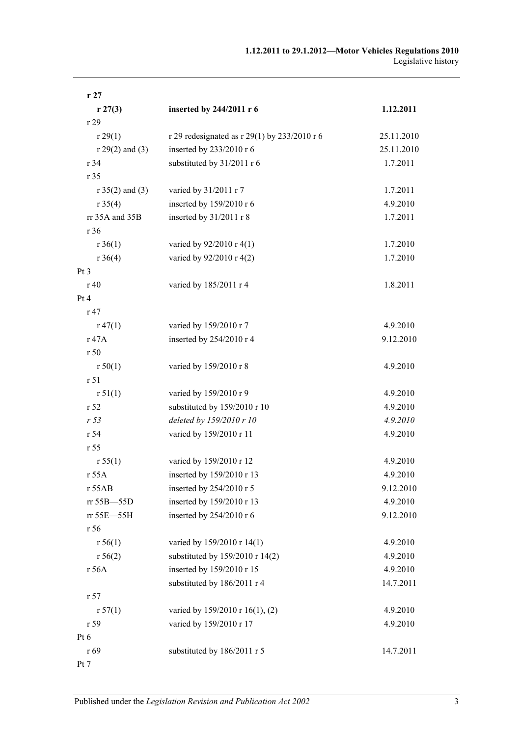| r27               |                                              |            |
|-------------------|----------------------------------------------|------------|
| r 27(3)           | inserted by 244/2011 r 6                     | 1.12.2011  |
| r 29              |                                              |            |
| r 29(1)           | r 29 redesignated as r 29(1) by 233/2010 r 6 | 25.11.2010 |
| $r 29(2)$ and (3) | inserted by 233/2010 r 6                     | 25.11.2010 |
| r 34              | substituted by 31/2011 r 6                   | 1.7.2011   |
| r 35              |                                              |            |
| $r 35(2)$ and (3) | varied by 31/2011 r 7                        | 1.7.2011   |
| r 35(4)           | inserted by 159/2010 r 6                     | 4.9.2010   |
| rr 35A and 35B    | inserted by 31/2011 r 8                      | 1.7.2011   |
| r 36              |                                              |            |
| $r \, 36(1)$      | varied by 92/2010 r 4(1)                     | 1.7.2010   |
| $r \, 36(4)$      | varied by 92/2010 r 4(2)                     | 1.7.2010   |
| Pt <sub>3</sub>   |                                              |            |
| r 40              | varied by 185/2011 r 4                       | 1.8.2011   |
| Pt 4              |                                              |            |
| r 47              |                                              |            |
| r 47(1)           | varied by 159/2010 r 7                       | 4.9.2010   |
| r 47A             | inserted by 254/2010 r 4                     | 9.12.2010  |
| r 50              |                                              |            |
| r 50(1)           | varied by 159/2010 r 8                       | 4.9.2010   |
| r 51              |                                              |            |
| r 51(1)           | varied by 159/2010 r 9                       | 4.9.2010   |
| r <sub>52</sub>   | substituted by 159/2010 r 10                 | 4.9.2010   |
| r <sub>53</sub>   | deleted by 159/2010 r 10                     | 4.9.2010   |
| r 54              | varied by 159/2010 r 11                      | 4.9.2010   |
| r 55              |                                              |            |
| r 55(1)           | varied by 159/2010 r 12                      | 4.9.2010   |
| r 55A             | inserted by 159/2010 r 13                    | 4.9.2010   |
| r 55AB            | inserted by 254/2010 r 5                     | 9.12.2010  |
| rr 55B-55D        | inserted by 159/2010 r 13                    | 4.9.2010   |
| rr 55E-55H        | inserted by 254/2010 r 6                     | 9.12.2010  |
| r 56              |                                              |            |
| r 56(1)           | varied by 159/2010 r 14(1)                   | 4.9.2010   |
| r 56(2)           | substituted by 159/2010 r 14(2)              | 4.9.2010   |
| r 56A             | inserted by 159/2010 r 15                    | 4.9.2010   |
|                   | substituted by 186/2011 r 4                  | 14.7.2011  |
| r <sub>57</sub>   |                                              |            |
| r 57(1)           | varied by 159/2010 r 16(1), (2)              | 4.9.2010   |
| r 59              | varied by 159/2010 r 17                      | 4.9.2010   |
| Pt 6              |                                              |            |
| r 69              | substituted by 186/2011 r 5                  | 14.7.2011  |
| Pt 7              |                                              |            |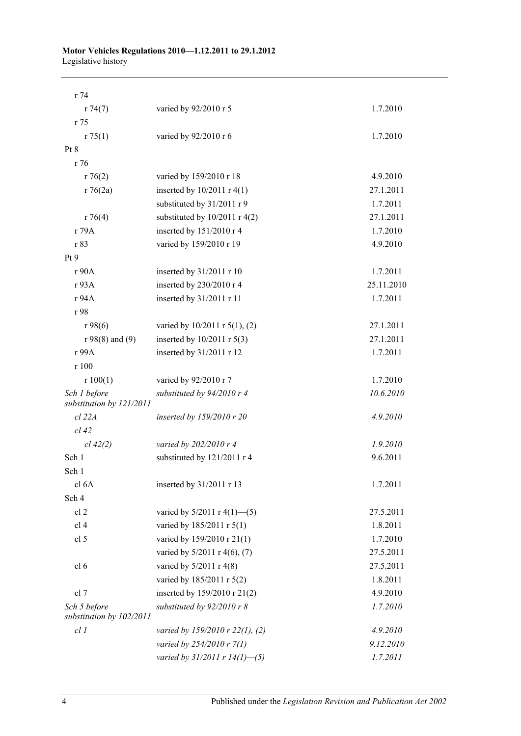#### **Motor Vehicles Regulations 2010—1.12.2011 to 29.1.2012** Legislative history

| r 74                                     |                                    |            |
|------------------------------------------|------------------------------------|------------|
| r 74(7)                                  | varied by 92/2010 r 5              | 1.7.2010   |
| r 75                                     |                                    |            |
| r 75(1)                                  | varied by 92/2010 r 6              | 1.7.2010   |
| Pt 8                                     |                                    |            |
| r 76                                     |                                    |            |
| r76(2)                                   | varied by 159/2010 r 18            | 4.9.2010   |
| r76(2a)                                  | inserted by $10/2011$ r $4(1)$     | 27.1.2011  |
|                                          | substituted by 31/2011 r 9         | 1.7.2011   |
| r76(4)                                   | substituted by $10/2011$ r 4(2)    | 27.1.2011  |
| r 79A                                    | inserted by 151/2010 r 4           | 1.7.2010   |
| r 83                                     | varied by 159/2010 r 19            | 4.9.2010   |
| Pt9                                      |                                    |            |
| r 90A                                    | inserted by 31/2011 r 10           | 1.7.2011   |
| r 93A                                    | inserted by 230/2010 r 4           | 25.11.2010 |
| r 94A                                    | inserted by 31/2011 r 11           | 1.7.2011   |
| r 98                                     |                                    |            |
| r98(6)                                   | varied by 10/2011 r 5(1), (2)      | 27.1.2011  |
| $r98(8)$ and $(9)$                       | inserted by $10/2011$ r $5(3)$     | 27.1.2011  |
| r 99A                                    | inserted by 31/2011 r 12           | 1.7.2011   |
| r 100                                    |                                    |            |
| r 100(1)                                 | varied by 92/2010 r 7              | 1.7.2010   |
| Sch 1 before                             | substituted by 94/2010 r 4         | 10.6.2010  |
| substitution by 121/2011                 |                                    |            |
| $cl$ $22A$                               | inserted by 159/2010 r 20          | 4.9.2010   |
| $cl$ 42                                  |                                    |            |
| cl 42(2)                                 | varied by 202/2010 r 4             | 1.9.2010   |
| Sch 1                                    | substituted by 121/2011 r 4        | 9.6.2011   |
| Sch 1                                    |                                    |            |
| cl <sub>6</sub> A                        | inserted by 31/2011 r 13           | 1.7.2011   |
| Sch 4                                    |                                    |            |
| cl <sub>2</sub>                          | varied by $5/2011$ r $4(1)$ —(5)   | 27.5.2011  |
| cl 4                                     | varied by 185/2011 r 5(1)          | 1.8.2011   |
| cl 5                                     | varied by 159/2010 r 21(1)         | 1.7.2010   |
|                                          | varied by 5/2011 r 4(6), (7)       | 27.5.2011  |
| cl <sub>6</sub>                          | varied by 5/2011 r 4(8)            | 27.5.2011  |
|                                          | varied by 185/2011 r 5(2)          | 1.8.2011   |
| cl 7                                     | inserted by 159/2010 r 21(2)       | 4.9.2010   |
| Sch 5 before<br>substitution by 102/2011 | substituted by $92/2010$ r 8       | 1.7.2010   |
| cl1                                      | varied by 159/2010 r 22(1), (2)    | 4.9.2010   |
|                                          | varied by 254/2010 r 7(1)          | 9.12.2010  |
|                                          | varied by $31/2011$ r $14(1)$ -(5) | 1.7.2011   |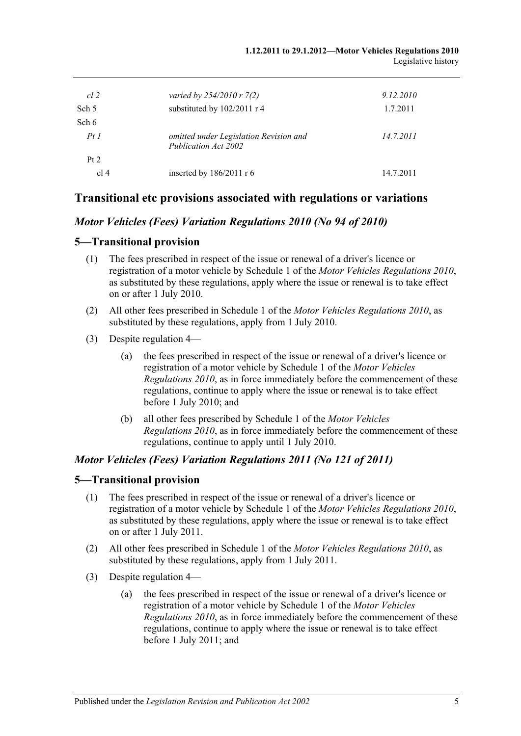| cl 2  | varied by $254/2010 r 7(2)$                                    | 9.12.2010 |
|-------|----------------------------------------------------------------|-----------|
| Sch 5 | substituted by 102/2011 r 4                                    | 1.7.2011  |
| Sch 6 |                                                                |           |
| PtI   | omitted under Legislation Revision and<br>Publication Act 2002 | 14.7.2011 |
| Pt 2  |                                                                |           |
| cl 4  | inserted by $186/2011$ r 6                                     | 14.7.2011 |

### **Transitional etc provisions associated with regulations or variations**

### *Motor Vehicles (Fees) Variation Regulations 2010 (No 94 of 2010)*

#### **5—Transitional provision**

- (1) The fees prescribed in respect of the issue or renewal of a driver's licence or registration of a motor vehicle by Schedule 1 of the *[Motor Vehicles Regulations](http://www.legislation.sa.gov.au/index.aspx?action=legref&type=subordleg&legtitle=Motor%20Vehicles%20Regulations%202010) 2010*, as substituted by these regulations, apply where the issue or renewal is to take effect on or after 1 July 2010.
- (2) All other fees prescribed in Schedule 1 of the *[Motor Vehicles Regulations](http://www.legislation.sa.gov.au/index.aspx?action=legref&type=subordleg&legtitle=Motor%20Vehicles%20Regulations%202010) 2010*, as substituted by these regulations, apply from 1 July 2010.
- (3) Despite regulation 4—
	- (a) the fees prescribed in respect of the issue or renewal of a driver's licence or registration of a motor vehicle by Schedule 1 of the *[Motor Vehicles](http://www.legislation.sa.gov.au/index.aspx?action=legref&type=subordleg&legtitle=Motor%20Vehicles%20Regulations%202010)  [Regulations](http://www.legislation.sa.gov.au/index.aspx?action=legref&type=subordleg&legtitle=Motor%20Vehicles%20Regulations%202010) 2010*, as in force immediately before the commencement of these regulations, continue to apply where the issue or renewal is to take effect before 1 July 2010; and
	- (b) all other fees prescribed by Schedule 1 of the *[Motor Vehicles](http://www.legislation.sa.gov.au/index.aspx?action=legref&type=subordleg&legtitle=Motor%20Vehicles%20Regulations%202010)  [Regulations](http://www.legislation.sa.gov.au/index.aspx?action=legref&type=subordleg&legtitle=Motor%20Vehicles%20Regulations%202010) 2010*, as in force immediately before the commencement of these regulations, continue to apply until 1 July 2010.

#### *Motor Vehicles (Fees) Variation Regulations 2011 (No 121 of 2011)*

#### **5—Transitional provision**

- (1) The fees prescribed in respect of the issue or renewal of a driver's licence or registration of a motor vehicle by Schedule 1 of the *[Motor Vehicles Regulations](http://www.legislation.sa.gov.au/index.aspx?action=legref&type=subordleg&legtitle=Motor%20Vehicles%20Regulations%202010) 2010*, as substituted by these regulations, apply where the issue or renewal is to take effect on or after 1 July 2011.
- (2) All other fees prescribed in Schedule 1 of the *[Motor Vehicles Regulations](http://www.legislation.sa.gov.au/index.aspx?action=legref&type=subordleg&legtitle=Motor%20Vehicles%20Regulations%202010) 2010*, as substituted by these regulations, apply from 1 July 2011.
- (3) Despite regulation 4—
	- (a) the fees prescribed in respect of the issue or renewal of a driver's licence or registration of a motor vehicle by Schedule 1 of the *[Motor Vehicles](http://www.legislation.sa.gov.au/index.aspx?action=legref&type=subordleg&legtitle=Motor%20Vehicles%20Regulations%202010)  [Regulations](http://www.legislation.sa.gov.au/index.aspx?action=legref&type=subordleg&legtitle=Motor%20Vehicles%20Regulations%202010) 2010*, as in force immediately before the commencement of these regulations, continue to apply where the issue or renewal is to take effect before 1 July 2011; and